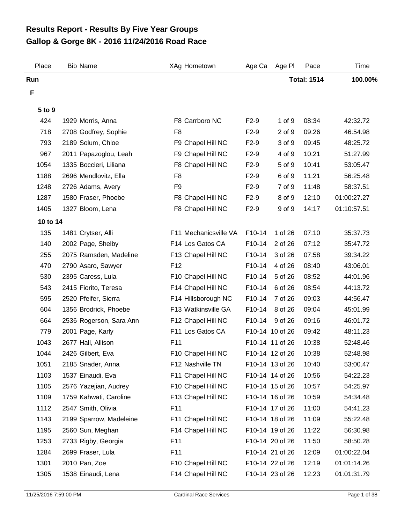## **Gallop & Gorge 8K - 2016 11/24/2016 Road Race Results Report - Results By Five Year Groups**

| Place         | <b>Bib Name</b>         | XAg Hometown          | Age Ca          | Age Pl          | Pace               | Time        |
|---------------|-------------------------|-----------------------|-----------------|-----------------|--------------------|-------------|
| Run           |                         |                       |                 |                 | <b>Total: 1514</b> | 100.00%     |
| F             |                         |                       |                 |                 |                    |             |
|               |                         |                       |                 |                 |                    |             |
| 5 to 9<br>424 | 1929 Morris, Anna       | F8 Carrboro NC        | $F2-9$          | 1 of 9          | 08:34              | 42:32.72    |
| 718           | 2708 Godfrey, Sophie    | F <sub>8</sub>        | $F2-9$          | 2 of 9          | 09:26              | 46:54.98    |
| 793           | 2189 Solum, Chloe       | F9 Chapel Hill NC     | $F2-9$          | 3 of 9          | 09:45              | 48:25.72    |
| 967           | 2011 Papazoglou, Leah   | F9 Chapel Hill NC     | $F2-9$          | 4 of 9          | 10:21              | 51:27.99    |
| 1054          | 1335 Boccieri, Liliana  | F8 Chapel Hill NC     | $F2-9$          | 5 of 9          | 10:41              | 53:05.47    |
| 1188          | 2696 Mendlovitz, Ella   | F8                    | $F2-9$          | 6 of 9          | 11:21              | 56:25.48    |
| 1248          | 2726 Adams, Avery       | F9                    | $F2-9$          | 7 of 9          | 11:48              | 58:37.51    |
| 1287          | 1580 Fraser, Phoebe     | F8 Chapel Hill NC     | $F2-9$          | 8 of 9          | 12:10              | 01:00:27.27 |
| 1405          | 1327 Bloom, Lena        | F8 Chapel Hill NC     | $F2-9$          | 9 of 9          | 14:17              | 01:10:57.51 |
|               |                         |                       |                 |                 |                    |             |
| 10 to 14      |                         |                       |                 |                 |                    |             |
| 135           | 1481 Crytser, Alli      | F11 Mechanicsville VA | F10-14          | 1 of 26         | 07:10              | 35:37.73    |
| 140           | 2002 Page, Shelby       | F14 Los Gatos CA      | F10-14          | 2 of 26         | 07:12              | 35:47.72    |
| 255           | 2075 Ramsden, Madeline  | F13 Chapel Hill NC    | F10-14          | 3 of 26         | 07:58              | 39:34.22    |
| 470           | 2790 Asaro, Sawyer      | F <sub>12</sub>       | F10-14          | 4 of 26         | 08:40              | 43:06.01    |
| 530           | 2395 Caress, Lula       | F10 Chapel Hill NC    | F10-14          | 5 of 26         | 08:52              | 44:01.96    |
| 543           | 2415 Fiorito, Teresa    | F14 Chapel Hill NC    | F10-14          | 6 of 26         | 08:54              | 44:13.72    |
| 595           | 2520 Pfeifer, Sierra    | F14 Hillsborough NC   | F10-14          | 7 of 26         | 09:03              | 44:56.47    |
| 604           | 1356 Brodrick, Phoebe   | F13 Watkinsville GA   | F10-14          | 8 of 26         | 09:04              | 45:01.99    |
| 664           | 2536 Rogerson, Sara Ann | F12 Chapel Hill NC    | F10-14          | 9 of 26         | 09:16              | 46:01.72    |
| 779           | 2001 Page, Karly        | F11 Los Gatos CA      | F10-14 10 of 26 |                 | 09:42              | 48:11.23    |
| 1043          | 2677 Hall, Allison      | F11                   | F10-14 11 of 26 |                 | 10:38              | 52:48.46    |
| 1044          | 2426 Gilbert, Eva       | F10 Chapel Hill NC    |                 | F10-14 12 of 26 | 10:38              | 52:48.98    |
| 1051          | 2185 Snader, Anna       | F12 Nashville TN      | F10-14 13 of 26 |                 | 10:40              | 53:00.47    |
| 1103          | 1537 Einaudi, Eva       | F11 Chapel Hill NC    |                 | F10-14 14 of 26 | 10:56              | 54:22.23    |
| 1105          | 2576 Yazejian, Audrey   | F10 Chapel Hill NC    |                 | F10-14 15 of 26 | 10:57              | 54:25.97    |
| 1109          | 1759 Kahwati, Caroline  | F13 Chapel Hill NC    |                 | F10-14 16 of 26 | 10:59              | 54:34.48    |
| 1112          | 2547 Smith, Olivia      | F11                   |                 | F10-14 17 of 26 | 11:00              | 54:41.23    |
| 1143          | 2199 Sparrow, Madeleine | F11 Chapel Hill NC    |                 | F10-14 18 of 26 | 11:09              | 55:22.48    |
| 1195          | 2560 Sun, Meghan        | F14 Chapel Hill NC    |                 | F10-14 19 of 26 | 11:22              | 56:30.98    |
| 1253          | 2733 Rigby, Georgia     | F11                   |                 | F10-14 20 of 26 | 11:50              | 58:50.28    |
| 1284          | 2699 Fraser, Lula       | F11                   |                 | F10-14 21 of 26 | 12:09              | 01:00:22.04 |
| 1301          | 2010 Pan, Zoe           | F10 Chapel Hill NC    |                 | F10-14 22 of 26 | 12:19              | 01:01:14.26 |
| 1305          | 1538 Einaudi, Lena      | F14 Chapel Hill NC    |                 | F10-14 23 of 26 | 12:23              | 01:01:31.79 |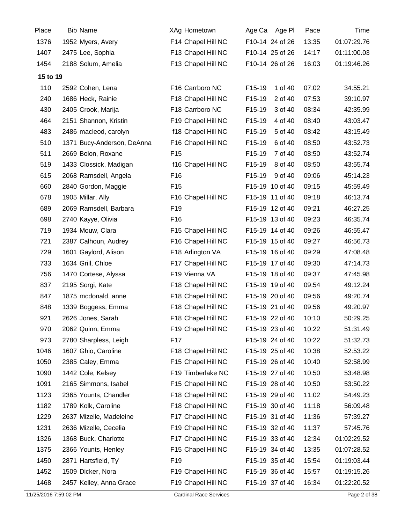| Place    | <b>Bib Name</b>            | XAg Hometown       | Age Ca Age PI     | Pace  | Time        |
|----------|----------------------------|--------------------|-------------------|-------|-------------|
| 1376     | 1952 Myers, Avery          | F14 Chapel Hill NC | F10-14 24 of 26   | 13:35 | 01:07:29.76 |
| 1407     | 2475 Lee, Sophia           | F13 Chapel Hill NC | F10-14 25 of 26   | 14:17 | 01:11:00.03 |
| 1454     | 2188 Solum, Amelia         | F13 Chapel Hill NC | F10-14 26 of 26   | 16:03 | 01:19:46.26 |
| 15 to 19 |                            |                    |                   |       |             |
| 110      | 2592 Cohen, Lena           | F16 Carrboro NC    | F15-19<br>1 of 40 | 07:02 | 34:55.21    |
| 240      | 1686 Heck, Rainie          | F18 Chapel Hill NC | F15-19<br>2 of 40 | 07:53 | 39:10.97    |
| 430      | 2405 Crook, Marija         | F18 Carrboro NC    | F15-19<br>3 of 40 | 08:34 | 42:35.99    |
| 464      | 2151 Shannon, Kristin      | F19 Chapel Hill NC | F15-19<br>4 of 40 | 08:40 | 43:03.47    |
| 483      | 2486 macleod, carolyn      | f18 Chapel Hill NC | F15-19<br>5 of 40 | 08:42 | 43:15.49    |
| 510      | 1371 Bucy-Anderson, DeAnna | F16 Chapel Hill NC | F15-19<br>6 of 40 | 08:50 | 43:52.73    |
| 511      | 2669 Bolon, Roxane         | F <sub>15</sub>    | F15-19<br>7 of 40 | 08:50 | 43:52.74    |
| 519      | 1433 Clossick, Madigan     | f16 Chapel Hill NC | F15-19<br>8 of 40 | 08:50 | 43:55.74    |
| 615      | 2068 Ramsdell, Angela      | F <sub>16</sub>    | F15-19<br>9 of 40 | 09:06 | 45:14.23    |
| 660      | 2840 Gordon, Maggie        | F <sub>15</sub>    | F15-19 10 of 40   | 09:15 | 45:59.49    |
| 678      | 1905 Millar, Ally          | F16 Chapel Hill NC | F15-19 11 of 40   | 09:18 | 46:13.74    |
| 689      | 2069 Ramsdell, Barbara     | F <sub>19</sub>    | F15-19 12 of 40   | 09:21 | 46:27.25    |
| 698      | 2740 Kayye, Olivia         | F <sub>16</sub>    | F15-19 13 of 40   | 09:23 | 46:35.74    |
| 719      | 1934 Mouw, Clara           | F15 Chapel Hill NC | F15-19 14 of 40   | 09:26 | 46:55.47    |
| 721      | 2387 Calhoun, Audrey       | F16 Chapel Hill NC | F15-19 15 of 40   | 09:27 | 46:56.73    |
| 729      | 1601 Gaylord, Alison       | F18 Arlington VA   | F15-19 16 of 40   | 09:29 | 47:08.48    |
| 733      | 1634 Grill, Chloe          | F17 Chapel Hill NC | F15-19 17 of 40   | 09:30 | 47:14.73    |
| 756      | 1470 Cortese, Alyssa       | F19 Vienna VA      | F15-19 18 of 40   | 09:37 | 47:45.98    |
| 837      | 2195 Sorgi, Kate           | F18 Chapel Hill NC | F15-19 19 of 40   | 09:54 | 49:12.24    |
| 847      | 1875 mcdonald, anne        | F18 Chapel Hill NC | F15-19 20 of 40   | 09:56 | 49:20.74    |
| 848      | 1339 Boggess, Emma         | F18 Chapel Hill NC | F15-19 21 of 40   | 09:56 | 49:20.97    |
| 921      | 2626 Jones, Sarah          | F18 Chapel Hill NC | F15-19 22 of 40   | 10:10 | 50:29.25    |
| 970      | 2062 Quinn, Emma           | F19 Chapel Hill NC | F15-19 23 of 40   | 10:22 | 51:31.49    |
| 973      | 2780 Sharpless, Leigh      | F17                | F15-19 24 of 40   | 10:22 | 51:32.73    |
| 1046     | 1607 Ghio, Caroline        | F18 Chapel Hill NC | F15-19 25 of 40   | 10:38 | 52:53.22    |
| 1050     | 2385 Caley, Emma           | F15 Chapel Hill NC | F15-19 26 of 40   | 10:40 | 52:58.99    |
| 1090     | 1442 Cole, Kelsey          | F19 Timberlake NC  | F15-19 27 of 40   | 10:50 | 53:48.98    |
| 1091     | 2165 Simmons, Isabel       | F15 Chapel Hill NC | F15-19 28 of 40   | 10:50 | 53:50.22    |
| 1123     | 2365 Younts, Chandler      | F18 Chapel Hill NC | F15-19 29 of 40   | 11:02 | 54:49.23    |
| 1182     | 1789 Kolk, Caroline        | F18 Chapel Hill NC | F15-19 30 of 40   | 11:18 | 56:09.48    |
| 1229     | 2637 Mizelle, Madeleine    | F17 Chapel Hill NC | F15-19 31 of 40   | 11:36 | 57:39.27    |
| 1231     | 2636 Mizelle, Cecelia      | F19 Chapel Hill NC | F15-19 32 of 40   | 11:37 | 57:45.76    |
| 1326     | 1368 Buck, Charlotte       | F17 Chapel Hill NC | F15-19 33 of 40   | 12:34 | 01:02:29.52 |
| 1375     | 2366 Younts, Henley        | F15 Chapel Hill NC | F15-19 34 of 40   | 13:35 | 01:07:28.52 |
| 1450     | 2871 Hartsfield, Ty'       | F <sub>19</sub>    | F15-19 35 of 40   | 15:54 | 01:19:03.44 |
| 1452     | 1509 Dicker, Nora          | F19 Chapel Hill NC | F15-19 36 of 40   | 15:57 | 01:19:15.26 |
| 1468     | 2457 Kelley, Anna Grace    | F19 Chapel Hill NC | F15-19 37 of 40   | 16:34 | 01:22:20.52 |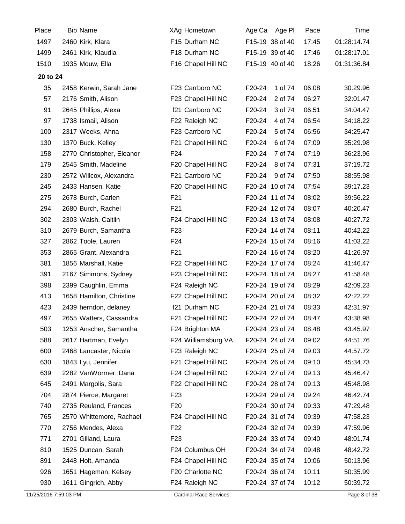| Place    | <b>Bib Name</b>           | XAg Hometown        | Age Ca<br>Age Pl  | Pace  | Time        |
|----------|---------------------------|---------------------|-------------------|-------|-------------|
| 1497     | 2460 Kirk, Klara          | F15 Durham NC       | F15-19 38 of 40   | 17:45 | 01:28:14.74 |
| 1499     | 2461 Kirk, Klaudia        | F18 Durham NC       | F15-19 39 of 40   | 17:46 | 01:28:17.01 |
| 1510     | 1935 Mouw, Ella           | F16 Chapel Hill NC  | F15-19 40 of 40   | 18:26 | 01:31:36.84 |
| 20 to 24 |                           |                     |                   |       |             |
| 35       | 2458 Kerwin, Sarah Jane   | F23 Carrboro NC     | 1 of 74<br>F20-24 | 06:08 | 30:29.96    |
| 57       | 2176 Smith, Alison        | F23 Chapel Hill NC  | F20-24<br>2 of 74 | 06:27 | 32:01.47    |
| 91       | 2645 Phillips, Alexa      | f21 Carrboro NC     | F20-24<br>3 of 74 | 06:51 | 34:04.47    |
| 97       | 1738 Ismail, Alison       | F22 Raleigh NC      | F20-24<br>4 of 74 | 06:54 | 34:18.22    |
| 100      | 2317 Weeks, Ahna          | F23 Carrboro NC     | F20-24<br>5 of 74 | 06:56 | 34:25.47    |
| 130      | 1370 Buck, Kelley         | F21 Chapel Hill NC  | F20-24<br>6 of 74 | 07:09 | 35:29.98    |
| 158      | 2770 Christopher, Eleanor | F24                 | F20-24<br>7 of 74 | 07:19 | 36:23.96    |
| 179      | 2545 Smith, Madeline      | F20 Chapel Hill NC  | F20-24<br>8 of 74 | 07:31 | 37:19.72    |
| 230      | 2572 Willcox, Alexandra   | F21 Carrboro NC     | F20-24<br>9 of 74 | 07:50 | 38:55.98    |
| 245      | 2433 Hansen, Katie        | F20 Chapel Hill NC  | F20-24 10 of 74   | 07:54 | 39:17.23    |
| 275      | 2678 Burch, Carlen        | F <sub>21</sub>     | F20-24 11 of 74   | 08:02 | 39:56.22    |
| 294      | 2680 Burch, Rachel        | F <sub>21</sub>     | F20-24 12 of 74   | 08:07 | 40:20.47    |
| 302      | 2303 Walsh, Caitlin       | F24 Chapel Hill NC  | F20-24 13 of 74   | 08:08 | 40:27.72    |
| 310      | 2679 Burch, Samantha      | F <sub>23</sub>     | F20-24 14 of 74   | 08:11 | 40:42.22    |
| 327      | 2862 Toole, Lauren        | F <sub>24</sub>     | F20-24 15 of 74   | 08:16 | 41:03.22    |
| 353      | 2865 Grant, Alexandra     | F <sub>21</sub>     | F20-24 16 of 74   | 08:20 | 41:26.97    |
| 381      | 1856 Marshall, Katie      | F22 Chapel Hill NC  | F20-24 17 of 74   | 08:24 | 41:46.47    |
| 391      | 2167 Simmons, Sydney      | F23 Chapel Hill NC  | F20-24 18 of 74   | 08:27 | 41:58.48    |
| 398      | 2399 Caughlin, Emma       | F24 Raleigh NC      | F20-24 19 of 74   | 08:29 | 42:09.23    |
| 413      | 1658 Hamilton, Christine  | F22 Chapel Hill NC  | F20-24 20 of 74   | 08:32 | 42:22.22    |
| 423      | 2439 herndon, delaney     | f21 Durham NC       | F20-24 21 of 74   | 08:33 | 42:31.97    |
| 497      | 2655 Watters, Cassandra   | F21 Chapel Hill NC  | F20-24 22 of 74   | 08:47 | 43:38.98    |
| 503      | 1253 Anscher, Samantha    | F24 Brighton MA     | F20-24 23 of 74   | 08:48 | 43:45.97    |
| 588      | 2617 Hartman, Evelyn      | F24 Williamsburg VA | F20-24 24 of 74   | 09:02 | 44:51.76    |
| 600      | 2468 Lancaster, Nicola    | F23 Raleigh NC      | F20-24 25 of 74   | 09:03 | 44:57.72    |
| 630      | 1843 Lyu, Jennifer        | F21 Chapel Hill NC  | F20-24 26 of 74   | 09:10 | 45:34.73    |
| 639      | 2282 VanWormer, Dana      | F24 Chapel Hill NC  | F20-24 27 of 74   | 09:13 | 45:46.47    |
| 645      | 2491 Margolis, Sara       | F22 Chapel Hill NC  | F20-24 28 of 74   | 09:13 | 45:48.98    |
| 704      | 2874 Pierce, Margaret     | F <sub>23</sub>     | F20-24 29 of 74   | 09:24 | 46:42.74    |
| 740      | 2735 Reuland, Frances     | F <sub>20</sub>     | F20-24 30 of 74   | 09:33 | 47:29.48    |
| 765      | 2570 Whittemore, Rachael  | F24 Chapel Hill NC  | F20-24 31 of 74   | 09:39 | 47:58.23    |
| 770      | 2756 Mendes, Alexa        | F <sub>22</sub>     | F20-24 32 of 74   | 09:39 | 47:59.96    |
| 771      | 2701 Gilland, Laura       | F <sub>23</sub>     | F20-24 33 of 74   | 09:40 | 48:01.74    |
| 810      | 1525 Duncan, Sarah        | F24 Columbus OH     | F20-24 34 of 74   | 09:48 | 48:42.72    |
| 891      | 2448 Holt, Amanda         | F24 Chapel Hill NC  | F20-24 35 of 74   | 10:06 | 50:13.96    |
| 926      | 1651 Hageman, Kelsey      | F20 Charlotte NC    | F20-24 36 of 74   | 10:11 | 50:35.99    |
| 930      | 1611 Gingrich, Abby       | F24 Raleigh NC      | F20-24 37 of 74   | 10:12 | 50:39.72    |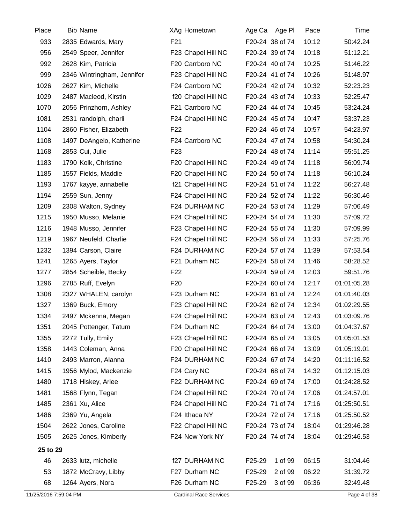| Place                 | <b>Bib Name</b>            | XAg Hometown                  | Age Pl<br>Age Ca               | Pace  | Time         |
|-----------------------|----------------------------|-------------------------------|--------------------------------|-------|--------------|
| 933                   | 2835 Edwards, Mary         | F21                           | F20-24 38 of 74                | 10:12 | 50:42.24     |
| 956                   | 2549 Speer, Jennifer       | F23 Chapel Hill NC            | F20-24 39 of 74                | 10:18 | 51:12.21     |
| 992                   | 2628 Kim, Patricia         | F20 Carrboro NC               | F20-24 40 of 74                | 10:25 | 51:46.22     |
| 999                   | 2346 Wintringham, Jennifer | F23 Chapel Hill NC            | F20-24 41 of 74                | 10:26 | 51:48.97     |
| 1026                  | 2627 Kim, Michelle         | F24 Carrboro NC               | F20-24 42 of 74                | 10:32 | 52:23.23     |
| 1029                  | 2487 Macleod, Kirstin      | f20 Chapel Hill NC            | F20-24 43 of 74                | 10:33 | 52:25.47     |
| 1070                  | 2056 Prinzhorn, Ashley     | F21 Carrboro NC               | F20-24 44 of 74                | 10:45 | 53:24.24     |
| 1081                  | 2531 randolph, charli      | F24 Chapel Hill NC            | F20-24 45 of 74                | 10:47 | 53:37.23     |
| 1104                  | 2860 Fisher, Elizabeth     | F <sub>22</sub>               | F20-24 46 of 74                | 10:57 | 54:23.97     |
| 1108                  | 1497 DeAngelo, Katherine   | F24 Carrboro NC               | F20-24 47 of 74                | 10:58 | 54:30.24     |
| 1168                  | 2853 Cui, Julie            | F <sub>23</sub>               | F20-24 48 of 74                | 11:14 | 55:51.25     |
| 1183                  | 1790 Kolk, Christine       | F20 Chapel Hill NC            | F20-24 49 of 74                | 11:18 | 56:09.74     |
| 1185                  | 1557 Fields, Maddie        | F20 Chapel Hill NC            | F20-24 50 of 74                | 11:18 | 56:10.24     |
| 1193                  | 1767 kayye, annabelle      | f21 Chapel Hill NC            | F20-24 51 of 74                | 11:22 | 56:27.48     |
| 1194                  | 2559 Sun, Jenny            | F24 Chapel Hill NC            | F20-24 52 of 74                | 11:22 | 56:30.46     |
| 1209                  | 2308 Walton, Sydney        | F24 DURHAM NC                 | F20-24 53 of 74                | 11:29 | 57:06.49     |
| 1215                  | 1950 Musso, Melanie        | F24 Chapel Hill NC            | F20-24 54 of 74                | 11:30 | 57:09.72     |
| 1216                  | 1948 Musso, Jennifer       | F23 Chapel Hill NC            | F20-24 55 of 74                | 11:30 | 57:09.99     |
| 1219                  | 1967 Neufeld, Charlie      | F24 Chapel Hill NC            | F20-24 56 of 74                | 11:33 | 57:25.76     |
| 1232                  | 1394 Carson, Claire        | F24 DURHAM NC                 | F20-24 57 of 74                | 11:39 | 57:53.54     |
| 1241                  | 1265 Ayers, Taylor         | F21 Durham NC                 | F20-24 58 of 74                | 11:46 | 58:28.52     |
| 1277                  | 2854 Scheible, Becky       | F <sub>22</sub>               | F20-24 59 of 74                | 12:03 | 59:51.76     |
| 1296                  | 2785 Ruff, Evelyn          | F <sub>20</sub>               | F20-24 60 of 74                | 12:17 | 01:01:05.28  |
| 1308                  | 2327 WHALEN, carolyn       | F23 Durham NC                 | F20-24 61 of 74                | 12:24 | 01:01:40.03  |
| 1327                  | 1369 Buck, Emory           | F23 Chapel Hill NC            | F20-24 62 of 74                | 12:34 | 01:02:29.55  |
| 1334                  | 2497 Mckenna, Megan        | F24 Chapel Hill NC            | F20-24 63 of 74                | 12:43 | 01:03:09.76  |
| 1351                  | 2045 Pottenger, Tatum      | F24 Durham NC                 | F20-24 64 of 74                | 13:00 | 01:04:37.67  |
| 1355                  | 2272 Tully, Emily          | F23 Chapel Hill NC            | F20-24 65 of 74                | 13:05 | 01:05:01.53  |
| 1358                  | 1443 Coleman, Anna         | F20 Chapel Hill NC            | F20-24 66 of 74                | 13:09 | 01:05:19.01  |
| 1410                  | 2493 Marron, Alanna        | F24 DURHAM NC                 | F20-24 67 of 74                | 14:20 | 01:11:16.52  |
| 1415                  | 1956 Mylod, Mackenzie      | F24 Cary NC                   | F20-24 68 of 74                | 14:32 | 01:12:15.03  |
| 1480                  | 1718 Hiskey, Arlee         | F22 DURHAM NC                 | F20-24 69 of 74                | 17:00 | 01:24:28.52  |
| 1481                  | 1568 Flynn, Tegan          | F24 Chapel Hill NC            | F20-24 70 of 74                | 17:06 | 01:24:57.01  |
| 1485                  | 2361 Xu, Alice             | F24 Chapel Hill NC            | F20-24 71 of 74                | 17:16 | 01:25:50.51  |
| 1486                  | 2369 Yu, Angela            | F24 Ithaca NY                 | F20-24 72 of 74                | 17:16 | 01:25:50.52  |
| 1504                  | 2622 Jones, Caroline       | F22 Chapel Hill NC            | F20-24 73 of 74                | 18:04 | 01:29:46.28  |
| 1505                  | 2625 Jones, Kimberly       | F24 New York NY               | F20-24 74 of 74                | 18:04 | 01:29:46.53  |
| 25 to 29              |                            |                               |                                |       |              |
| 46                    | 2633 lutz, michelle        | f27 DURHAM NC                 | 1 of 99<br>F25-29              | 06:15 | 31:04.46     |
| 53                    | 1872 McCravy, Libby        | F27 Durham NC                 | F25-29<br>2 of 99              | 06:22 | 31:39.72     |
| 68                    | 1264 Ayers, Nora           | F26 Durham NC                 | F <sub>25</sub> -29<br>3 of 99 | 06:36 | 32:49.48     |
| 11/25/2016 7:59:04 PM |                            | <b>Cardinal Race Services</b> |                                |       | Page 4 of 38 |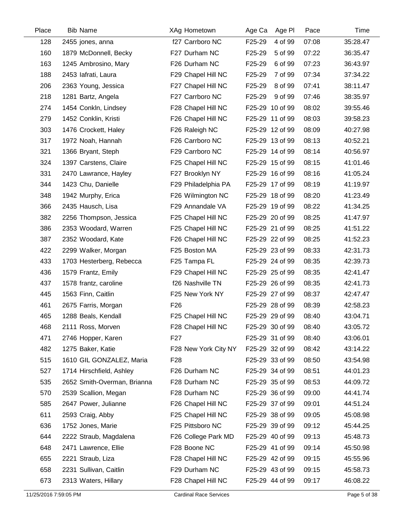| Place | <b>Bib Name</b>             | XAg Hometown         | Age Ca<br>Age Pl  | Pace  | Time     |
|-------|-----------------------------|----------------------|-------------------|-------|----------|
| 128   | 2455 jones, anna            | f27 Carrboro NC      | F25-29<br>4 of 99 | 07:08 | 35:28.47 |
| 160   | 1879 McDonnell, Becky       | F27 Durham NC        | F25-29<br>5 of 99 | 07:22 | 36:35.47 |
| 163   | 1245 Ambrosino, Mary        | F26 Durham NC        | F25-29<br>6 of 99 | 07:23 | 36:43.97 |
| 188   | 2453 lafrati, Laura         | F29 Chapel Hill NC   | F25-29<br>7 of 99 | 07:34 | 37:34.22 |
| 206   | 2363 Young, Jessica         | F27 Chapel Hill NC   | F25-29<br>8 of 99 | 07:41 | 38:11.47 |
| 218   | 1281 Bartz, Angela          | F27 Carrboro NC      | F25-29<br>9 of 99 | 07:46 | 38:35.97 |
| 274   | 1454 Conkln, Lindsey        | F28 Chapel Hill NC   | F25-29 10 of 99   | 08:02 | 39:55.46 |
| 279   | 1452 Conklin, Kristi        | F26 Chapel Hill NC   | F25-29 11 of 99   | 08:03 | 39:58.23 |
| 303   | 1476 Crockett, Haley        | F26 Raleigh NC       | F25-29 12 of 99   | 08:09 | 40:27.98 |
| 317   | 1972 Noah, Hannah           | F26 Carrboro NC      | F25-29 13 of 99   | 08:13 | 40:52.21 |
| 321   | 1366 Bryant, Steph          | F29 Carrboro NC      | F25-29 14 of 99   | 08:14 | 40:56.97 |
| 324   | 1397 Carstens, Claire       | F25 Chapel Hill NC   | F25-29 15 of 99   | 08:15 | 41:01.46 |
| 331   | 2470 Lawrance, Hayley       | F27 Brooklyn NY      | F25-29 16 of 99   | 08:16 | 41:05.24 |
| 344   | 1423 Chu, Danielle          | F29 Philadelphia PA  | F25-29 17 of 99   | 08:19 | 41:19.97 |
| 348   | 1942 Murphy, Erica          | F26 Wilmington NC    | F25-29 18 of 99   | 08:20 | 41:23.49 |
| 366   | 2435 Hausch, Lisa           | F29 Annandale VA     | F25-29 19 of 99   | 08:22 | 41:34.25 |
| 382   | 2256 Thompson, Jessica      | F25 Chapel Hill NC   | F25-29 20 of 99   | 08:25 | 41:47.97 |
| 386   | 2353 Woodard, Warren        | F25 Chapel Hill NC   | F25-29 21 of 99   | 08:25 | 41:51.22 |
| 387   | 2352 Woodard, Kate          | F26 Chapel Hill NC   | F25-29 22 of 99   | 08:25 | 41:52.23 |
| 422   | 2299 Walker, Morgan         | F25 Boston MA        | F25-29 23 of 99   | 08:33 | 42:31.73 |
| 433   | 1703 Hesterberg, Rebecca    | F25 Tampa FL         | F25-29 24 of 99   | 08:35 | 42:39.73 |
| 436   | 1579 Frantz, Emily          | F29 Chapel Hill NC   | F25-29 25 of 99   | 08:35 | 42:41.47 |
| 437   | 1578 frantz, caroline       | f26 Nashville TN     | F25-29 26 of 99   | 08:35 | 42:41.73 |
| 445   | 1563 Finn, Caitlin          | F25 New York NY      | F25-29 27 of 99   | 08:37 | 42:47.47 |
| 461   | 2675 Farris, Morgan         | F <sub>26</sub>      | F25-29 28 of 99   | 08:39 | 42:58.23 |
| 465   | 1288 Beals, Kendall         | F25 Chapel Hill NC   | F25-29 29 of 99   | 08:40 | 43:04.71 |
| 468   | 2111 Ross, Morven           | F28 Chapel Hill NC   | F25-29 30 of 99   | 08:40 | 43:05.72 |
| 471   | 2746 Hopper, Karen          | F27                  | F25-29 31 of 99   | 08:40 | 43:06.01 |
| 482   | 1275 Baker, Katie           | F28 New York City NY | F25-29 32 of 99   | 08:42 | 43:14.22 |
| 515   | 1610 GIL GONZALEZ, Maria    | F <sub>28</sub>      | F25-29 33 of 99   | 08:50 | 43:54.98 |
| 527   | 1714 Hirschfield, Ashley    | F26 Durham NC        | F25-29 34 of 99   | 08:51 | 44:01.23 |
| 535   | 2652 Smith-Overman, Brianna | F28 Durham NC        | F25-29 35 of 99   | 08:53 | 44:09.72 |
| 570   | 2539 Scallion, Megan        | F28 Durham NC        | F25-29 36 of 99   | 09:00 | 44:41.74 |
| 585   | 2647 Power, Julianne        | F26 Chapel Hill NC   | F25-29 37 of 99   | 09:01 | 44:51.24 |
| 611   | 2593 Craig, Abby            | F25 Chapel Hill NC   | F25-29 38 of 99   | 09:05 | 45:08.98 |
| 636   | 1752 Jones, Marie           | F25 Pittsboro NC     | F25-29 39 of 99   | 09:12 | 45:44.25 |
| 644   | 2222 Straub, Magdalena      | F26 College Park MD  | F25-29 40 of 99   | 09:13 | 45:48.73 |
| 648   | 2471 Lawrence, Ellie        | F28 Boone NC         | F25-29 41 of 99   | 09:14 | 45:50.98 |
| 655   | 2221 Straub, Liza           | F28 Chapel Hill NC   | F25-29 42 of 99   | 09:15 | 45:55.96 |
| 658   | 2231 Sullivan, Caitlin      | F29 Durham NC        | F25-29 43 of 99   | 09:15 | 45:58.73 |
| 673   | 2313 Waters, Hillary        | F28 Chapel Hill NC   | F25-29 44 of 99   | 09:17 | 46:08.22 |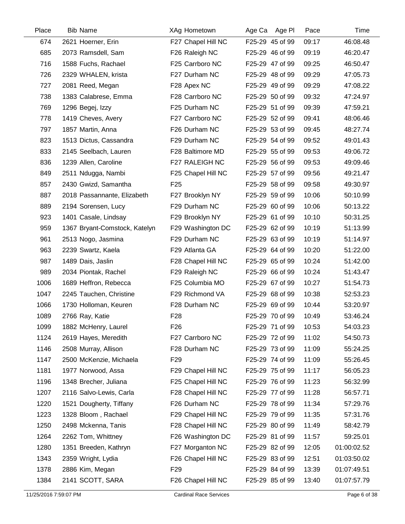| Place | <b>Bib Name</b>               | XAg Hometown       | Age Ca Age Pl   | Pace  | Time        |
|-------|-------------------------------|--------------------|-----------------|-------|-------------|
| 674   | 2621 Hoerner, Erin            | F27 Chapel Hill NC | F25-29 45 of 99 | 09:17 | 46:08.48    |
| 685   | 2073 Ramsdell, Sam            | F26 Raleigh NC     | F25-29 46 of 99 | 09:19 | 46:20.47    |
| 716   | 1588 Fuchs, Rachael           | F25 Carrboro NC    | F25-29 47 of 99 | 09:25 | 46:50.47    |
| 726   | 2329 WHALEN, krista           | F27 Durham NC      | F25-29 48 of 99 | 09:29 | 47:05.73    |
| 727   | 2081 Reed, Megan              | F28 Apex NC        | F25-29 49 of 99 | 09:29 | 47:08.22    |
| 738   | 1383 Calabrese, Emma          | F28 Carrboro NC    | F25-29 50 of 99 | 09:32 | 47:24.97    |
| 769   | 1296 Begej, Izzy              | F25 Durham NC      | F25-29 51 of 99 | 09:39 | 47:59.21    |
| 778   | 1419 Cheves, Avery            | F27 Carrboro NC    | F25-29 52 of 99 | 09:41 | 48:06.46    |
| 797   | 1857 Martin, Anna             | F26 Durham NC      | F25-29 53 of 99 | 09:45 | 48:27.74    |
| 823   | 1513 Dictus, Cassandra        | F29 Durham NC      | F25-29 54 of 99 | 09:52 | 49:01.43    |
| 833   | 2145 Seelbach, Lauren         | F28 Baltimore MD   | F25-29 55 of 99 | 09:53 | 49:06.72    |
| 836   | 1239 Allen, Caroline          | F27 RALEIGH NC     | F25-29 56 of 99 | 09:53 | 49:09.46    |
| 849   | 2511 Ndugga, Nambi            | F25 Chapel Hill NC | F25-29 57 of 99 | 09:56 | 49:21.47    |
| 857   | 2430 Gwizd, Samantha          | F <sub>25</sub>    | F25-29 58 of 99 | 09:58 | 49:30.97    |
| 887   | 2018 Passannante, Elizabeth   | F27 Brooklyn NY    | F25-29 59 of 99 | 10:06 | 50:10.99    |
| 889   | 2194 Sorensen, Lucy           | F29 Durham NC      | F25-29 60 of 99 | 10:06 | 50:13.22    |
| 923   | 1401 Casale, Lindsay          | F29 Brooklyn NY    | F25-29 61 of 99 | 10:10 | 50:31.25    |
| 959   | 1367 Bryant-Comstock, Katelyn | F29 Washington DC  | F25-29 62 of 99 | 10:19 | 51:13.99    |
| 961   | 2513 Nogo, Jasmina            | F29 Durham NC      | F25-29 63 of 99 | 10:19 | 51:14.97    |
| 963   | 2239 Swartz, Kaela            | F29 Atlanta GA     | F25-29 64 of 99 | 10:20 | 51:22.00    |
| 987   | 1489 Dais, Jaslin             | F28 Chapel Hill NC | F25-29 65 of 99 | 10:24 | 51:42.00    |
| 989   | 2034 Piontak, Rachel          | F29 Raleigh NC     | F25-29 66 of 99 | 10:24 | 51:43.47    |
| 1006  | 1689 Heffron, Rebecca         | F25 Columbia MO    | F25-29 67 of 99 | 10:27 | 51:54.73    |
| 1047  | 2245 Tauchen, Christine       | F29 Richmond VA    | F25-29 68 of 99 | 10:38 | 52:53.23    |
| 1066  | 1730 Holloman, Keuren         | F28 Durham NC      | F25-29 69 of 99 | 10:44 | 53:20.97    |
| 1089  | 2766 Ray, Katie               | F <sub>28</sub>    | F25-29 70 of 99 | 10:49 | 53:46.24    |
| 1099  | 1882 McHenry, Laurel          | F26                | F25-29 71 of 99 | 10:53 | 54:03.23    |
| 1124  | 2619 Hayes, Meredith          | F27 Carrboro NC    | F25-29 72 of 99 | 11:02 | 54:50.73    |
| 1146  | 2508 Murray, Allison          | F28 Durham NC      | F25-29 73 of 99 | 11:09 | 55:24.25    |
| 1147  | 2500 McKenzie, Michaela       | F <sub>29</sub>    | F25-29 74 of 99 | 11:09 | 55:26.45    |
| 1181  | 1977 Norwood, Assa            | F29 Chapel Hill NC | F25-29 75 of 99 | 11:17 | 56:05.23    |
| 1196  | 1348 Brecher, Juliana         | F25 Chapel Hill NC | F25-29 76 of 99 | 11:23 | 56:32.99    |
| 1207  | 2116 Salvo-Lewis, Carla       | F28 Chapel Hill NC | F25-29 77 of 99 | 11:28 | 56:57.71    |
| 1220  | 1521 Dougherty, Tiffany       | F26 Durham NC      | F25-29 78 of 99 | 11:34 | 57:29.76    |
| 1223  | 1328 Bloom, Rachael           | F29 Chapel Hill NC | F25-29 79 of 99 | 11:35 | 57:31.76    |
| 1250  | 2498 Mckenna, Tanis           | F28 Chapel Hill NC | F25-29 80 of 99 | 11:49 | 58:42.79    |
| 1264  | 2262 Tom, Whittney            | F26 Washington DC  | F25-29 81 of 99 | 11:57 | 59:25.01    |
| 1280  | 1351 Breeden, Kathryn         | F27 Morganton NC   | F25-29 82 of 99 | 12:05 | 01:00:02.52 |
| 1343  | 2359 Wright, Lydia            | F26 Chapel Hill NC | F25-29 83 of 99 | 12:51 | 01:03:50.02 |
| 1378  | 2886 Kim, Megan               | F <sub>29</sub>    | F25-29 84 of 99 | 13:39 | 01:07:49.51 |
| 1384  | 2141 SCOTT, SARA              | F26 Chapel Hill NC | F25-29 85 of 99 | 13:40 | 01:07:57.79 |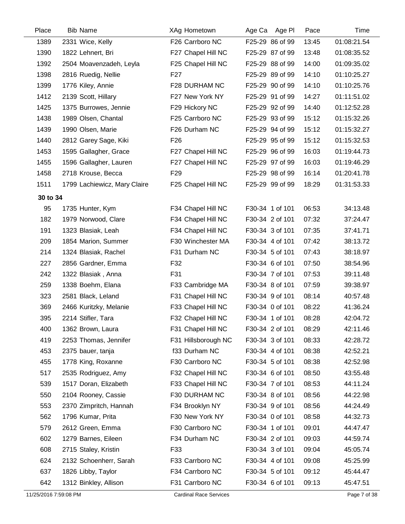| Place    | <b>Bib Name</b>              | <b>XAg Hometown</b> | Age Ca Age PI   | Pace  | Time        |
|----------|------------------------------|---------------------|-----------------|-------|-------------|
| 1389     | 2331 Wice, Kelly             | F26 Carrboro NC     | F25-29 86 of 99 | 13:45 | 01:08:21.54 |
| 1390     | 1822 Lehnert, Bri            | F27 Chapel Hill NC  | F25-29 87 of 99 | 13:48 | 01:08:35.52 |
| 1392     | 2504 Moavenzadeh, Leyla      | F25 Chapel Hill NC  | F25-29 88 of 99 | 14:00 | 01:09:35.02 |
| 1398     | 2816 Ruedig, Nellie          | F <sub>27</sub>     | F25-29 89 of 99 | 14:10 | 01:10:25.27 |
| 1399     | 1776 Kiley, Annie            | F28 DURHAM NC       | F25-29 90 of 99 | 14:10 | 01:10:25.76 |
| 1412     | 2139 Scott, Hillary          | F27 New York NY     | F25-29 91 of 99 | 14:27 | 01:11:51.02 |
| 1425     | 1375 Burrowes, Jennie        | F29 Hickory NC      | F25-29 92 of 99 | 14:40 | 01:12:52.28 |
| 1438     | 1989 Olsen, Chantal          | F25 Carrboro NC     | F25-29 93 of 99 | 15:12 | 01:15:32.26 |
| 1439     | 1990 Olsen, Marie            | F26 Durham NC       | F25-29 94 of 99 | 15:12 | 01:15:32.27 |
| 1440     | 2812 Garey Sage, Kiki        | F <sub>26</sub>     | F25-29 95 of 99 | 15:12 | 01:15:32.53 |
| 1453     | 1595 Gallagher, Grace        | F27 Chapel Hill NC  | F25-29 96 of 99 | 16:03 | 01:19:44.73 |
| 1455     | 1596 Gallagher, Lauren       | F27 Chapel Hill NC  | F25-29 97 of 99 | 16:03 | 01:19:46.29 |
| 1458     | 2718 Krouse, Becca           | F <sub>29</sub>     | F25-29 98 of 99 | 16:14 | 01:20:41.78 |
| 1511     | 1799 Lachiewicz, Mary Claire | F25 Chapel Hill NC  | F25-29 99 of 99 | 18:29 | 01:31:53.33 |
| 30 to 34 |                              |                     |                 |       |             |
| 95       | 1735 Hunter, Kym             | F34 Chapel Hill NC  | F30-34 1 of 101 | 06:53 | 34:13.48    |
| 182      | 1979 Norwood, Clare          | F34 Chapel Hill NC  | F30-34 2 of 101 | 07:32 | 37:24.47    |
| 191      | 1323 Blasiak, Leah           | F34 Chapel Hill NC  | F30-34 3 of 101 | 07:35 | 37:41.71    |
| 209      | 1854 Marion, Summer          | F30 Winchester MA   | F30-34 4 of 101 | 07:42 | 38:13.72    |
| 214      | 1324 Blasiak, Rachel         | F31 Durham NC       | F30-34 5 of 101 | 07:43 | 38:18.97    |
| 227      | 2856 Gardner, Emma           | F32                 | F30-34 6 of 101 | 07:50 | 38:54.96    |
| 242      | 1322 Blasiak, Anna           | F31                 | F30-34 7 of 101 | 07:53 | 39:11.48    |
| 259      | 1338 Boehm, Elana            | F33 Cambridge MA    | F30-34 8 of 101 | 07:59 | 39:38.97    |
| 323      | 2581 Black, Leland           | F31 Chapel Hill NC  | F30-34 9 of 101 | 08:14 | 40:57.48    |
| 369      | 2466 Kuritzky, Melanie       | F33 Chapel Hill NC  | F30-34 0 of 101 | 08:22 | 41:36.24    |
| 395      | 2214 Stifler, Tara           | F32 Chapel Hill NC  | F30-34 1 of 101 | 08:28 | 42:04.72    |
| 400      | 1362 Brown, Laura            | F31 Chapel Hill NC  | F30-34 2 of 101 | 08:29 | 42:11.46    |
| 419      | 2253 Thomas, Jennifer        | F31 Hillsborough NC | F30-34 3 of 101 | 08:33 | 42:28.72    |
| 453      | 2375 bauer, tanja            | f33 Durham NC       | F30-34 4 of 101 | 08:38 | 42:52.21    |
| 455      | 1778 King, Roxanne           | F30 Carrboro NC     | F30-34 5 of 101 | 08:38 | 42:52.98    |
| 517      | 2535 Rodriguez, Amy          | F32 Chapel Hill NC  | F30-34 6 of 101 | 08:50 | 43:55.48    |
| 539      | 1517 Doran, Elizabeth        | F33 Chapel Hill NC  | F30-34 7 of 101 | 08:53 | 44:11.24    |
| 550      | 2104 Rooney, Cassie          | F30 DURHAM NC       | F30-34 8 of 101 | 08:56 | 44:22.98    |
| 553      | 2370 Zimpritch, Hannah       | F34 Brooklyn NY     | F30-34 9 of 101 | 08:56 | 44:24.49    |
| 562      | 1796 Kumar, Prita            | F30 New York NY     | F30-34 0 of 101 | 08:58 | 44:32.73    |
| 579      | 2612 Green, Emma             | F30 Carrboro NC     | F30-34 1 of 101 | 09:01 | 44:47.47    |
| 602      | 1279 Barnes, Eileen          | F34 Durham NC       | F30-34 2 of 101 | 09:03 | 44:59.74    |
| 608      | 2715 Staley, Kristin         | F33                 | F30-34 3 of 101 | 09:04 | 45:05.74    |
| 624      | 2132 Schoenherr, Sarah       | F33 Carrboro NC     | F30-34 4 of 101 | 09:08 | 45:25.99    |
| 637      | 1826 Libby, Taylor           | F34 Carrboro NC     | F30-34 5 of 101 | 09:12 | 45:44.47    |
| 642      | 1312 Binkley, Allison        | F31 Carrboro NC     | F30-34 6 of 101 | 09:13 | 45:47.51    |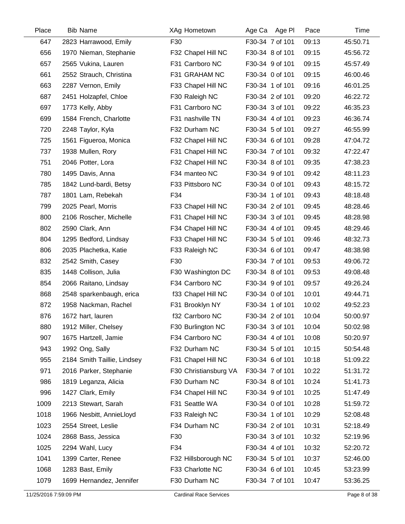| Place | <b>Bib Name</b>             | XAg Hometown          | Age Ca Age PI   | Pace  | Time     |
|-------|-----------------------------|-----------------------|-----------------|-------|----------|
| 647   | 2823 Harrawood, Emily       | F30                   | F30-34 7 of 101 | 09:13 | 45:50.71 |
| 656   | 1970 Nieman, Stephanie      | F32 Chapel Hill NC    | F30-34 8 of 101 | 09:15 | 45:56.72 |
| 657   | 2565 Vukina, Lauren         | F31 Carrboro NC       | F30-34 9 of 101 | 09:15 | 45:57.49 |
| 661   | 2552 Strauch, Christina     | F31 GRAHAM NC         | F30-34 0 of 101 | 09:15 | 46:00.46 |
| 663   | 2287 Vernon, Emily          | F33 Chapel Hill NC    | F30-34 1 of 101 | 09:16 | 46:01.25 |
| 687   | 2451 Holzapfel, Chloe       | F30 Raleigh NC        | F30-34 2 of 101 | 09:20 | 46:22.72 |
| 697   | 1773 Kelly, Abby            | F31 Carrboro NC       | F30-34 3 of 101 | 09:22 | 46:35.23 |
| 699   | 1584 French, Charlotte      | F31 nashville TN      | F30-34 4 of 101 | 09:23 | 46:36.74 |
| 720   | 2248 Taylor, Kyla           | F32 Durham NC         | F30-34 5 of 101 | 09:27 | 46:55.99 |
| 725   | 1561 Figueroa, Monica       | F32 Chapel Hill NC    | F30-34 6 of 101 | 09:28 | 47:04.72 |
| 737   | 1938 Mullen, Rory           | F31 Chapel Hill NC    | F30-34 7 of 101 | 09:32 | 47:22.47 |
| 751   | 2046 Potter, Lora           | F32 Chapel Hill NC    | F30-34 8 of 101 | 09:35 | 47:38.23 |
| 780   | 1495 Davis, Anna            | F34 manteo NC         | F30-34 9 of 101 | 09:42 | 48:11.23 |
| 785   | 1842 Lund-bardi, Betsy      | F33 Pittsboro NC      | F30-34 0 of 101 | 09:43 | 48:15.72 |
| 787   | 1801 Lam, Rebekah           | F34                   | F30-34 1 of 101 | 09:43 | 48:18.48 |
| 799   | 2025 Pearl, Morris          | F33 Chapel Hill NC    | F30-34 2 of 101 | 09:45 | 48:28.46 |
| 800   | 2106 Roscher, Michelle      | F31 Chapel Hill NC    | F30-34 3 of 101 | 09:45 | 48:28.98 |
| 802   | 2590 Clark, Ann             | F34 Chapel Hill NC    | F30-34 4 of 101 | 09:45 | 48:29.46 |
| 804   | 1295 Bedford, Lindsay       | F33 Chapel Hill NC    | F30-34 5 of 101 | 09:46 | 48:32.73 |
| 806   | 2035 Plachetka, Katie       | F33 Raleigh NC        | F30-34 6 of 101 | 09:47 | 48:38.98 |
| 832   | 2542 Smith, Casey           | F30                   | F30-34 7 of 101 | 09:53 | 49:06.72 |
| 835   | 1448 Collison, Julia        | F30 Washington DC     | F30-34 8 of 101 | 09:53 | 49:08.48 |
| 854   | 2066 Raitano, Lindsay       | F34 Carrboro NC       | F30-34 9 of 101 | 09:57 | 49:26.24 |
| 868   | 2548 sparkenbaugh, erica    | f33 Chapel Hill NC    | F30-34 0 of 101 | 10:01 | 49:44.71 |
| 872   | 1958 Nackman, Rachel        | F31 Brooklyn NY       | F30-34 1 of 101 | 10:02 | 49:52.23 |
| 876   | 1672 hart, lauren           | f32 Carrboro NC       | F30-34 2 of 101 | 10:04 | 50:00.97 |
| 880   | 1912 Miller, Chelsey        | F30 Burlington NC     | F30-34 3 of 101 | 10:04 | 50:02.98 |
| 907   | 1675 Hartzell, Jamie        | F34 Carrboro NC       | F30-34 4 of 101 | 10:08 | 50:20.97 |
| 943   | 1992 Ong, Sally             | F32 Durham NC         | F30-34 5 of 101 | 10:15 | 50:54.48 |
| 955   | 2184 Smith Taillie, Lindsey | F31 Chapel Hill NC    | F30-34 6 of 101 | 10:18 | 51:09.22 |
| 971   | 2016 Parker, Stephanie      | F30 Christiansburg VA | F30-34 7 of 101 | 10:22 | 51:31.72 |
| 986   | 1819 Leganza, Alicia        | F30 Durham NC         | F30-34 8 of 101 | 10:24 | 51:41.73 |
| 996   | 1427 Clark, Emily           | F34 Chapel Hill NC    | F30-34 9 of 101 | 10:25 | 51:47.49 |
| 1009  | 2213 Stewart, Sarah         | F31 Seattle WA        | F30-34 0 of 101 | 10:28 | 51:59.72 |
| 1018  | 1966 Nesbitt, AnnieLloyd    | F33 Raleigh NC        | F30-34 1 of 101 | 10:29 | 52:08.48 |
| 1023  | 2554 Street, Leslie         | F34 Durham NC         | F30-34 2 of 101 | 10:31 | 52:18.49 |
| 1024  | 2868 Bass, Jessica          | F30                   | F30-34 3 of 101 | 10:32 | 52:19.96 |
| 1025  | 2294 Wahl, Lucy             | F34                   | F30-34 4 of 101 | 10:32 | 52:20.72 |
| 1041  | 1399 Carter, Renee          | F32 Hillsborough NC   | F30-34 5 of 101 | 10:37 | 52:46.00 |
| 1068  | 1283 Bast, Emily            | F33 Charlotte NC      | F30-34 6 of 101 | 10:45 | 53:23.99 |
| 1079  | 1699 Hernandez, Jennifer    | F30 Durham NC         | F30-34 7 of 101 | 10:47 | 53:36.25 |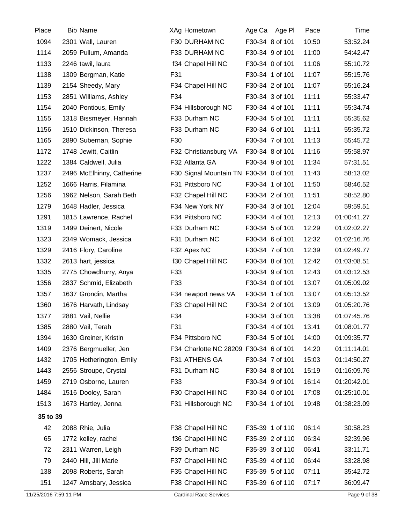| Place    | <b>Bib Name</b>           | XAg Hometown                           | Age Ca Age Pl   | Pace  | Time        |
|----------|---------------------------|----------------------------------------|-----------------|-------|-------------|
| 1094     | 2301 Wall, Lauren         | F30 DURHAM NC                          | F30-34 8 of 101 | 10:50 | 53:52.24    |
| 1114     | 2059 Pullum, Amanda       | F33 DURHAM NC                          | F30-34 9 of 101 | 11:00 | 54:42.47    |
| 1133     | 2246 tawil, laura         | f34 Chapel Hill NC                     | F30-34 0 of 101 | 11:06 | 55:10.72    |
| 1138     | 1309 Bergman, Katie       | F31                                    | F30-34 1 of 101 | 11:07 | 55:15.76    |
| 1139     | 2154 Sheedy, Mary         | F34 Chapel Hill NC                     | F30-34 2 of 101 | 11:07 | 55:16.24    |
| 1153     | 2851 Williams, Ashley     | F34                                    | F30-34 3 of 101 | 11:11 | 55:33.47    |
| 1154     | 2040 Pontious, Emily      | F34 Hillsborough NC                    | F30-34 4 of 101 | 11:11 | 55:34.74    |
| 1155     | 1318 Bissmeyer, Hannah    | F33 Durham NC                          | F30-34 5 of 101 | 11:11 | 55:35.62    |
| 1156     | 1510 Dickinson, Theresa   | F33 Durham NC                          | F30-34 6 of 101 | 11:11 | 55:35.72    |
| 1165     | 2890 Subernan, Sophie     | F30                                    | F30-34 7 of 101 | 11:13 | 55:45.72    |
| 1172     | 1748 Jewitt, Caitlin      | F32 Christiansburg VA                  | F30-34 8 of 101 | 11:16 | 55:58.97    |
| 1222     | 1384 Caldwell, Julia      | F32 Atlanta GA                         | F30-34 9 of 101 | 11:34 | 57:31.51    |
| 1237     | 2496 McElhinny, Catherine | F30 Signal Mountain TN F30-34 0 of 101 |                 | 11:43 | 58:13.02    |
| 1252     | 1666 Harris, Filamina     | F31 Pittsboro NC                       | F30-34 1 of 101 | 11:50 | 58:46.52    |
| 1256     | 1962 Nelson, Sarah Beth   | F32 Chapel Hill NC                     | F30-34 2 of 101 | 11:51 | 58:52.80    |
| 1279     | 1648 Hadler, Jessica      | F34 New York NY                        | F30-34 3 of 101 | 12:04 | 59:59.51    |
| 1291     | 1815 Lawrence, Rachel     | F34 Pittsboro NC                       | F30-34 4 of 101 | 12:13 | 01:00:41.27 |
| 1319     | 1499 Deinert, Nicole      | F33 Durham NC                          | F30-34 5 of 101 | 12:29 | 01:02:02.27 |
| 1323     | 2349 Womack, Jessica      | F31 Durham NC                          | F30-34 6 of 101 | 12:32 | 01:02:16.76 |
| 1329     | 2416 Flory, Caroline      | F32 Apex NC                            | F30-34 7 of 101 | 12:39 | 01:02:49.77 |
| 1332     | 2613 hart, jessica        | f30 Chapel Hill NC                     | F30-34 8 of 101 | 12:42 | 01:03:08.51 |
| 1335     | 2775 Chowdhurry, Anya     | F33                                    | F30-34 9 of 101 | 12:43 | 01:03:12.53 |
| 1356     | 2837 Schmid, Elizabeth    | F33                                    | F30-34 0 of 101 | 13:07 | 01:05:09.02 |
| 1357     | 1637 Grondin, Martha      | F34 newport news VA                    | F30-34 1 of 101 | 13:07 | 01:05:13.52 |
| 1360     | 1676 Harvath, Lindsay     | F33 Chapel Hill NC                     | F30-34 2 of 101 | 13:09 | 01:05:20.76 |
| 1377     | 2881 Vail, Nellie         | F34                                    | F30-34 3 of 101 | 13:38 | 01:07:45.76 |
| 1385     | 2880 Vail, Terah          | F31                                    | F30-34 4 of 101 | 13:41 | 01:08:01.77 |
| 1394     | 1630 Greiner, Kristin     | F34 Pittsboro NC                       | F30-34 5 of 101 | 14:00 | 01:09:35.77 |
| 1409     | 2376 Bergmueller, Jen     | F34 Charlotte NC 28209 F30-34 6 of 101 |                 | 14:20 | 01:11:14.01 |
| 1432     | 1705 Hetherington, Emily  | F31 ATHENS GA                          | F30-34 7 of 101 | 15:03 | 01:14:50.27 |
| 1443     | 2556 Stroupe, Crystal     | F31 Durham NC                          | F30-34 8 of 101 | 15:19 | 01:16:09.76 |
| 1459     | 2719 Osborne, Lauren      | F33                                    | F30-34 9 of 101 | 16:14 | 01:20:42.01 |
| 1484     | 1516 Dooley, Sarah        | F30 Chapel Hill NC                     | F30-34 0 of 101 | 17:08 | 01:25:10.01 |
| 1513     | 1673 Hartley, Jenna       | F31 Hillsborough NC                    | F30-34 1 of 101 | 19:48 | 01:38:23.09 |
| 35 to 39 |                           |                                        |                 |       |             |
| 42       | 2088 Rhie, Julia          | F38 Chapel Hill NC                     | F35-39 1 of 110 | 06:14 | 30:58.23    |
| 65       | 1772 kelley, rachel       | f36 Chapel Hill NC                     | F35-39 2 of 110 | 06:34 | 32:39.96    |
| 72       | 2311 Warren, Leigh        | F39 Durham NC                          | F35-39 3 of 110 | 06:41 | 33:11.71    |
| 79       | 2440 Hill, Jill Marie     | F37 Chapel Hill NC                     | F35-39 4 of 110 | 06:44 | 33:28.98    |
| 138      | 2098 Roberts, Sarah       | F35 Chapel Hill NC                     | F35-39 5 of 110 | 07:11 | 35:42.72    |
| 151      | 1247 Amsbary, Jessica     | F38 Chapel Hill NC                     | F35-39 6 of 110 | 07:17 | 36:09.47    |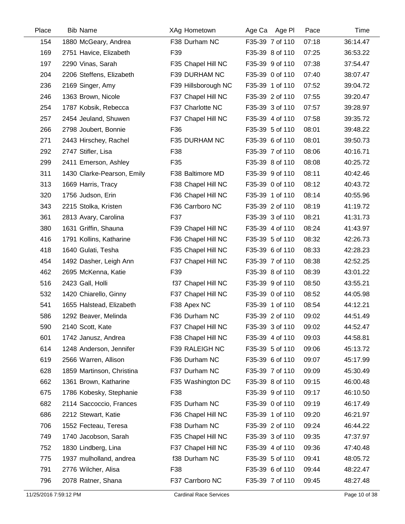| Place | <b>Bib Name</b>            | XAg Hometown        | Age Ca Age PI   | Pace  | Time     |
|-------|----------------------------|---------------------|-----------------|-------|----------|
| 154   | 1880 McGeary, Andrea       | F38 Durham NC       | F35-39 7 of 110 | 07:18 | 36:14.47 |
| 169   | 2751 Havice, Elizabeth     | F39                 | F35-39 8 of 110 | 07:25 | 36:53.22 |
| 197   | 2290 Vinas, Sarah          | F35 Chapel Hill NC  | F35-39 9 of 110 | 07:38 | 37:54.47 |
| 204   | 2206 Steffens, Elizabeth   | F39 DURHAM NC       | F35-39 0 of 110 | 07:40 | 38:07.47 |
| 236   | 2169 Singer, Amy           | F39 Hillsborough NC | F35-39 1 of 110 | 07:52 | 39:04.72 |
| 246   | 1363 Brown, Nicole         | F37 Chapel Hill NC  | F35-39 2 of 110 | 07:55 | 39:20.47 |
| 254   | 1787 Kobsik, Rebecca       | F37 Charlotte NC    | F35-39 3 of 110 | 07:57 | 39:28.97 |
| 257   | 2454 Jeuland, Shuwen       | F37 Chapel Hill NC  | F35-39 4 of 110 | 07:58 | 39:35.72 |
| 266   | 2798 Joubert, Bonnie       | F36                 | F35-39 5 of 110 | 08:01 | 39:48.22 |
| 271   | 2443 Hirschey, Rachel      | F35 DURHAM NC       | F35-39 6 of 110 | 08:01 | 39:50.73 |
| 292   | 2747 Stifler, Lisa         | F38                 | F35-39 7 of 110 | 08:06 | 40:16.71 |
| 299   | 2411 Emerson, Ashley       | F35                 | F35-39 8 of 110 | 08:08 | 40:25.72 |
| 311   | 1430 Clarke-Pearson, Emily | F38 Baltimore MD    | F35-39 9 of 110 | 08:11 | 40:42.46 |
| 313   | 1669 Harris, Tracy         | F38 Chapel Hill NC  | F35-39 0 of 110 | 08:12 | 40:43.72 |
| 320   | 1756 Judson, Erin          | F36 Chapel Hill NC  | F35-39 1 of 110 | 08:14 | 40:55.96 |
| 343   | 2215 Stolka, Kristen       | F36 Carrboro NC     | F35-39 2 of 110 | 08:19 | 41:19.72 |
| 361   | 2813 Avary, Carolina       | F37                 | F35-39 3 of 110 | 08:21 | 41:31.73 |
| 380   | 1631 Griffin, Shauna       | F39 Chapel Hill NC  | F35-39 4 of 110 | 08:24 | 41:43.97 |
| 416   | 1791 Kollins, Katharine    | F36 Chapel Hill NC  | F35-39 5 of 110 | 08:32 | 42:26.73 |
| 418   | 1640 Gulati, Tesha         | F35 Chapel Hill NC  | F35-39 6 of 110 | 08:33 | 42:28.23 |
| 454   | 1492 Dasher, Leigh Ann     | F37 Chapel Hill NC  | F35-39 7 of 110 | 08:38 | 42:52.25 |
| 462   | 2695 McKenna, Katie        | F39                 | F35-39 8 of 110 | 08:39 | 43:01.22 |
| 516   | 2423 Gall, Holli           | f37 Chapel Hill NC  | F35-39 9 of 110 | 08:50 | 43:55.21 |
| 532   | 1420 Chiarello, Ginny      | F37 Chapel Hill NC  | F35-39 0 of 110 | 08:52 | 44:05.98 |
| 541   | 1655 Halstead, Elizabeth   | F38 Apex NC         | F35-39 1 of 110 | 08:54 | 44:12.21 |
| 586   | 1292 Beaver, Melinda       | F36 Durham NC       | F35-39 2 of 110 | 09:02 | 44:51.49 |
| 590   | 2140 Scott, Kate           | F37 Chapel Hill NC  | F35-39 3 of 110 | 09:02 | 44:52.47 |
| 601   | 1742 Janusz, Andrea        | F38 Chapel Hill NC  | F35-39 4 of 110 | 09:03 | 44:58.81 |
| 614   | 1248 Anderson, Jennifer    | F39 RALEIGH NC      | F35-39 5 of 110 | 09:06 | 45:13.72 |
| 619   | 2566 Warren, Allison       | F36 Durham NC       | F35-39 6 of 110 | 09:07 | 45:17.99 |
| 628   | 1859 Martinson, Christina  | F37 Durham NC       | F35-39 7 of 110 | 09:09 | 45:30.49 |
| 662   | 1361 Brown, Katharine      | F35 Washington DC   | F35-39 8 of 110 | 09:15 | 46:00.48 |
| 675   | 1786 Kobesky, Stephanie    | F38                 | F35-39 9 of 110 | 09:17 | 46:10.50 |
| 682   | 2114 Saccoccio, Frances    | F35 Durham NC       | F35-39 0 of 110 | 09:19 | 46:17.49 |
| 686   | 2212 Stewart, Katie        | F36 Chapel Hill NC  | F35-39 1 of 110 | 09:20 | 46:21.97 |
| 706   | 1552 Fecteau, Teresa       | F38 Durham NC       | F35-39 2 of 110 | 09:24 | 46:44.22 |
| 749   | 1740 Jacobson, Sarah       | F35 Chapel Hill NC  | F35-39 3 of 110 | 09:35 | 47:37.97 |
| 752   | 1830 Lindberg, Lina        | F37 Chapel Hill NC  | F35-39 4 of 110 | 09:36 | 47:40.48 |
| 775   | 1937 mulholland, andrea    | f38 Durham NC       | F35-39 5 of 110 | 09:41 | 48:05.72 |
| 791   | 2776 Wilcher, Alisa        | F38                 | F35-39 6 of 110 | 09:44 | 48:22.47 |
| 796   | 2078 Ratner, Shana         | F37 Carrboro NC     | F35-39 7 of 110 | 09:45 | 48:27.48 |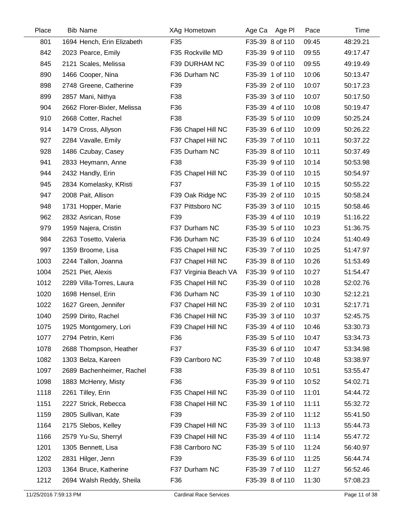| Place | <b>Bib Name</b>             | XAg Hometown          | Age Ca<br>Age Pl | Pace  | Time     |
|-------|-----------------------------|-----------------------|------------------|-------|----------|
| 801   | 1694 Hench, Erin Elizabeth  | F35                   | F35-39 8 of 110  | 09:45 | 48:29.21 |
| 842   | 2023 Pearce, Emily          | F35 Rockville MD      | F35-39 9 of 110  | 09:55 | 49:17.47 |
| 845   | 2121 Scales, Melissa        | F39 DURHAM NC         | F35-39 0 of 110  | 09:55 | 49:19.49 |
| 890   | 1466 Cooper, Nina           | F36 Durham NC         | F35-39 1 of 110  | 10:06 | 50:13.47 |
| 898   | 2748 Greene, Catherine      | F39                   | F35-39 2 of 110  | 10:07 | 50:17.23 |
| 899   | 2857 Mani, Nithya           | F38                   | F35-39 3 of 110  | 10:07 | 50:17.50 |
| 904   | 2662 Florer-Bixler, Melissa | F36                   | F35-39 4 of 110  | 10:08 | 50:19.47 |
| 910   | 2668 Cotter, Rachel         | F38                   | F35-39 5 of 110  | 10:09 | 50:25.24 |
| 914   | 1479 Cross, Allyson         | F36 Chapel Hill NC    | F35-39 6 of 110  | 10:09 | 50:26.22 |
| 927   | 2284 Vavalle, Emily         | F37 Chapel Hill NC    | F35-39 7 of 110  | 10:11 | 50:37.22 |
| 928   | 1486 Czubay, Casey          | F35 Durham NC         | F35-39 8 of 110  | 10:11 | 50:37.49 |
| 941   | 2833 Heymann, Anne          | F38                   | F35-39 9 of 110  | 10:14 | 50:53.98 |
| 944   | 2432 Handly, Erin           | F35 Chapel Hill NC    | F35-39 0 of 110  | 10:15 | 50:54.97 |
| 945   | 2834 Komelasky, KRisti      | F37                   | F35-39 1 of 110  | 10:15 | 50:55.22 |
| 947   | 2008 Pait, Allison          | F39 Oak Ridge NC      | F35-39 2 of 110  | 10:15 | 50:58.24 |
| 948   | 1731 Hopper, Marie          | F37 Pittsboro NC      | F35-39 3 of 110  | 10:15 | 50:58.46 |
| 962   | 2832 Asrican, Rose          | F39                   | F35-39 4 of 110  | 10:19 | 51:16.22 |
| 979   | 1959 Najera, Cristin        | F37 Durham NC         | F35-39 5 of 110  | 10:23 | 51:36.75 |
| 984   | 2263 Tosetto, Valeria       | F36 Durham NC         | F35-39 6 of 110  | 10:24 | 51:40.49 |
| 997   | 1359 Broome, Lisa           | F35 Chapel Hill NC    | F35-39 7 of 110  | 10:25 | 51:47.97 |
| 1003  | 2244 Tallon, Joanna         | F37 Chapel Hill NC    | F35-39 8 of 110  | 10:26 | 51:53.49 |
| 1004  | 2521 Piet, Alexis           | F37 Virginia Beach VA | F35-39 9 of 110  | 10:27 | 51:54.47 |
| 1012  | 2289 Villa-Torres, Laura    | F35 Chapel Hill NC    | F35-39 0 of 110  | 10:28 | 52:02.76 |
| 1020  | 1698 Hensel, Erin           | F36 Durham NC         | F35-39 1 of 110  | 10:30 | 52:12.21 |
| 1022  | 1627 Green, Jennifer        | F37 Chapel Hill NC    | F35-39 2 of 110  | 10:31 | 52:17.71 |
| 1040  | 2599 Dirito, Rachel         | F36 Chapel Hill NC    | F35-39 3 of 110  | 10:37 | 52:45.75 |
| 1075  | 1925 Montgomery, Lori       | F39 Chapel Hill NC    | F35-39 4 of 110  | 10:46 | 53:30.73 |
| 1077  | 2794 Petrin, Kerri          | F36                   | F35-39 5 of 110  | 10:47 | 53:34.73 |
| 1078  | 2688 Thompson, Heather      | F37                   | F35-39 6 of 110  | 10:47 | 53:34.98 |
| 1082  | 1303 Belza, Kareen          | F39 Carrboro NC       | F35-39 7 of 110  | 10:48 | 53:38.97 |
| 1097  | 2689 Bachenheimer, Rachel   | F38                   | F35-39 8 of 110  | 10:51 | 53:55.47 |
| 1098  | 1883 McHenry, Misty         | F36                   | F35-39 9 of 110  | 10:52 | 54:02.71 |
| 1118  | 2261 Tilley, Erin           | F35 Chapel Hill NC    | F35-39 0 of 110  | 11:01 | 54:44.72 |
| 1151  | 2227 Strick, Rebecca        | F38 Chapel Hill NC    | F35-39 1 of 110  | 11:11 | 55:32.72 |
| 1159  | 2805 Sullivan, Kate         | F39                   | F35-39 2 of 110  | 11:12 | 55:41.50 |
| 1164  | 2175 Slebos, Kelley         | F39 Chapel Hill NC    | F35-39 3 of 110  | 11:13 | 55:44.73 |
| 1166  | 2579 Yu-Su, Sherryl         | F39 Chapel Hill NC    | F35-39 4 of 110  | 11:14 | 55:47.72 |
| 1201  | 1305 Bennett, Lisa          | F38 Carrboro NC       | F35-39 5 of 110  | 11:24 | 56:40.97 |
| 1202  | 2831 Hilger, Jenn           | F39                   | F35-39 6 of 110  | 11:25 | 56:44.74 |
| 1203  | 1364 Bruce, Katherine       | F37 Durham NC         | F35-39 7 of 110  | 11:27 | 56:52.46 |
| 1212  | 2694 Walsh Reddy, Sheila    | F36                   | F35-39 8 of 110  | 11:30 | 57:08.23 |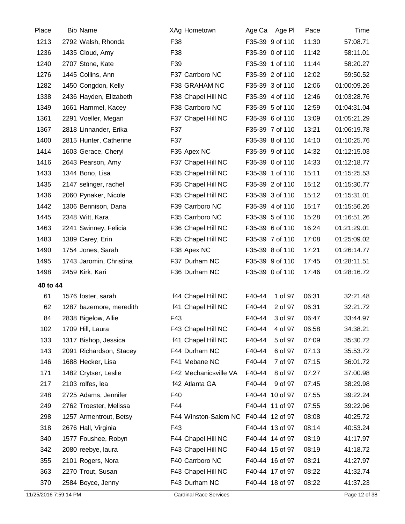| Place    | <b>Bib Name</b>         | <b>XAg Hometown</b>   | Age Ca Age PI     | Time<br>Pace         |  |
|----------|-------------------------|-----------------------|-------------------|----------------------|--|
| 1213     | 2792 Walsh, Rhonda      | F38                   | F35-39 9 of 110   | 11:30<br>57:08.71    |  |
| 1236     | 1435 Cloud, Amy         | F38                   | F35-39 0 of 110   | 11:42<br>58:11.01    |  |
| 1240     | 2707 Stone, Kate        | F39                   | F35-39 1 of 110   | 11:44<br>58:20.27    |  |
| 1276     | 1445 Collins, Ann       | F37 Carrboro NC       | F35-39 2 of 110   | 12:02<br>59:50.52    |  |
| 1282     | 1450 Congdon, Kelly     | F38 GRAHAM NC         | F35-39 3 of 110   | 12:06<br>01:00:09.26 |  |
| 1338     | 2436 Hayden, Elizabeth  | F38 Chapel Hill NC    | F35-39 4 of 110   | 12:46<br>01:03:28.76 |  |
| 1349     | 1661 Hammel, Kacey      | F38 Carrboro NC       | F35-39 5 of 110   | 12:59<br>01:04:31.04 |  |
| 1361     | 2291 Voeller, Megan     | F37 Chapel Hill NC    | F35-39 6 of 110   | 13:09<br>01:05:21.29 |  |
| 1367     | 2818 Linnander, Erika   | F37                   | F35-39 7 of 110   | 13:21<br>01:06:19.78 |  |
| 1400     | 2815 Hunter, Catherine  | F37                   | F35-39 8 of 110   | 14:10<br>01:10:25.76 |  |
| 1414     | 1603 Gerace, Cheryl     | F35 Apex NC           | F35-39 9 of 110   | 14:32<br>01:12:15.03 |  |
| 1416     | 2643 Pearson, Amy       | F37 Chapel Hill NC    | F35-39 0 of 110   | 14:33<br>01:12:18.77 |  |
| 1433     | 1344 Bono, Lisa         | F35 Chapel Hill NC    | F35-39 1 of 110   | 15:11<br>01:15:25.53 |  |
| 1435     | 2147 selinger, rachel   | F35 Chapel Hill NC    | F35-39 2 of 110   | 15:12<br>01:15:30.77 |  |
| 1436     | 2060 Pynaker, Nicole    | F35 Chapel Hill NC    | F35-39 3 of 110   | 15:12<br>01:15:31.01 |  |
| 1442     | 1306 Bennison, Dana     | F39 Carrboro NC       | F35-39 4 of 110   | 15:17<br>01:15:56.26 |  |
| 1445     | 2348 Witt, Kara         | F35 Carrboro NC       | F35-39 5 of 110   | 15:28<br>01:16:51.26 |  |
| 1463     | 2241 Swinney, Felicia   | F36 Chapel Hill NC    | F35-39 6 of 110   | 16:24<br>01:21:29.01 |  |
| 1483     | 1389 Carey, Erin        | F35 Chapel Hill NC    | F35-39 7 of 110   | 17:08<br>01:25:09.02 |  |
| 1490     | 1754 Jones, Sarah       | F38 Apex NC           | F35-39 8 of 110   | 17:21<br>01:26:14.77 |  |
| 1495     | 1743 Jaromin, Christina | F37 Durham NC         | F35-39 9 of 110   | 17:45<br>01:28:11.51 |  |
| 1498     | 2459 Kirk, Kari         | F36 Durham NC         | F35-39 0 of 110   | 17:46<br>01:28:16.72 |  |
| 40 to 44 |                         |                       |                   |                      |  |
| 61       | 1576 foster, sarah      | f44 Chapel Hill NC    | F40-44<br>1 of 97 | 06:31<br>32:21.48    |  |
| 62       | 1287 bazemore, meredith | f41 Chapel Hill NC    | F40-44<br>2 of 97 | 06:31<br>32:21.72    |  |
| 84       | 2838 Bigelow, Allie     | F43                   | F40-44<br>3 of 97 | 06:47<br>33:44.97    |  |
| 102      | 1709 Hill, Laura        | F43 Chapel Hill NC    | F40-44<br>4 of 97 | 06:58<br>34:38.21    |  |
| 133      | 1317 Bishop, Jessica    | f41 Chapel Hill NC    | F40-44<br>5 of 97 | 07:09<br>35:30.72    |  |
| 143      | 2091 Richardson, Stacey | F44 Durham NC         | F40-44<br>6 of 97 | 07:13<br>35:53.72    |  |
| 146      | 1688 Hecker, Lisa       | F41 Mebane NC         | F40-44<br>7 of 97 | 07:15<br>36:01.72    |  |
| 171      | 1482 Crytser, Leslie    | F42 Mechanicsville VA | F40-44<br>8 of 97 | 07:27<br>37:00.98    |  |
| 217      | 2103 rolfes, lea        | f42 Atlanta GA        | F40-44<br>9 of 97 | 07:45<br>38:29.98    |  |
| 248      | 2725 Adams, Jennifer    | F40                   | F40-44 10 of 97   | 07:55<br>39:22.24    |  |
| 249      | 2762 Troester, Melissa  | F44                   | F40-44 11 of 97   | 07:55<br>39:22.96    |  |
| 298      | 1257 Armentrout, Betsy  | F44 Winston-Salem NC  | F40-44 12 of 97   | 08:08<br>40:25.72    |  |
| 318      | 2676 Hall, Virginia     | F43                   | F40-44 13 of 97   | 08:14<br>40:53.24    |  |
| 340      | 1577 Foushee, Robyn     | F44 Chapel Hill NC    | F40-44 14 of 97   | 08:19<br>41:17.97    |  |
| 342      | 2080 reebye, laura      | F43 Chapel Hill NC    | F40-44 15 of 97   | 08:19<br>41:18.72    |  |
| 355      | 2101 Rogers, Nora       | F40 Carrboro NC       | F40-44 16 of 97   | 08:21<br>41:27.97    |  |
| 363      | 2270 Trout, Susan       | F43 Chapel Hill NC    | F40-44 17 of 97   | 08:22<br>41:32.74    |  |
| 370      | 2584 Boyce, Jenny       | F43 Durham NC         | F40-44 18 of 97   | 08:22<br>41:37.23    |  |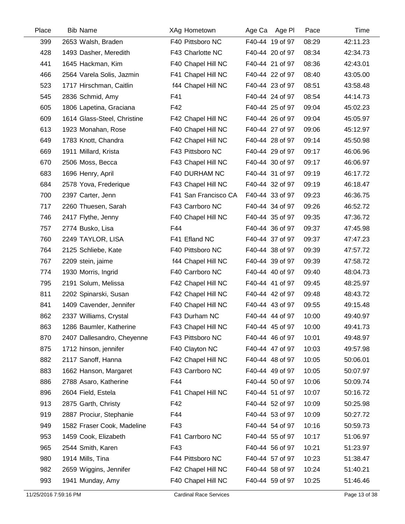| Place | <b>Bib Name</b>             | XAg Hometown         | Age Pl<br>Age Ca | Pace  | Time     |
|-------|-----------------------------|----------------------|------------------|-------|----------|
| 399   | 2653 Walsh, Braden          | F40 Pittsboro NC     | F40-44 19 of 97  | 08:29 | 42:11.23 |
| 428   | 1493 Dasher, Meredith       | F43 Charlotte NC     | F40-44 20 of 97  | 08:34 | 42:34.73 |
| 441   | 1645 Hackman, Kim           | F40 Chapel Hill NC   | F40-44 21 of 97  | 08:36 | 42:43.01 |
| 466   | 2564 Varela Solis, Jazmin   | F41 Chapel Hill NC   | F40-44 22 of 97  | 08:40 | 43:05.00 |
| 523   | 1717 Hirschman, Caitlin     | f44 Chapel Hill NC   | F40-44 23 of 97  | 08:51 | 43:58.48 |
| 545   | 2836 Schmid, Amy            | F41                  | F40-44 24 of 97  | 08:54 | 44:14.73 |
| 605   | 1806 Lapetina, Graciana     | F42                  | F40-44 25 of 97  | 09:04 | 45:02.23 |
| 609   | 1614 Glass-Steel, Christine | F42 Chapel Hill NC   | F40-44 26 of 97  | 09:04 | 45:05.97 |
| 613   | 1923 Monahan, Rose          | F40 Chapel Hill NC   | F40-44 27 of 97  | 09:06 | 45:12.97 |
| 649   | 1783 Knott, Chandra         | F42 Chapel Hill NC   | F40-44 28 of 97  | 09:14 | 45:50.98 |
| 669   | 1911 Millard, Krista        | F43 Pittsboro NC     | F40-44 29 of 97  | 09:17 | 46:06.96 |
| 670   | 2506 Moss, Becca            | F43 Chapel Hill NC   | F40-44 30 of 97  | 09:17 | 46:06.97 |
| 683   | 1696 Henry, April           | F40 DURHAM NC        | F40-44 31 of 97  | 09:19 | 46:17.72 |
| 684   | 2578 Yova, Frederique       | F43 Chapel Hill NC   | F40-44 32 of 97  | 09:19 | 46:18.47 |
| 700   | 2397 Carter, Jenn           | F41 San Francisco CA | F40-44 33 of 97  | 09:23 | 46:36.75 |
| 717   | 2260 Thuesen, Sarah         | F43 Carrboro NC      | F40-44 34 of 97  | 09:26 | 46:52.72 |
| 746   | 2417 Flythe, Jenny          | F40 Chapel Hill NC   | F40-44 35 of 97  | 09:35 | 47:36.72 |
| 757   | 2774 Busko, Lisa            | F44                  | F40-44 36 of 97  | 09:37 | 47:45.98 |
| 760   | 2249 TAYLOR, LISA           | F41 Efland NC        | F40-44 37 of 97  | 09:37 | 47:47.23 |
| 764   | 2125 Schliebe, Kate         | F40 Pittsboro NC     | F40-44 38 of 97  | 09:39 | 47:57.72 |
| 767   | 2209 stein, jaime           | f44 Chapel Hill NC   | F40-44 39 of 97  | 09:39 | 47:58.72 |
| 774   | 1930 Morris, Ingrid         | F40 Carrboro NC      | F40-44 40 of 97  | 09:40 | 48:04.73 |
| 795   | 2191 Solum, Melissa         | F42 Chapel Hill NC   | F40-44 41 of 97  | 09:45 | 48:25.97 |
| 811   | 2202 Spinarski, Susan       | F42 Chapel Hill NC   | F40-44 42 of 97  | 09:48 | 48:43.72 |
| 841   | 1409 Cavender, Jennifer     | F40 Chapel Hill NC   | F40-44 43 of 97  | 09:55 | 49:15.48 |
| 862   | 2337 Williams, Crystal      | F43 Durham NC        | F40-44 44 of 97  | 10:00 | 49:40.97 |
| 863   | 1286 Baumler, Katherine     | F43 Chapel Hill NC   | F40-44 45 of 97  | 10:00 | 49:41.73 |
| 870   | 2407 Dallesandro, Cheyenne  | F43 Pittsboro NC     | F40-44 46 of 97  | 10:01 | 49:48.97 |
| 875   | 1712 hinson, jennifer       | F40 Clayton NC       | F40-44 47 of 97  | 10:03 | 49:57.98 |
| 882   | 2117 Sanoff, Hanna          | F42 Chapel Hill NC   | F40-44 48 of 97  | 10:05 | 50:06.01 |
| 883   | 1662 Hanson, Margaret       | F43 Carrboro NC      | F40-44 49 of 97  | 10:05 | 50:07.97 |
| 886   | 2788 Asaro, Katherine       | F44                  | F40-44 50 of 97  | 10:06 | 50:09.74 |
| 896   | 2604 Field, Estela          | F41 Chapel Hill NC   | F40-44 51 of 97  | 10:07 | 50:16.72 |
| 913   | 2875 Garth, Christy         | F42                  | F40-44 52 of 97  | 10:09 | 50:25.98 |
| 919   | 2887 Prociur, Stephanie     | F44                  | F40-44 53 of 97  | 10:09 | 50:27.72 |
| 949   | 1582 Fraser Cook, Madeline  | F43                  | F40-44 54 of 97  | 10:16 | 50:59.73 |
| 953   | 1459 Cook, Elizabeth        | F41 Carrboro NC      | F40-44 55 of 97  | 10:17 | 51:06.97 |
| 965   | 2544 Smith, Karen           | F43                  | F40-44 56 of 97  | 10:21 | 51:23.97 |
| 980   | 1914 Mills, Tina            | F44 Pittsboro NC     | F40-44 57 of 97  | 10:23 | 51:38.47 |
| 982   | 2659 Wiggins, Jennifer      | F42 Chapel Hill NC   | F40-44 58 of 97  | 10:24 | 51:40.21 |
| 993   | 1941 Munday, Amy            | F40 Chapel Hill NC   | F40-44 59 of 97  | 10:25 | 51:46.46 |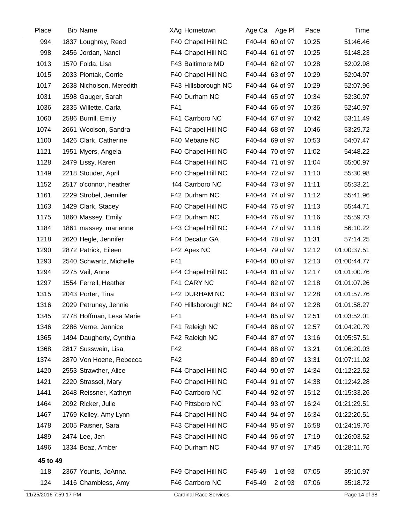| Place                 | <b>Bib Name</b>          | XAg Hometown                  | Age Pl<br>Age Ca  | Pace  | Time          |
|-----------------------|--------------------------|-------------------------------|-------------------|-------|---------------|
| 994                   | 1837 Loughrey, Reed      | F40 Chapel Hill NC            | F40-44 60 of 97   | 10:25 | 51:46.46      |
| 998                   | 2456 Jordan, Nanci       | F44 Chapel Hill NC            | F40-44 61 of 97   | 10:25 | 51:48.23      |
| 1013                  | 1570 Folda, Lisa         | F43 Baltimore MD              | F40-44 62 of 97   | 10:28 | 52:02.98      |
| 1015                  | 2033 Piontak, Corrie     | F40 Chapel Hill NC            | F40-44 63 of 97   | 10:29 | 52:04.97      |
| 1017                  | 2638 Nicholson, Meredith | F43 Hillsborough NC           | F40-44 64 of 97   | 10:29 | 52:07.96      |
| 1031                  | 1598 Gauger, Sarah       | F40 Durham NC                 | F40-44 65 of 97   | 10:34 | 52:30.97      |
| 1036                  | 2335 Willette, Carla     | F41                           | F40-44 66 of 97   | 10:36 | 52:40.97      |
| 1060                  | 2586 Burrill, Emily      | F41 Carrboro NC               | F40-44 67 of 97   | 10:42 | 53:11.49      |
| 1074                  | 2661 Woolson, Sandra     | F41 Chapel Hill NC            | F40-44 68 of 97   | 10:46 | 53:29.72      |
| 1100                  | 1426 Clark, Catherine    | F40 Mebane NC                 | F40-44 69 of 97   | 10:53 | 54:07.47      |
| 1121                  | 1951 Myers, Angela       | F40 Chapel Hill NC            | F40-44 70 of 97   | 11:02 | 54:48.22      |
| 1128                  | 2479 Lissy, Karen        | F44 Chapel Hill NC            | F40-44 71 of 97   | 11:04 | 55:00.97      |
| 1149                  | 2218 Stouder, April      | F40 Chapel Hill NC            | F40-44 72 of 97   | 11:10 | 55:30.98      |
| 1152                  | 2517 o'connor, heather   | f44 Carrboro NC               | F40-44 73 of 97   | 11:11 | 55:33.21      |
| 1161                  | 2229 Strobel, Jennifer   | F42 Durham NC                 | F40-44 74 of 97   | 11:12 | 55:41.96      |
| 1163                  | 1429 Clark, Stacey       | F40 Chapel Hill NC            | F40-44 75 of 97   | 11:13 | 55:44.71      |
| 1175                  | 1860 Massey, Emily       | F42 Durham NC                 | F40-44 76 of 97   | 11:16 | 55:59.73      |
| 1184                  | 1861 massey, marianne    | F43 Chapel Hill NC            | F40-44 77 of 97   | 11:18 | 56:10.22      |
| 1218                  | 2620 Hegle, Jennifer     | F44 Decatur GA                | F40-44 78 of 97   | 11:31 | 57:14.25      |
| 1290                  | 2872 Patrick, Eileen     | F42 Apex NC                   | F40-44 79 of 97   | 12:12 | 01:00:37.51   |
| 1293                  | 2540 Schwartz, Michelle  | F41                           | F40-44 80 of 97   | 12:13 | 01:00:44.77   |
| 1294                  | 2275 Vail, Anne          | F44 Chapel Hill NC            | F40-44 81 of 97   | 12:17 | 01:01:00.76   |
| 1297                  | 1554 Ferrell, Heather    | F41 CARY NC                   | F40-44 82 of 97   | 12:18 | 01:01:07.26   |
| 1315                  | 2043 Porter, Tina        | F42 DURHAM NC                 | F40-44 83 of 97   | 12:28 | 01:01:57.76   |
| 1316                  | 2029 Petruney, Jennie    | F40 Hillsborough NC           | F40-44 84 of 97   | 12:28 | 01:01:58.27   |
| 1345                  | 2778 Hoffman, Lesa Marie | F41                           | F40-44 85 of 97   | 12:51 | 01:03:52.01   |
| 1346                  | 2286 Verne, Jannice      | F41 Raleigh NC                | F40-44 86 of 97   | 12:57 | 01:04:20.79   |
| 1365                  | 1494 Daugherty, Cynthia  | F42 Raleigh NC                | F40-44 87 of 97   | 13:16 | 01:05:57.51   |
| 1368                  | 2817 Susswein, Lisa      | F42                           | F40-44 88 of 97   | 13:21 | 01:06:20.03   |
| 1374                  | 2870 Von Hoene, Rebecca  | F42                           | F40-44 89 of 97   | 13:31 | 01:07:11.02   |
| 1420                  | 2553 Strawther, Alice    | F44 Chapel Hill NC            | F40-44 90 of 97   | 14:34 | 01:12:22.52   |
| 1421                  | 2220 Strassel, Mary      | F40 Chapel Hill NC            | F40-44 91 of 97   | 14:38 | 01:12:42.28   |
| 1441                  | 2648 Reissner, Kathryn   | F40 Carrboro NC               | F40-44 92 of 97   | 15:12 | 01:15:33.26   |
| 1464                  | 2092 Ricker, Julie       | F40 Pittsboro NC              | F40-44 93 of 97   | 16:24 | 01:21:29.51   |
| 1467                  | 1769 Kelley, Amy Lynn    | F44 Chapel Hill NC            | F40-44 94 of 97   | 16:34 | 01:22:20.51   |
| 1478                  | 2005 Paisner, Sara       | F43 Chapel Hill NC            | F40-44 95 of 97   | 16:58 | 01:24:19.76   |
| 1489                  | 2474 Lee, Jen            | F43 Chapel Hill NC            | F40-44 96 of 97   | 17:19 | 01:26:03.52   |
| 1496                  | 1334 Boaz, Amber         | F40 Durham NC                 | F40-44 97 of 97   | 17:45 | 01:28:11.76   |
| 45 to 49              |                          |                               |                   |       |               |
| 118                   | 2367 Younts, JoAnna      | F49 Chapel Hill NC            | 1 of 93<br>F45-49 | 07:05 | 35:10.97      |
| 124                   | 1416 Chambless, Amy      | F46 Carrboro NC               | F45-49<br>2 of 93 | 07:06 | 35:18.72      |
| 11/25/2016 7:59:17 PM |                          | <b>Cardinal Race Services</b> |                   |       | Page 14 of 38 |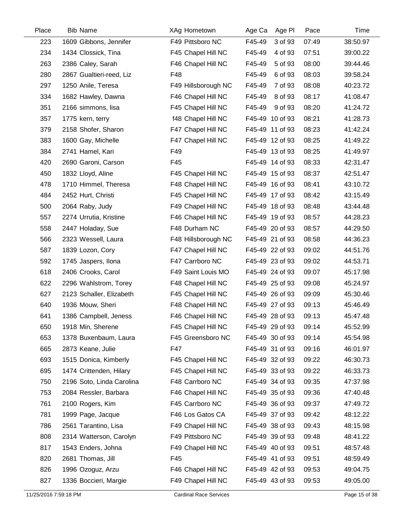| Place | <b>Bib Name</b>           | XAg Hometown        | Age Ca<br>Age Pl  | Pace  | Time     |
|-------|---------------------------|---------------------|-------------------|-------|----------|
| 223   | 1609 Gibbons, Jennifer    | F49 Pittsboro NC    | F45-49<br>3 of 93 | 07:49 | 38:50.97 |
| 234   | 1434 Clossick, Tina       | F45 Chapel Hill NC  | F45-49<br>4 of 93 | 07:51 | 39:00.22 |
| 263   | 2386 Caley, Sarah         | F46 Chapel Hill NC  | F45-49<br>5 of 93 | 08:00 | 39:44.46 |
| 280   | 2867 Gualtieri-reed, Liz  | F48                 | F45-49<br>6 of 93 | 08:03 | 39:58.24 |
| 297   | 1250 Anile, Teresa        | F49 Hillsborough NC | F45-49<br>7 of 93 | 08:08 | 40:23.72 |
| 334   | 1682 Hawley, Dawna        | F46 Chapel Hill NC  | F45-49<br>8 of 93 | 08:17 | 41:08.47 |
| 351   | 2166 simmons, lisa        | F45 Chapel Hill NC  | F45-49<br>9 of 93 | 08:20 | 41:24.72 |
| 357   | 1775 kern, terry          | f48 Chapel Hill NC  | F45-49 10 of 93   | 08:21 | 41:28.73 |
| 379   | 2158 Shofer, Sharon       | F47 Chapel Hill NC  | F45-49 11 of 93   | 08:23 | 41:42.24 |
| 383   | 1600 Gay, Michelle        | F47 Chapel Hill NC  | F45-49 12 of 93   | 08:25 | 41:49.22 |
| 384   | 2741 Hamel, Kari          | F49                 | F45-49 13 of 93   | 08:25 | 41:49.97 |
| 420   | 2690 Garoni, Carson       | F45                 | F45-49 14 of 93   | 08:33 | 42:31.47 |
| 450   | 1832 Lloyd, Aline         | F45 Chapel Hill NC  | F45-49 15 of 93   | 08:37 | 42:51.47 |
| 478   | 1710 Himmel, Theresa      | F48 Chapel Hill NC  | F45-49 16 of 93   | 08:41 | 43:10.72 |
| 484   | 2452 Hurt, Christi        | F45 Chapel Hill NC  | F45-49 17 of 93   | 08:42 | 43:15.49 |
| 500   | 2064 Raby, Judy           | F49 Chapel Hill NC  | F45-49 18 of 93   | 08:48 | 43:44.48 |
| 557   | 2274 Urrutia, Kristine    | F46 Chapel Hill NC  | F45-49 19 of 93   | 08:57 | 44:28.23 |
| 558   | 2447 Holaday, Sue         | F48 Durham NC       | F45-49 20 of 93   | 08:57 | 44:29.50 |
| 566   | 2323 Wessell, Laura       | F48 Hillsborough NC | F45-49 21 of 93   | 08:58 | 44:36.23 |
| 587   | 1839 Lozon, Cory          | F47 Chapel Hill NC  | F45-49 22 of 93   | 09:02 | 44:51.76 |
| 592   | 1745 Jaspers, Ilona       | F47 Carrboro NC     | F45-49 23 of 93   | 09:02 | 44:53.71 |
| 618   | 2406 Crooks, Carol        | F49 Saint Louis MO  | F45-49 24 of 93   | 09:07 | 45:17.98 |
| 622   | 2296 Wahlstrom, Torey     | F48 Chapel Hill NC  | F45-49 25 of 93   | 09:08 | 45:24.97 |
| 627   | 2123 Schaller, Elizabeth  | F45 Chapel Hill NC  | F45-49 26 of 93   | 09:09 | 45:30.46 |
| 640   | 1936 Mouw, Sheri          | F48 Chapel Hill NC  | F45-49 27 of 93   | 09:13 | 45:46.49 |
| 641   | 1386 Campbell, Jeness     | F46 Chapel Hill NC  | F45-49 28 of 93   | 09:13 | 45:47.48 |
| 650   | 1918 Min, Sherene         | F45 Chapel Hill NC  | F45-49 29 of 93   | 09:14 | 45:52.99 |
| 653   | 1378 Buxenbaum, Laura     | F45 Greensboro NC   | F45-49 30 of 93   | 09:14 | 45:54.98 |
| 665   | 2873 Keane, Julie         | F47                 | F45-49 31 of 93   | 09:16 | 46:01.97 |
| 693   | 1515 Donica, Kimberly     | F45 Chapel Hill NC  | F45-49 32 of 93   | 09:22 | 46:30.73 |
| 695   | 1474 Crittenden, Hilary   | F45 Chapel Hill NC  | F45-49 33 of 93   | 09:22 | 46:33.73 |
| 750   | 2196 Soto, Linda Carolina | F48 Carrboro NC     | F45-49 34 of 93   | 09:35 | 47:37.98 |
| 753   | 2084 Ressler, Barbara     | F46 Chapel Hill NC  | F45-49 35 of 93   | 09:36 | 47:40.48 |
| 761   | 2100 Rogers, Kim          | F45 Carrboro NC     | F45-49 36 of 93   | 09:37 | 47:49.72 |
| 781   | 1999 Page, Jacque         | F46 Los Gatos CA    | F45-49 37 of 93   | 09:42 | 48:12.22 |
| 786   | 2561 Tarantino, Lisa      | F49 Chapel Hill NC  | F45-49 38 of 93   | 09:43 | 48:15.98 |
| 808   | 2314 Watterson, Carolyn   | F49 Pittsboro NC    | F45-49 39 of 93   | 09:48 | 48:41.22 |
| 817   | 1543 Enders, Johna        | F49 Chapel Hill NC  | F45-49 40 of 93   | 09:51 | 48:57.48 |
| 820   | 2681 Thomas, Jill         | F45                 | F45-49 41 of 93   | 09:51 | 48:59.49 |
| 826   | 1996 Ozoguz, Arzu         | F46 Chapel Hill NC  | F45-49 42 of 93   | 09:53 | 49:04.75 |
| 827   | 1336 Boccieri, Margie     | F49 Chapel Hill NC  | F45-49 43 of 93   | 09:53 | 49:05.00 |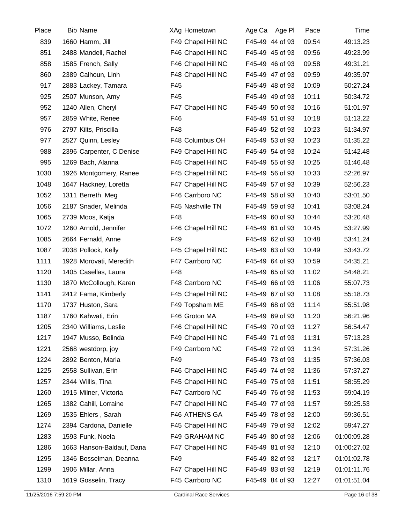| Place | <b>Bib Name</b>           | XAg Hometown       | Age Ca<br>Age PI | Pace  | Time        |
|-------|---------------------------|--------------------|------------------|-------|-------------|
| 839   | 1660 Hamm, Jill           | F49 Chapel Hill NC | F45-49 44 of 93  | 09:54 | 49:13.23    |
| 851   | 2488 Mandell, Rachel      | F46 Chapel Hill NC | F45-49 45 of 93  | 09:56 | 49:23.99    |
| 858   | 1585 French, Sally        | F46 Chapel Hill NC | F45-49 46 of 93  | 09:58 | 49:31.21    |
| 860   | 2389 Calhoun, Linh        | F48 Chapel Hill NC | F45-49 47 of 93  | 09:59 | 49:35.97    |
| 917   | 2883 Lackey, Tamara       | F45                | F45-49 48 of 93  | 10:09 | 50:27.24    |
| 925   | 2507 Munson, Amy          | F45                | F45-49 49 of 93  | 10:11 | 50:34.72    |
| 952   | 1240 Allen, Cheryl        | F47 Chapel Hill NC | F45-49 50 of 93  | 10:16 | 51:01.97    |
| 957   | 2859 White, Renee         | F46                | F45-49 51 of 93  | 10:18 | 51:13.22    |
| 976   | 2797 Kilts, Priscilla     | F48                | F45-49 52 of 93  | 10:23 | 51:34.97    |
| 977   | 2527 Quinn, Lesley        | F48 Columbus OH    | F45-49 53 of 93  | 10:23 | 51:35.22    |
| 988   | 2396 Carpenter, C Denise  | F49 Chapel Hill NC | F45-49 54 of 93  | 10:24 | 51:42.48    |
| 995   | 1269 Bach, Alanna         | F45 Chapel Hill NC | F45-49 55 of 93  | 10:25 | 51:46.48    |
| 1030  | 1926 Montgomery, Ranee    | F45 Chapel Hill NC | F45-49 56 of 93  | 10:33 | 52:26.97    |
| 1048  | 1647 Hackney, Loretta     | F47 Chapel Hill NC | F45-49 57 of 93  | 10:39 | 52:56.23    |
| 1052  | 1311 Berreth, Meg         | F46 Carrboro NC    | F45-49 58 of 93  | 10:40 | 53:01.50    |
| 1056  | 2187 Snader, Melinda      | F45 Nashville TN   | F45-49 59 of 93  | 10:41 | 53:08.24    |
| 1065  | 2739 Moos, Katja          | F48                | F45-49 60 of 93  | 10:44 | 53:20.48    |
| 1072  | 1260 Arnold, Jennifer     | F46 Chapel Hill NC | F45-49 61 of 93  | 10:45 | 53:27.99    |
| 1085  | 2664 Fernald, Anne        | F49                | F45-49 62 of 93  | 10:48 | 53:41.24    |
| 1087  | 2038 Pollock, Kelly       | F45 Chapel Hill NC | F45-49 63 of 93  | 10:49 | 53:43.72    |
| 1111  | 1928 Morovati, Meredith   | F47 Carrboro NC    | F45-49 64 of 93  | 10:59 | 54:35.21    |
| 1120  | 1405 Casellas, Laura      | F48                | F45-49 65 of 93  | 11:02 | 54:48.21    |
| 1130  | 1870 McCollough, Karen    | F48 Carrboro NC    | F45-49 66 of 93  | 11:06 | 55:07.73    |
| 1141  | 2412 Fama, Kimberly       | F45 Chapel Hill NC | F45-49 67 of 93  | 11:08 | 55:18.73    |
| 1170  | 1737 Huston, Sara         | F49 Topsham ME     | F45-49 68 of 93  | 11:14 | 55:51.98    |
| 1187  | 1760 Kahwati, Erin        | F46 Groton MA      | F45-49 69 of 93  | 11:20 | 56:21.96    |
| 1205  | 2340 Williams, Leslie     | F46 Chapel Hill NC | F45-49 70 of 93  | 11:27 | 56:54.47    |
| 1217  | 1947 Musso, Belinda       | F49 Chapel Hill NC | F45-49 71 of 93  | 11:31 | 57:13.23    |
| 1221  | 2568 westdorp, joy        | F49 Carrboro NC    | F45-49 72 of 93  | 11:34 | 57:31.26    |
| 1224  | 2892 Benton, Marla        | F49                | F45-49 73 of 93  | 11:35 | 57:36.03    |
| 1225  | 2558 Sullivan, Erin       | F46 Chapel Hill NC | F45-49 74 of 93  | 11:36 | 57:37.27    |
| 1257  | 2344 Willis, Tina         | F45 Chapel Hill NC | F45-49 75 of 93  | 11:51 | 58:55.29    |
| 1260  | 1915 Milner, Victoria     | F47 Carrboro NC    | F45-49 76 of 93  | 11:53 | 59:04.19    |
| 1265  | 1382 Cahill, Lorraine     | F47 Chapel Hill NC | F45-49 77 of 93  | 11:57 | 59:25.53    |
| 1269  | 1535 Ehlers, Sarah        | F46 ATHENS GA      | F45-49 78 of 93  | 12:00 | 59:36.51    |
| 1274  | 2394 Cardona, Danielle    | F45 Chapel Hill NC | F45-49 79 of 93  | 12:02 | 59:47.27    |
| 1283  | 1593 Funk, Noela          | F49 GRAHAM NC      | F45-49 80 of 93  | 12:06 | 01:00:09.28 |
| 1286  | 1663 Hanson-Baldauf, Dana | F47 Chapel Hill NC | F45-49 81 of 93  | 12:10 | 01:00:27.02 |
| 1295  | 1346 Bosselman, Deanna    | F49                | F45-49 82 of 93  | 12:17 | 01:01:02.78 |
| 1299  | 1906 Millar, Anna         | F47 Chapel Hill NC | F45-49 83 of 93  | 12:19 | 01:01:11.76 |
| 1310  | 1619 Gosselin, Tracy      | F45 Carrboro NC    | F45-49 84 of 93  | 12:27 | 01:01:51.04 |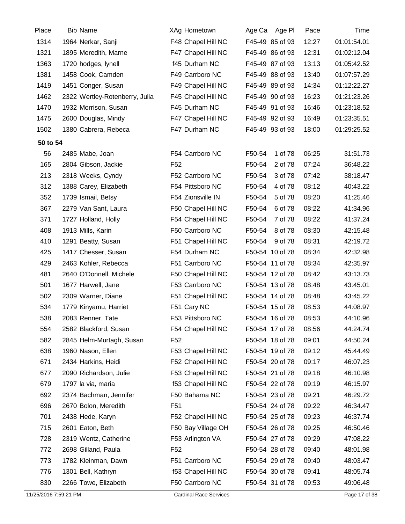| Place    | <b>Bib Name</b>                | <b>XAg Hometown</b> | Age Ca<br>Age PI  | Pace  | Time        |
|----------|--------------------------------|---------------------|-------------------|-------|-------------|
| 1314     | 1964 Nerkar, Sanji             | F48 Chapel Hill NC  | F45-49 85 of 93   | 12:27 | 01:01:54.01 |
| 1321     | 1895 Meredith, Marne           | F47 Chapel Hill NC  | F45-49 86 of 93   | 12:31 | 01:02:12.04 |
| 1363     | 1720 hodges, lynell            | f45 Durham NC       | F45-49 87 of 93   | 13:13 | 01:05:42.52 |
| 1381     | 1458 Cook, Camden              | F49 Carrboro NC     | F45-49 88 of 93   | 13:40 | 01:07:57.29 |
| 1419     | 1451 Conger, Susan             | F49 Chapel Hill NC  | F45-49 89 of 93   | 14:34 | 01:12:22.27 |
| 1462     | 2322 Wertley-Rotenberry, Julia | F45 Chapel Hill NC  | F45-49 90 of 93   | 16:23 | 01:21:23.26 |
| 1470     | 1932 Morrison, Susan           | F45 Durham NC       | F45-49 91 of 93   | 16:46 | 01:23:18.52 |
| 1475     | 2600 Douglas, Mindy            | F47 Chapel Hill NC  | F45-49 92 of 93   | 16:49 | 01:23:35.51 |
| 1502     | 1380 Cabrera, Rebeca           | F47 Durham NC       | F45-49 93 of 93   | 18:00 | 01:29:25.52 |
| 50 to 54 |                                |                     |                   |       |             |
| 56       | 2485 Mabe, Joan                | F54 Carrboro NC     | F50-54<br>1 of 78 | 06:25 | 31:51.73    |
| 165      | 2804 Gibson, Jackie            | F <sub>52</sub>     | F50-54<br>2 of 78 | 07:24 | 36:48.22    |
| 213      | 2318 Weeks, Cyndy              | F52 Carrboro NC     | F50-54<br>3 of 78 | 07:42 | 38:18.47    |
| 312      | 1388 Carey, Elizabeth          | F54 Pittsboro NC    | F50-54<br>4 of 78 | 08:12 | 40:43.22    |
| 352      | 1739 Ismail, Betsy             | F54 Zionsville IN   | F50-54<br>5 of 78 | 08:20 | 41:25.46    |
| 367      | 2279 Van Sant, Laura           | F50 Chapel Hill NC  | F50-54<br>6 of 78 | 08:22 | 41:34.96    |
| 371      | 1727 Holland, Holly            | F54 Chapel Hill NC  | F50-54<br>7 of 78 | 08:22 | 41:37.24    |
| 408      | 1913 Mills, Karin              | F50 Carrboro NC     | F50-54<br>8 of 78 | 08:30 | 42:15.48    |
| 410      | 1291 Beatty, Susan             | F51 Chapel Hill NC  | F50-54<br>9 of 78 | 08:31 | 42:19.72    |
| 425      | 1417 Chesser, Susan            | F54 Durham NC       | F50-54 10 of 78   | 08:34 | 42:32.98    |
| 429      | 2463 Kohler, Rebecca           | F51 Carrboro NC     | F50-54 11 of 78   | 08:34 | 42:35.97    |
| 481      | 2640 O'Donnell, Michele        | F50 Chapel Hill NC  | F50-54 12 of 78   | 08:42 | 43:13.73    |
| 501      | 1677 Harwell, Jane             | F53 Carrboro NC     | F50-54 13 of 78   | 08:48 | 43:45.01    |
| 502      | 2309 Warner, Diane             | F51 Chapel Hill NC  | F50-54 14 of 78   | 08:48 | 43:45.22    |
| 534      | 1779 Kinyamu, Harriet          | F51 Cary NC         | F50-54 15 of 78   | 08:53 | 44:08.97    |
| 538      | 2083 Renner, Tate              | F53 Pittsboro NC    | F50-54 16 of 78   | 08:53 | 44:10.96    |
| 554      | 2582 Blackford, Susan          | F54 Chapel Hill NC  | F50-54 17 of 78   | 08:56 | 44:24.74    |
| 582      | 2845 Helm-Murtagh, Susan       | F <sub>52</sub>     | F50-54 18 of 78   | 09:01 | 44:50.24    |
| 638      | 1960 Nason, Ellen              | F53 Chapel Hill NC  | F50-54 19 of 78   | 09:12 | 45:44.49    |
| 671      | 2434 Harkins, Heidi            | F52 Chapel Hill NC  | F50-54 20 of 78   | 09:17 | 46:07.23    |
| 677      | 2090 Richardson, Julie         | F53 Chapel Hill NC  | F50-54 21 of 78   | 09:18 | 46:10.98    |
| 679      | 1797 la via, maria             | f53 Chapel Hill NC  | F50-54 22 of 78   | 09:19 | 46:15.97    |
| 692      | 2374 Bachman, Jennifer         | F50 Bahama NC       | F50-54 23 of 78   | 09:21 | 46:29.72    |
| 696      | 2670 Bolon, Meredith           | F <sub>51</sub>     | F50-54 24 of 78   | 09:22 | 46:34.47    |
| 701      | 2438 Hede, Karyn               | F52 Chapel Hill NC  | F50-54 25 of 78   | 09:23 | 46:37.74    |
| 715      | 2601 Eaton, Beth               | F50 Bay Village OH  | F50-54 26 of 78   | 09:25 | 46:50.46    |
| 728      | 2319 Wentz, Catherine          | F53 Arlington VA    | F50-54 27 of 78   | 09:29 | 47:08.22    |
| 772      | 2698 Gilland, Paula            | F <sub>52</sub>     | F50-54 28 of 78   | 09:40 | 48:01.98    |
| 773      | 1782 Kleinman, Dawn            | F51 Carrboro NC     | F50-54 29 of 78   | 09:40 | 48:03.47    |
| 776      | 1301 Bell, Kathryn             | f53 Chapel Hill NC  | F50-54 30 of 78   | 09:41 | 48:05.74    |
| 830      | 2266 Towe, Elizabeth           | F50 Carrboro NC     | F50-54 31 of 78   | 09:53 | 49:06.48    |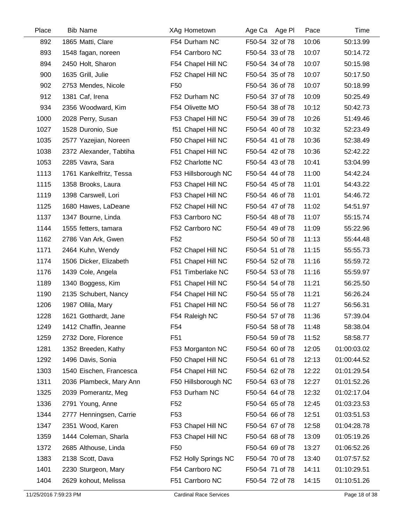| Place | <b>Bib Name</b>         | XAg Hometown         | Age Ca Age PI   | Pace  | Time        |
|-------|-------------------------|----------------------|-----------------|-------|-------------|
| 892   | 1865 Matti, Clare       | F54 Durham NC        | F50-54 32 of 78 | 10:06 | 50:13.99    |
| 893   | 1548 fagan, noreen      | F54 Carrboro NC      | F50-54 33 of 78 | 10:07 | 50:14.72    |
| 894   | 2450 Holt, Sharon       | F54 Chapel Hill NC   | F50-54 34 of 78 | 10:07 | 50:15.98    |
| 900   | 1635 Grill, Julie       | F52 Chapel Hill NC   | F50-54 35 of 78 | 10:07 | 50:17.50    |
| 902   | 2753 Mendes, Nicole     | F <sub>50</sub>      | F50-54 36 of 78 | 10:07 | 50:18.99    |
| 912   | 1381 Caf, Irena         | F52 Durham NC        | F50-54 37 of 78 | 10:09 | 50:25.49    |
| 934   | 2356 Woodward, Kim      | F54 Olivette MO      | F50-54 38 of 78 | 10:12 | 50:42.73    |
| 1000  | 2028 Perry, Susan       | F53 Chapel Hill NC   | F50-54 39 of 78 | 10:26 | 51:49.46    |
| 1027  | 1528 Duronio, Sue       | f51 Chapel Hill NC   | F50-54 40 of 78 | 10:32 | 52:23.49    |
| 1035  | 2577 Yazejian, Noreen   | F50 Chapel Hill NC   | F50-54 41 of 78 | 10:36 | 52:38.49    |
| 1038  | 2372 Alexander, Tabtiha | F51 Chapel Hill NC   | F50-54 42 of 78 | 10:36 | 52:42.22    |
| 1053  | 2285 Vavra, Sara        | F52 Charlotte NC     | F50-54 43 of 78 | 10:41 | 53:04.99    |
| 1113  | 1761 Kankelfritz, Tessa | F53 Hillsborough NC  | F50-54 44 of 78 | 11:00 | 54:42.24    |
| 1115  | 1358 Brooks, Laura      | F53 Chapel Hill NC   | F50-54 45 of 78 | 11:01 | 54:43.22    |
| 1119  | 1398 Carswell, Lori     | F53 Chapel Hill NC   | F50-54 46 of 78 | 11:01 | 54:46.72    |
| 1125  | 1680 Hawes, LaDeane     | F52 Chapel Hill NC   | F50-54 47 of 78 | 11:02 | 54:51.97    |
| 1137  | 1347 Bourne, Linda      | F53 Carrboro NC      | F50-54 48 of 78 | 11:07 | 55:15.74    |
| 1144  | 1555 fetters, tamara    | F52 Carrboro NC      | F50-54 49 of 78 | 11:09 | 55:22.96    |
| 1162  | 2786 Van Ark, Gwen      | F <sub>52</sub>      | F50-54 50 of 78 | 11:13 | 55:44.48    |
| 1171  | 2464 Kuhn, Wendy        | F52 Chapel Hill NC   | F50-54 51 of 78 | 11:15 | 55:55.73    |
| 1174  | 1506 Dicker, Elizabeth  | F51 Chapel Hill NC   | F50-54 52 of 78 | 11:16 | 55:59.72    |
| 1176  | 1439 Cole, Angela       | F51 Timberlake NC    | F50-54 53 of 78 | 11:16 | 55:59.97    |
| 1189  | 1340 Boggess, Kim       | F51 Chapel Hill NC   | F50-54 54 of 78 | 11:21 | 56:25.50    |
| 1190  | 2135 Schubert, Nancy    | F54 Chapel Hill NC   | F50-54 55 of 78 | 11:21 | 56:26.24    |
| 1206  | 1987 Ollila, Mary       | F51 Chapel Hill NC   | F50-54 56 of 78 | 11:27 | 56:56.31    |
| 1228  | 1621 Gotthardt, Jane    | F54 Raleigh NC       | F50-54 57 of 78 | 11:36 | 57:39.04    |
| 1249  | 1412 Chaffin, Jeanne    | F54                  | F50-54 58 of 78 | 11:48 | 58:38.04    |
| 1259  | 2732 Dore, Florence     | F <sub>51</sub>      | F50-54 59 of 78 | 11:52 | 58:58.77    |
| 1281  | 1352 Breeden, Kathy     | F53 Morganton NC     | F50-54 60 of 78 | 12:05 | 01:00:03.02 |
| 1292  | 1496 Davis, Sonia       | F50 Chapel Hill NC   | F50-54 61 of 78 | 12:13 | 01:00:44.52 |
| 1303  | 1540 Eischen, Francesca | F54 Chapel Hill NC   | F50-54 62 of 78 | 12:22 | 01:01:29.54 |
| 1311  | 2036 Plambeck, Mary Ann | F50 Hillsborough NC  | F50-54 63 of 78 | 12:27 | 01:01:52.26 |
| 1325  | 2039 Pomerantz, Meg     | F53 Durham NC        | F50-54 64 of 78 | 12:32 | 01:02:17.04 |
| 1336  | 2791 Young, Anne        | F <sub>52</sub>      | F50-54 65 of 78 | 12:45 | 01:03:23.53 |
| 1344  | 2777 Henningsen, Carrie | F <sub>53</sub>      | F50-54 66 of 78 | 12:51 | 01:03:51.53 |
| 1347  | 2351 Wood, Karen        | F53 Chapel Hill NC   | F50-54 67 of 78 | 12:58 | 01:04:28.78 |
| 1359  | 1444 Coleman, Sharla    | F53 Chapel Hill NC   | F50-54 68 of 78 | 13:09 | 01:05:19.26 |
| 1372  | 2685 Althouse, Linda    | F <sub>50</sub>      | F50-54 69 of 78 | 13:27 | 01:06:52.26 |
| 1383  | 2138 Scott, Dava        | F52 Holly Springs NC | F50-54 70 of 78 | 13:40 | 01:07:57.52 |
| 1401  | 2230 Sturgeon, Mary     | F54 Carrboro NC      | F50-54 71 of 78 | 14:11 | 01:10:29.51 |
| 1404  | 2629 kohout, Melissa    | F51 Carrboro NC      | F50-54 72 of 78 | 14:15 | 01:10:51.26 |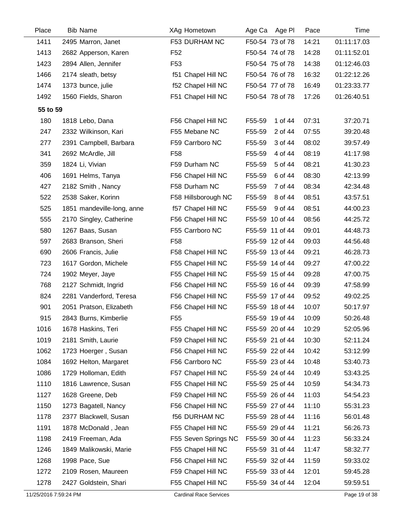| Place    | <b>Bib Name</b>            | XAg Hometown         | Age Ca<br>Age Pl  | Pace  | Time        |
|----------|----------------------------|----------------------|-------------------|-------|-------------|
| 1411     | 2495 Marron, Janet         | F53 DURHAM NC        | F50-54 73 of 78   | 14:21 | 01:11:17.03 |
| 1413     | 2682 Apperson, Karen       | F <sub>52</sub>      | F50-54 74 of 78   | 14:28 | 01:11:52.01 |
| 1423     | 2894 Allen, Jennifer       | F <sub>53</sub>      | F50-54 75 of 78   | 14:38 | 01:12:46.03 |
| 1466     | 2174 sleath, betsy         | f51 Chapel Hill NC   | F50-54 76 of 78   | 16:32 | 01:22:12.26 |
| 1474     | 1373 bunce, julie          | f52 Chapel Hill NC   | F50-54 77 of 78   | 16:49 | 01:23:33.77 |
| 1492     | 1560 Fields, Sharon        | F51 Chapel Hill NC   | F50-54 78 of 78   | 17:26 | 01:26:40.51 |
| 55 to 59 |                            |                      |                   |       |             |
| 180      | 1818 Lebo, Dana            | F56 Chapel Hill NC   | F55-59<br>1 of 44 | 07:31 | 37:20.71    |
| 247      | 2332 Wilkinson, Kari       | F55 Mebane NC        | F55-59<br>2 of 44 | 07:55 | 39:20.48    |
| 277      | 2391 Campbell, Barbara     | F59 Carrboro NC      | 3 of 44<br>F55-59 | 08:02 | 39:57.49    |
| 341      | 2692 McArdle, Jill         | F <sub>58</sub>      | 4 of 44<br>F55-59 | 08:19 | 41:17.98    |
| 359      | 1824 Li, Vivian            | F59 Durham NC        | F55-59<br>5 of 44 | 08:21 | 41:30.23    |
| 406      | 1691 Helms, Tanya          | F56 Chapel Hill NC   | 6 of 44<br>F55-59 | 08:30 | 42:13.99    |
| 427      | 2182 Smith, Nancy          | F58 Durham NC        | 7 of 44<br>F55-59 | 08:34 | 42:34.48    |
| 522      | 2538 Saker, Korinn         | F58 Hillsborough NC  | F55-59<br>8 of 44 | 08:51 | 43:57.51    |
| 525      | 1851 mandeville-long, anne | f57 Chapel Hill NC   | F55-59<br>9 of 44 | 08:51 | 44:00.23    |
| 555      | 2170 Singley, Catherine    | F56 Chapel Hill NC   | F55-59 10 of 44   | 08:56 | 44:25.72    |
| 580      | 1267 Baas, Susan           | F55 Carrboro NC      | F55-59 11 of 44   | 09:01 | 44:48.73    |
| 597      | 2683 Branson, Sheri        | F <sub>58</sub>      | F55-59 12 of 44   | 09:03 | 44:56.48    |
| 690      | 2606 Francis, Julie        | F58 Chapel Hill NC   | F55-59 13 of 44   | 09:21 | 46:28.73    |
| 723      | 1617 Gordon, Michele       | F55 Chapel Hill NC   | F55-59 14 of 44   | 09:27 | 47:00.22    |
| 724      | 1902 Meyer, Jaye           | F55 Chapel Hill NC   | F55-59 15 of 44   | 09:28 | 47:00.75    |
| 768      | 2127 Schmidt, Ingrid       | F56 Chapel Hill NC   | F55-59 16 of 44   | 09:39 | 47:58.99    |
| 824      | 2281 Vanderford, Teresa    | F56 Chapel Hill NC   | F55-59 17 of 44   | 09:52 | 49:02.25    |
| 901      | 2051 Pratson, Elizabeth    | F56 Chapel Hill NC   | F55-59 18 of 44   | 10:07 | 50:17.97    |
| 915      | 2843 Burns, Kimberlie      | F <sub>55</sub>      | F55-59 19 of 44   | 10:09 | 50:26.48    |
| 1016     | 1678 Haskins, Teri         | F55 Chapel Hill NC   | F55-59 20 of 44   | 10:29 | 52:05.96    |
| 1019     | 2181 Smith, Laurie         | F59 Chapel Hill NC   | F55-59 21 of 44   | 10:30 | 52:11.24    |
| 1062     | 1723 Hoerger, Susan        | F56 Chapel Hill NC   | F55-59 22 of 44   | 10:42 | 53:12.99    |
| 1084     | 1692 Helton, Margaret      | F56 Carrboro NC      | F55-59 23 of 44   | 10:48 | 53:40.73    |
| 1086     | 1729 Holloman, Edith       | F57 Chapel Hill NC   | F55-59 24 of 44   | 10:49 | 53:43.25    |
| 1110     | 1816 Lawrence, Susan       | F55 Chapel Hill NC   | F55-59 25 of 44   | 10:59 | 54:34.73    |
| 1127     | 1628 Greene, Deb           | F59 Chapel Hill NC   | F55-59 26 of 44   | 11:03 | 54:54.23    |
| 1150     | 1273 Bagatell, Nancy       | F56 Chapel Hill NC   | F55-59 27 of 44   | 11:10 | 55:31.23    |
| 1178     | 2377 Blackwell, Susan      | <b>f56 DURHAM NC</b> | F55-59 28 of 44   | 11:16 | 56:01.48    |
| 1191     | 1878 McDonald, Jean        | F55 Chapel Hill NC   | F55-59 29 of 44   | 11:21 | 56:26.73    |
| 1198     | 2419 Freeman, Ada          | F55 Seven Springs NC | F55-59 30 of 44   | 11:23 | 56:33.24    |
| 1246     | 1849 Malikowski, Marie     | F55 Chapel Hill NC   | F55-59 31 of 44   | 11:47 | 58:32.77    |
| 1268     | 1998 Pace, Sue             | F56 Chapel Hill NC   | F55-59 32 of 44   | 11:59 | 59:33.02    |
| 1272     | 2109 Rosen, Maureen        | F59 Chapel Hill NC   | F55-59 33 of 44   | 12:01 | 59:45.28    |
| 1278     | 2427 Goldstein, Shari      | F55 Chapel Hill NC   | F55-59 34 of 44   | 12:04 | 59:59.51    |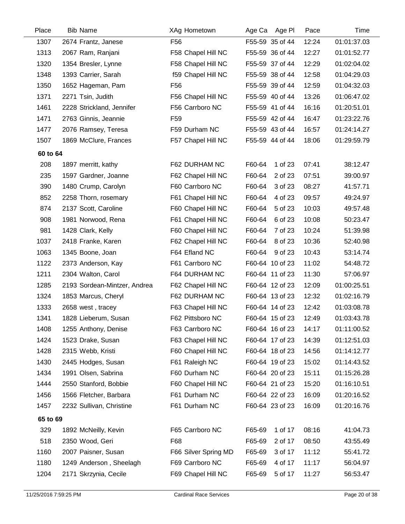| Place    | <b>Bib Name</b>              | XAg Hometown         | Age PI<br>Age Ca  | Pace  | Time        |
|----------|------------------------------|----------------------|-------------------|-------|-------------|
| 1307     | 2674 Frantz, Janese          | F <sub>56</sub>      | F55-59 35 of 44   | 12:24 | 01:01:37.03 |
| 1313     | 2067 Ram, Ranjani            | F58 Chapel Hill NC   | F55-59 36 of 44   | 12:27 | 01:01:52.77 |
| 1320     | 1354 Bresler, Lynne          | F58 Chapel Hill NC   | F55-59 37 of 44   | 12:29 | 01:02:04.02 |
| 1348     | 1393 Carrier, Sarah          | f59 Chapel Hill NC   | F55-59 38 of 44   | 12:58 | 01:04:29.03 |
| 1350     | 1652 Hageman, Pam            | F <sub>56</sub>      | F55-59 39 of 44   | 12:59 | 01:04:32.03 |
| 1371     | 2271 Tsin, Judith            | F56 Chapel Hill NC   | F55-59 40 of 44   | 13:26 | 01:06:47.02 |
| 1461     | 2228 Strickland, Jennifer    | F56 Carrboro NC      | F55-59 41 of 44   | 16:16 | 01:20:51.01 |
| 1471     | 2763 Ginnis, Jeannie         | F <sub>59</sub>      | F55-59 42 of 44   | 16:47 | 01:23:22.76 |
| 1477     | 2076 Ramsey, Teresa          | F59 Durham NC        | F55-59 43 of 44   | 16:57 | 01:24:14.27 |
| 1507     | 1869 McClure, Frances        | F57 Chapel Hill NC   | F55-59 44 of 44   | 18:06 | 01:29:59.79 |
| 60 to 64 |                              |                      |                   |       |             |
| 208      | 1897 merritt, kathy          | F62 DURHAM NC        | F60-64<br>1 of 23 | 07:41 | 38:12.47    |
| 235      | 1597 Gardner, Joanne         | F62 Chapel Hill NC   | F60-64<br>2 of 23 | 07:51 | 39:00.97    |
| 390      | 1480 Crump, Carolyn          | F60 Carrboro NC      | F60-64<br>3 of 23 | 08:27 | 41:57.71    |
| 852      | 2258 Thorn, rosemary         | F61 Chapel Hill NC   | F60-64<br>4 of 23 | 09:57 | 49:24.97    |
| 874      | 2137 Scott, Caroline         | F60 Chapel Hill NC   | F60-64<br>5 of 23 | 10:03 | 49:57.48    |
| 908      | 1981 Norwood, Rena           | F61 Chapel Hill NC   | 6 of 23<br>F60-64 | 10:08 | 50:23.47    |
| 981      | 1428 Clark, Kelly            | F60 Chapel Hill NC   | F60-64<br>7 of 23 | 10:24 | 51:39.98    |
| 1037     | 2418 Franke, Karen           | F62 Chapel Hill NC   | F60-64<br>8 of 23 | 10:36 | 52:40.98    |
| 1063     | 1345 Boone, Joan             | F64 Efland NC        | F60-64<br>9 of 23 | 10:43 | 53:14.74    |
| 1122     | 2373 Anderson, Kay           | F61 Carrboro NC      | F60-64 10 of 23   | 11:02 | 54:48.72    |
| 1211     | 2304 Walton, Carol           | F64 DURHAM NC        | F60-64 11 of 23   | 11:30 | 57:06.97    |
| 1285     | 2193 Sordean-Mintzer, Andrea | F62 Chapel Hill NC   | F60-64 12 of 23   | 12:09 | 01:00:25.51 |
| 1324     | 1853 Marcus, Cheryl          | F62 DURHAM NC        | F60-64 13 of 23   | 12:32 | 01:02:16.79 |
| 1333     | 2658 west, tracey            | F63 Chapel Hill NC   | F60-64 14 of 23   | 12:42 | 01:03:08.78 |
| 1341     | 1828 Lieberum, Susan         | F62 Pittsboro NC     | F60-64 15 of 23   | 12:49 | 01:03:43.78 |
| 1408     | 1255 Anthony, Denise         | F63 Carrboro NC      | F60-64 16 of 23   | 14:17 | 01:11:00.52 |
| 1424     | 1523 Drake, Susan            | F63 Chapel Hill NC   | F60-64 17 of 23   | 14:39 | 01:12:51.03 |
| 1428     | 2315 Webb, Kristi            | F60 Chapel Hill NC   | F60-64 18 of 23   | 14:56 | 01:14:12.77 |
| 1430     | 2445 Hodges, Susan           | F61 Raleigh NC       | F60-64 19 of 23   | 15:02 | 01:14:43.52 |
| 1434     | 1991 Olsen, Sabrina          | F60 Durham NC        | F60-64 20 of 23   | 15:11 | 01:15:26.28 |
| 1444     | 2550 Stanford, Bobbie        | F60 Chapel Hill NC   | F60-64 21 of 23   | 15:20 | 01:16:10.51 |
| 1456     | 1566 Fletcher, Barbara       | F61 Durham NC        | F60-64 22 of 23   | 16:09 | 01:20:16.52 |
| 1457     | 2232 Sullivan, Christine     | F61 Durham NC        | F60-64 23 of 23   | 16:09 | 01:20:16.76 |
| 65 to 69 |                              |                      |                   |       |             |
| 329      | 1892 McNeilly, Kevin         | F65 Carrboro NC      | 1 of 17<br>F65-69 | 08:16 | 41:04.73    |
| 518      | 2350 Wood, Geri              | F68                  | F65-69<br>2 of 17 | 08:50 | 43:55.49    |
| 1160     | 2007 Paisner, Susan          | F66 Silver Spring MD | F65-69<br>3 of 17 | 11:12 | 55:41.72    |
| 1180     | 1249 Anderson, Sheelagh      | F69 Carrboro NC      | F65-69<br>4 of 17 | 11:17 | 56:04.97    |
| 1204     | 2171 Skrzynia, Cecile        | F69 Chapel Hill NC   | F65-69<br>5 of 17 | 11:27 | 56:53.47    |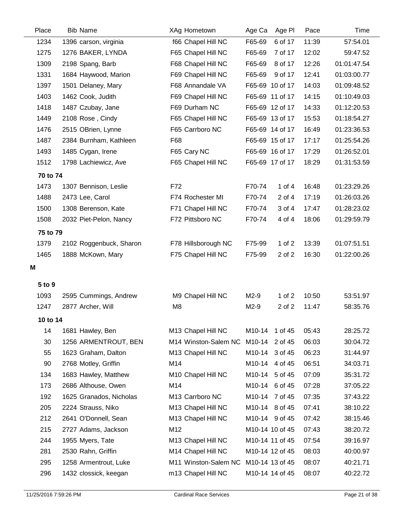| Place    | <b>Bib Name</b>         | XAg Hometown         | Age Ca<br>Age PI     | Pace  | Time        |
|----------|-------------------------|----------------------|----------------------|-------|-------------|
| 1234     | 1396 carson, virginia   | f66 Chapel Hill NC   | F65-69<br>6 of 17    | 11:39 | 57:54.01    |
| 1275     | 1276 BAKER, LYNDA       | F65 Chapel Hill NC   | F65-69<br>7 of 17    | 12:02 | 59:47.52    |
| 1309     | 2198 Spang, Barb        | F68 Chapel Hill NC   | F65-69<br>8 of 17    | 12:26 | 01:01:47.54 |
| 1331     | 1684 Haywood, Marion    | F69 Chapel Hill NC   | F65-69<br>9 of 17    | 12:41 | 01:03:00.77 |
| 1397     | 1501 Delaney, Mary      | F68 Annandale VA     | F65-69 10 of 17      | 14:03 | 01:09:48.52 |
| 1403     | 1462 Cook, Judith       | F69 Chapel Hill NC   | F65-69 11 of 17      | 14:15 | 01:10:49.03 |
| 1418     | 1487 Czubay, Jane       | F69 Durham NC        | F65-69 12 of 17      | 14:33 | 01:12:20.53 |
| 1449     | 2108 Rose, Cindy        | F65 Chapel Hill NC   | F65-69 13 of 17      | 15:53 | 01:18:54.27 |
| 1476     | 2515 OBrien, Lynne      | F65 Carrboro NC      | F65-69 14 of 17      | 16:49 | 01:23:36.53 |
| 1487     | 2384 Burnham, Kathleen  | F68                  | F65-69 15 of 17      | 17:17 | 01:25:54.26 |
| 1493     | 1485 Cygan, Irene       | F65 Cary NC          | F65-69 16 of 17      | 17:29 | 01:26:52.01 |
| 1512     | 1798 Lachiewicz, Ave    | F65 Chapel Hill NC   | F65-69 17 of 17      | 18:29 | 01:31:53.59 |
| 70 to 74 |                         |                      |                      |       |             |
| 1473     | 1307 Bennison, Leslie   | F72                  | 1 of 4<br>F70-74     | 16:48 | 01:23:29.26 |
| 1488     | 2473 Lee, Carol         | F74 Rochester MI     | F70-74<br>2 of 4     | 17:19 | 01:26:03.26 |
| 1500     | 1308 Berenson, Kate     | F71 Chapel Hill NC   | F70-74<br>3 of 4     | 17:47 | 01:28:23.02 |
| 1508     | 2032 Piet-Pelon, Nancy  | F72 Pittsboro NC     | F70-74<br>4 of 4     | 18:06 | 01:29:59.79 |
| 75 to 79 |                         |                      |                      |       |             |
| 1379     | 2102 Roggenbuck, Sharon | F78 Hillsborough NC  | $1$ of $2$<br>F75-99 | 13:39 | 01:07:51.51 |
| 1465     | 1888 McKown, Mary       | F75 Chapel Hill NC   | F75-99<br>2 of 2     | 16:30 | 01:22:00.26 |
| М        |                         |                      |                      |       |             |
| 5 to 9   |                         |                      |                      |       |             |
| 1093     | 2595 Cummings, Andrew   | M9 Chapel Hill NC    | $M2-9$<br>1 of $2$   | 10:50 | 53:51.97    |
| 1247     | 2877 Archer, Will       | M <sub>8</sub>       | $M2-9$<br>2 of 2     | 11:47 | 58:35.76    |
| 10 to 14 |                         |                      |                      |       |             |
| 14       | 1681 Hawley, Ben        | M13 Chapel Hill NC   | M10-14 1 of 45       | 05:43 | 28:25.72    |
| 30       | 1256 ARMENTROUT, BEN    | M14 Winston-Salem NC | M10-14<br>2 of 45    | 06:03 | 30:04.72    |
| 55       | 1623 Graham, Dalton     | M13 Chapel Hill NC   | M10-14 3 of 45       | 06:23 | 31:44.97    |
| 90       | 2768 Motley, Griffin    | M14                  | M10-14<br>4 of 45    | 06:51 | 34:03.71    |
| 134      | 1683 Hawley, Matthew    | M10 Chapel Hill NC   | M10-14<br>5 of 45    | 07:09 | 35:31.72    |
| 173      | 2686 Althouse, Owen     | M14                  | M10-14 6 of 45       | 07:28 | 37:05.22    |
| 192      | 1625 Granados, Nicholas | M13 Carrboro NC      | M10-14<br>7 of 45    | 07:35 | 37:43.22    |
| 205      | 2224 Strauss, Niko      | M13 Chapel Hill NC   | M10-14 8 of 45       | 07:41 | 38:10.22    |
| 212      | 2641 O'Donnell, Sean    | M13 Chapel Hill NC   | M10-14 9 of 45       | 07:42 | 38:15.46    |
| 215      | 2727 Adams, Jackson     | M12                  | M10-14 10 of 45      | 07:43 | 38:20.72    |
| 244      | 1955 Myers, Tate        | M13 Chapel Hill NC   | M10-14 11 of 45      | 07:54 | 39:16.97    |
| 281      | 2530 Rahn, Griffin      | M14 Chapel Hill NC   | M10-14 12 of 45      | 08:03 | 40:00.97    |
| 295      | 1258 Armentrout, Luke   | M11 Winston-Salem NC | M10-14 13 of 45      | 08:07 | 40:21.71    |
| 296      | 1432 clossick, keegan   | m13 Chapel Hill NC   | M10-14 14 of 45      | 08:07 | 40:22.72    |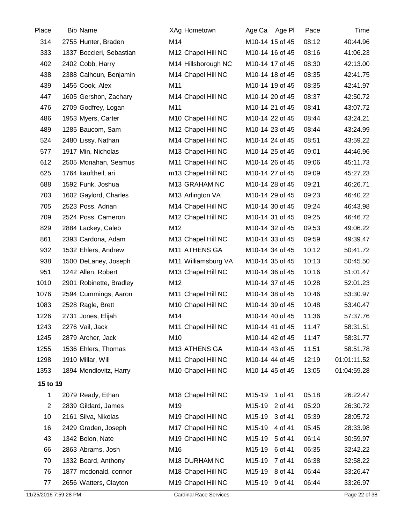| Place          | <b>Bib Name</b>          | XAg Hometown                   | Age Ca Age PI     | Pace  | Time        |
|----------------|--------------------------|--------------------------------|-------------------|-------|-------------|
| 314            | 2755 Hunter, Braden      | M14                            | M10-14 15 of 45   | 08:12 | 40:44.96    |
| 333            | 1337 Boccieri, Sebastian | M12 Chapel Hill NC             | M10-14 16 of 45   | 08:16 | 41:06.23    |
| 402            | 2402 Cobb, Harry         | M14 Hillsborough NC            | M10-14 17 of 45   | 08:30 | 42:13.00    |
| 438            | 2388 Calhoun, Benjamin   | M14 Chapel Hill NC             | M10-14 18 of 45   | 08:35 | 42:41.75    |
| 439            | 1456 Cook, Alex          | M11                            | M10-14 19 of 45   | 08:35 | 42:41.97    |
| 447            | 1605 Gershon, Zachary    | M14 Chapel Hill NC             | M10-14 20 of 45   | 08:37 | 42:50.72    |
| 476            | 2709 Godfrey, Logan      | M11                            | M10-14 21 of 45   | 08:41 | 43:07.72    |
| 486            | 1953 Myers, Carter       | M <sub>10</sub> Chapel Hill NC | M10-14 22 of 45   | 08:44 | 43:24.21    |
| 489            | 1285 Baucom, Sam         | M12 Chapel Hill NC             | M10-14 23 of 45   | 08:44 | 43:24.99    |
| 524            | 2480 Lissy, Nathan       | M14 Chapel Hill NC             | M10-14 24 of 45   | 08:51 | 43:59.22    |
| 577            | 1917 Min, Nicholas       | M13 Chapel Hill NC             | M10-14 25 of 45   | 09:01 | 44:46.96    |
| 612            | 2505 Monahan, Seamus     | M11 Chapel Hill NC             | M10-14 26 of 45   | 09:06 | 45:11.73    |
| 625            | 1764 kauftheil, ari      | m13 Chapel Hill NC             | M10-14 27 of 45   | 09:09 | 45:27.23    |
| 688            | 1592 Funk, Joshua        | M13 GRAHAM NC                  | M10-14 28 of 45   | 09:21 | 46:26.71    |
| 703            | 1602 Gaylord, Charles    | M13 Arlington VA               | M10-14 29 of 45   | 09:23 | 46:40.22    |
| 705            | 2523 Poss, Adrian        | M14 Chapel Hill NC             | M10-14 30 of 45   | 09:24 | 46:43.98    |
| 709            | 2524 Poss, Cameron       | M12 Chapel Hill NC             | M10-14 31 of 45   | 09:25 | 46:46.72    |
| 829            | 2884 Lackey, Caleb       | M12                            | M10-14 32 of 45   | 09:53 | 49:06.22    |
| 861            | 2393 Cardona, Adam       | M13 Chapel Hill NC             | M10-14 33 of 45   | 09:59 | 49:39.47    |
| 932            | 1532 Ehlers, Andrew      | M11 ATHENS GA                  | M10-14 34 of 45   | 10:12 | 50:41.72    |
| 938            | 1500 DeLaney, Joseph     | M11 Williamsburg VA            | M10-14 35 of 45   | 10:13 | 50:45.50    |
| 951            | 1242 Allen, Robert       | M13 Chapel Hill NC             | M10-14 36 of 45   | 10:16 | 51:01.47    |
| 1010           | 2901 Robinette, Bradley  | M12                            | M10-14 37 of 45   | 10:28 | 52:01.23    |
| 1076           | 2594 Cummings, Aaron     | M11 Chapel Hill NC             | M10-14 38 of 45   | 10:46 | 53:30.97    |
| 1083           | 2528 Ragle, Brett        | M10 Chapel Hill NC             | M10-14 39 of 45   | 10:48 | 53:40.47    |
| 1226           | 2731 Jones, Elijah       | M14                            | M10-14 40 of 45   | 11:36 | 57:37.76    |
| 1243           | 2276 Vail, Jack          | M11 Chapel Hill NC             | M10-14 41 of 45   | 11:47 | 58:31.51    |
| 1245           | 2879 Archer, Jack        | M10                            | M10-14 42 of 45   | 11:47 | 58:31.77    |
| 1255           | 1536 Ehlers, Thomas      | M13 ATHENS GA                  | M10-14 43 of 45   | 11:51 | 58:51.78    |
| 1298           | 1910 Millar, Will        | M11 Chapel Hill NC             | M10-14 44 of 45   | 12:19 | 01:01:11.52 |
| 1353           | 1894 Mendlovitz, Harry   | M10 Chapel Hill NC             | M10-14 45 of 45   | 13:05 | 01:04:59.28 |
| 15 to 19       |                          |                                |                   |       |             |
| 1              | 2079 Ready, Ethan        | M18 Chapel Hill NC             | M15-19 1 of 41    | 05:18 | 26:22.47    |
| $\overline{2}$ | 2839 Gildard, James      | M19                            | M15-19<br>2 of 41 | 05:20 | 26:30.72    |
| 10             | 2161 Silva, Nikolas      | M19 Chapel Hill NC             | M15-19<br>3 of 41 | 05:39 | 28:05.72    |
| 16             | 2429 Graden, Joseph      | M17 Chapel Hill NC             | M15-19<br>4 of 41 | 05:45 | 28:33.98    |
| 43             | 1342 Bolon, Nate         | M19 Chapel Hill NC             | M15-19 5 of 41    | 06:14 | 30:59.97    |
| 66             | 2863 Abrams, Josh        | M16                            | M15-19<br>6 of 41 | 06:35 | 32:42.22    |
| 70             | 1332 Board, Anthony      | M <sub>18</sub> DURHAM NC      | M15-19<br>7 of 41 | 06:38 | 32:58.22    |
| 76             | 1877 mcdonald, connor    | M18 Chapel Hill NC             | M15-19<br>8 of 41 | 06:44 | 33:26.47    |
| 77             | 2656 Watters, Clayton    | M19 Chapel Hill NC             | M15-19<br>9 of 41 | 06:44 | 33:26.97    |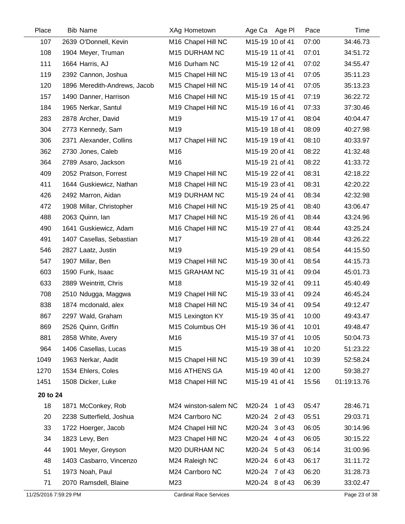| Place                 | <b>Bib Name</b>              | XAg Hometown                   | Age Ca Age PI   | Pace  | Time          |
|-----------------------|------------------------------|--------------------------------|-----------------|-------|---------------|
| 107                   | 2639 O'Donnell, Kevin        | M16 Chapel Hill NC             | M15-19 10 of 41 | 07:00 | 34:46.73      |
| 108                   | 1904 Meyer, Truman           | M15 DURHAM NC                  | M15-19 11 of 41 | 07:01 | 34:51.72      |
| 111                   | 1664 Harris, AJ              | M16 Durham NC                  | M15-19 12 of 41 | 07:02 | 34:55.47      |
| 119                   | 2392 Cannon, Joshua          | M15 Chapel Hill NC             | M15-19 13 of 41 | 07:05 | 35:11.23      |
| 120                   | 1896 Meredith-Andrews, Jacob | M15 Chapel Hill NC             | M15-19 14 of 41 | 07:05 | 35:13.23      |
| 157                   | 1490 Danner, Harrison        | M16 Chapel Hill NC             | M15-19 15 of 41 | 07:19 | 36:22.72      |
| 184                   | 1965 Nerkar, Santul          | M19 Chapel Hill NC             | M15-19 16 of 41 | 07:33 | 37:30.46      |
| 283                   | 2878 Archer, David           | M19                            | M15-19 17 of 41 | 08:04 | 40:04.47      |
| 304                   | 2773 Kennedy, Sam            | M19                            | M15-19 18 of 41 | 08:09 | 40:27.98      |
| 306                   | 2371 Alexander, Collins      | M17 Chapel Hill NC             | M15-19 19 of 41 | 08:10 | 40:33.97      |
| 362                   | 2730 Jones, Caleb            | M16                            | M15-19 20 of 41 | 08:22 | 41:32.48      |
| 364                   | 2789 Asaro, Jackson          | M16                            | M15-19 21 of 41 | 08:22 | 41:33.72      |
| 409                   | 2052 Pratson, Forrest        | M <sub>19</sub> Chapel Hill NC | M15-19 22 of 41 | 08:31 | 42:18.22      |
| 411                   | 1644 Guskiewicz, Nathan      | M18 Chapel Hill NC             | M15-19 23 of 41 | 08:31 | 42:20.22      |
| 426                   | 2492 Marron, Aidan           | M19 DURHAM NC                  | M15-19 24 of 41 | 08:34 | 42:32.98      |
| 472                   | 1908 Millar, Christopher     | M16 Chapel Hill NC             | M15-19 25 of 41 | 08:40 | 43:06.47      |
| 488                   | 2063 Quinn, Ian              | M17 Chapel Hill NC             | M15-19 26 of 41 | 08:44 | 43:24.96      |
| 490                   | 1641 Guskiewicz, Adam        | M16 Chapel Hill NC             | M15-19 27 of 41 | 08:44 | 43:25.24      |
| 491                   | 1407 Casellas, Sebastian     | M17                            | M15-19 28 of 41 | 08:44 | 43:26.22      |
| 546                   | 2827 Laatz, Justin           | M19                            | M15-19 29 of 41 | 08:54 | 44:15.50      |
| 547                   | 1907 Millar, Ben             | M19 Chapel Hill NC             | M15-19 30 of 41 | 08:54 | 44:15.73      |
| 603                   | 1590 Funk, Isaac             | M15 GRAHAM NC                  | M15-19 31 of 41 | 09:04 | 45:01.73      |
| 633                   | 2889 Weintritt, Chris        | M18                            | M15-19 32 of 41 | 09:11 | 45:40.49      |
| 708                   | 2510 Ndugga, Maggwa          | M19 Chapel Hill NC             | M15-19 33 of 41 | 09:24 | 46:45.24      |
| 838                   | 1874 mcdonald, alex          | M18 Chapel Hill NC             | M15-19 34 of 41 | 09:54 | 49:12.47      |
| 867                   | 2297 Wald, Graham            | M15 Lexington KY               | M15-19 35 of 41 | 10:00 | 49:43.47      |
| 869                   | 2526 Quinn, Griffin          | M15 Columbus OH                | M15-19 36 of 41 | 10:01 | 49:48.47      |
| 881                   | 2858 White, Avery            | M16                            | M15-19 37 of 41 | 10:05 | 50:04.73      |
| 964                   | 1406 Casellas, Lucas         | M15                            | M15-19 38 of 41 | 10:20 | 51:23.22      |
| 1049                  | 1963 Nerkar, Aadit           | M15 Chapel Hill NC             | M15-19 39 of 41 | 10:39 | 52:58.24      |
| 1270                  | 1534 Ehlers, Coles           | M16 ATHENS GA                  | M15-19 40 of 41 | 12:00 | 59:38.27      |
| 1451                  | 1508 Dicker, Luke            | M18 Chapel Hill NC             | M15-19 41 of 41 | 15:56 | 01:19:13.76   |
| 20 to 24              |                              |                                |                 |       |               |
| 18                    | 1871 McConkey, Rob           | M24 winston-salem NC           | M20-24 1 of 43  | 05:47 | 28:46.71      |
| 20                    | 2238 Sutterfield, Joshua     | M24 Carrboro NC                | M20-24 2 of 43  | 05:51 | 29:03.71      |
| 33                    | 1722 Hoerger, Jacob          | M24 Chapel Hill NC             | M20-24 3 of 43  | 06:05 | 30:14.96      |
| 34                    | 1823 Levy, Ben               | M23 Chapel Hill NC             | M20-24 4 of 43  | 06:05 | 30:15.22      |
| 44                    | 1901 Meyer, Greyson          | M20 DURHAM NC                  | M20-24 5 of 43  | 06:14 | 31:00.96      |
| 48                    | 1403 Casbarro, Vincenzo      | M24 Raleigh NC                 | M20-24 6 of 43  | 06:17 | 31:11.72      |
| 51                    | 1973 Noah, Paul              | M24 Carrboro NC                | M20-24 7 of 43  | 06:20 | 31:28.73      |
| 71                    | 2070 Ramsdell, Blaine        | M23                            | M20-24 8 of 43  | 06:39 | 33:02.47      |
| 11/25/2016 7:59:29 PM |                              | <b>Cardinal Race Services</b>  |                 |       | Page 23 of 38 |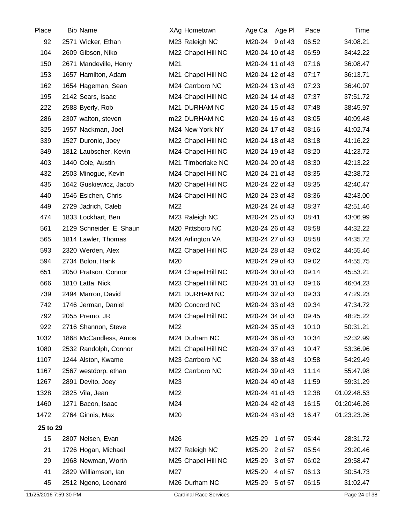| Place                 | <b>Bib Name</b>          | XAg Hometown                  | Age Pl<br>Age Ca  | Pace  | Time          |
|-----------------------|--------------------------|-------------------------------|-------------------|-------|---------------|
| 92                    | 2571 Wicker, Ethan       | M23 Raleigh NC                | M20-24 9 of 43    | 06:52 | 34:08.21      |
| 104                   | 2609 Gibson, Niko        | M22 Chapel Hill NC            | M20-24 10 of 43   | 06:59 | 34:42.22      |
| 150                   | 2671 Mandeville, Henry   | M21                           | M20-24 11 of 43   | 07:16 | 36:08.47      |
| 153                   | 1657 Hamilton, Adam      | M21 Chapel Hill NC            | M20-24 12 of 43   | 07:17 | 36:13.71      |
| 162                   | 1654 Hageman, Sean       | M24 Carrboro NC               | M20-24 13 of 43   | 07:23 | 36:40.97      |
| 195                   | 2142 Sears, Isaac        | M24 Chapel Hill NC            | M20-24 14 of 43   | 07:37 | 37:51.72      |
| 222                   | 2588 Byerly, Rob         | M21 DURHAM NC                 | M20-24 15 of 43   | 07:48 | 38:45.97      |
| 286                   | 2307 walton, steven      | m22 DURHAM NC                 | M20-24 16 of 43   | 08:05 | 40:09.48      |
| 325                   | 1957 Nackman, Joel       | M24 New York NY               | M20-24 17 of 43   | 08:16 | 41:02.74      |
| 339                   | 1527 Duronio, Joey       | M22 Chapel Hill NC            | M20-24 18 of 43   | 08:18 | 41:16.22      |
| 349                   | 1812 Laubscher, Kevin    | M24 Chapel Hill NC            | M20-24 19 of 43   | 08:20 | 41:23.72      |
| 403                   | 1440 Cole, Austin        | M21 Timberlake NC             | M20-24 20 of 43   | 08:30 | 42:13.22      |
| 432                   | 2503 Minogue, Kevin      | M24 Chapel Hill NC            | M20-24 21 of 43   | 08:35 | 42:38.72      |
| 435                   | 1642 Guskiewicz, Jacob   | M20 Chapel Hill NC            | M20-24 22 of 43   | 08:35 | 42:40.47      |
| 440                   | 1546 Esichen, Chris      | M24 Chapel Hill NC            | M20-24 23 of 43   | 08:36 | 42:43.00      |
| 449                   | 2729 Jadrich, Caleb      | M22                           | M20-24 24 of 43   | 08:37 | 42:51.46      |
| 474                   | 1833 Lockhart, Ben       | M23 Raleigh NC                | M20-24 25 of 43   | 08:41 | 43:06.99      |
| 561                   | 2129 Schneider, E. Shaun | M20 Pittsboro NC              | M20-24 26 of 43   | 08:58 | 44:32.22      |
| 565                   | 1814 Lawler, Thomas      | M24 Arlington VA              | M20-24 27 of 43   | 08:58 | 44:35.72      |
| 593                   | 2320 Werden, Alex        | M22 Chapel Hill NC            | M20-24 28 of 43   | 09:02 | 44:55.46      |
| 594                   | 2734 Bolon, Hank         | M20                           | M20-24 29 of 43   | 09:02 | 44:55.75      |
| 651                   | 2050 Pratson, Connor     | M24 Chapel Hill NC            | M20-24 30 of 43   | 09:14 | 45:53.21      |
| 666                   | 1810 Latta, Nick         | M23 Chapel Hill NC            | M20-24 31 of 43   | 09:16 | 46:04.23      |
| 739                   | 2494 Marron, David       | M21 DURHAM NC                 | M20-24 32 of 43   | 09:33 | 47:29.23      |
| 742                   | 1746 Jerman, Daniel      | M20 Concord NC                | M20-24 33 of 43   | 09:34 | 47:34.72      |
| 792                   | 2055 Premo, JR           | M24 Chapel Hill NC            | M20-24 34 of 43   | 09:45 | 48:25.22      |
| 922                   | 2716 Shannon, Steve      | M22                           | M20-24 35 of 43   | 10:10 | 50:31.21      |
| 1032                  | 1868 McCandless, Amos    | M24 Durham NC                 | M20-24 36 of 43   | 10:34 | 52:32.99      |
| 1080                  | 2532 Randolph, Connor    | M21 Chapel Hill NC            | M20-24 37 of 43   | 10:47 | 53:36.96      |
| 1107                  | 1244 Alston, Kwame       | M23 Carrboro NC               | M20-24 38 of 43   | 10:58 | 54:29.49      |
| 1167                  | 2567 westdorp, ethan     | M22 Carrboro NC               | M20-24 39 of 43   | 11:14 | 55:47.98      |
| 1267                  | 2891 Devito, Joey        | M23                           | M20-24 40 of 43   | 11:59 | 59:31.29      |
| 1328                  | 2825 Vila, Jean          | M22                           | M20-24 41 of 43   | 12:38 | 01:02:48.53   |
| 1460                  | 1271 Bacon, Isaac        | M24                           | M20-24 42 of 43   | 16:15 | 01:20:46.26   |
| 1472                  | 2764 Ginnis, Max         | M20                           | M20-24 43 of 43   | 16:47 | 01:23:23.26   |
| 25 to 29              |                          |                               |                   |       |               |
| 15                    | 2807 Nelsen, Evan        | M26                           | 1 of 57<br>M25-29 | 05:44 | 28:31.72      |
| 21                    | 1726 Hogan, Michael      | M27 Raleigh NC                | M25-29 2 of 57    | 05:54 | 29:20.46      |
| 29                    | 1968 Newman, Worth       | M25 Chapel Hill NC            | M25-29<br>3 of 57 | 06:02 | 29:58.47      |
| 41                    | 2829 Williamson, Ian     | M27                           | M25-29<br>4 of 57 | 06:13 | 30:54.73      |
| 45                    | 2512 Ngeno, Leonard      | M26 Durham NC                 | M25-29 5 of 57    | 06:15 | 31:02.47      |
| 11/25/2016 7:59:30 PM |                          | <b>Cardinal Race Services</b> |                   |       | Page 24 of 38 |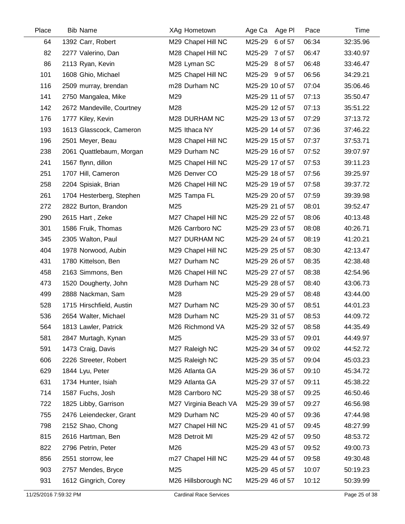| Place | <b>Bib Name</b>           | <b>XAg Hometown</b>   | Age Ca<br>Age Pl  | Pace  | Time     |
|-------|---------------------------|-----------------------|-------------------|-------|----------|
| 64    | 1392 Carr, Robert         | M29 Chapel Hill NC    | M25-29<br>6 of 57 | 06:34 | 32:35.96 |
| 82    | 2277 Valerino, Dan        | M28 Chapel Hill NC    | M25-29<br>7 of 57 | 06:47 | 33:40.97 |
| 86    | 2113 Ryan, Kevin          | M28 Lyman SC          | M25-29 8 of 57    | 06:48 | 33:46.47 |
| 101   | 1608 Ghio, Michael        | M25 Chapel Hill NC    | M25-29 9 of 57    | 06:56 | 34:29.21 |
| 116   | 2509 murray, brendan      | m28 Durham NC         | M25-29 10 of 57   | 07:04 | 35:06.46 |
| 141   | 2750 Mangalea, Mike       | M29                   | M25-29 11 of 57   | 07:13 | 35:50.47 |
| 142   | 2672 Mandeville, Courtney | M28                   | M25-29 12 of 57   | 07:13 | 35:51.22 |
| 176   | 1777 Kiley, Kevin         | M28 DURHAM NC         | M25-29 13 of 57   | 07:29 | 37:13.72 |
| 193   | 1613 Glasscock, Cameron   | M25 Ithaca NY         | M25-29 14 of 57   | 07:36 | 37:46.22 |
| 196   | 2501 Meyer, Beau          | M28 Chapel Hill NC    | M25-29 15 of 57   | 07:37 | 37:53.71 |
| 238   | 2061 Quattlebaum, Morgan  | M29 Durham NC         | M25-29 16 of 57   | 07:52 | 39:07.97 |
| 241   | 1567 flynn, dillon        | M25 Chapel Hill NC    | M25-29 17 of 57   | 07:53 | 39:11.23 |
| 251   | 1707 Hill, Cameron        | M26 Denver CO         | M25-29 18 of 57   | 07:56 | 39:25.97 |
| 258   | 2204 Spisiak, Brian       | M26 Chapel Hill NC    | M25-29 19 of 57   | 07:58 | 39:37.72 |
| 261   | 1704 Hesterberg, Stephen  | M25 Tampa FL          | M25-29 20 of 57   | 07:59 | 39:39.98 |
| 272   | 2822 Burton, Brandon      | M25                   | M25-29 21 of 57   | 08:01 | 39:52.47 |
| 290   | 2615 Hart, Zeke           | M27 Chapel Hill NC    | M25-29 22 of 57   | 08:06 | 40:13.48 |
| 301   | 1586 Fruik, Thomas        | M26 Carrboro NC       | M25-29 23 of 57   | 08:08 | 40:26.71 |
| 345   | 2305 Walton, Paul         | M27 DURHAM NC         | M25-29 24 of 57   | 08:19 | 41:20.21 |
| 404   | 1978 Norwood, Aubin       | M29 Chapel Hill NC    | M25-29 25 of 57   | 08:30 | 42:13.47 |
| 431   | 1780 Kittelson, Ben       | M27 Durham NC         | M25-29 26 of 57   | 08:35 | 42:38.48 |
| 458   | 2163 Simmons, Ben         | M26 Chapel Hill NC    | M25-29 27 of 57   | 08:38 | 42:54.96 |
| 473   | 1520 Dougherty, John      | M28 Durham NC         | M25-29 28 of 57   | 08:40 | 43:06.73 |
| 499   | 2888 Nackman, Sam         | M28                   | M25-29 29 of 57   | 08:48 | 43:44.00 |
| 528   | 1715 Hirschfield, Austin  | M27 Durham NC         | M25-29 30 of 57   | 08:51 | 44:01.23 |
| 536   | 2654 Walter, Michael      | M28 Durham NC         | M25-29 31 of 57   | 08:53 | 44:09.72 |
| 564   | 1813 Lawler, Patrick      | M26 Richmond VA       | M25-29 32 of 57   | 08:58 | 44:35.49 |
| 581   | 2847 Murtagh, Kynan       | M25                   | M25-29 33 of 57   | 09:01 | 44:49.97 |
| 591   | 1473 Craig, Davis         | M27 Raleigh NC        | M25-29 34 of 57   | 09:02 | 44:52.72 |
| 606   | 2226 Streeter, Robert     | M25 Raleigh NC        | M25-29 35 of 57   | 09:04 | 45:03.23 |
| 629   | 1844 Lyu, Peter           | M26 Atlanta GA        | M25-29 36 of 57   | 09:10 | 45:34.72 |
| 631   | 1734 Hunter, Isiah        | M29 Atlanta GA        | M25-29 37 of 57   | 09:11 | 45:38.22 |
| 714   | 1587 Fuchs, Josh          | M28 Carrboro NC       | M25-29 38 of 57   | 09:25 | 46:50.46 |
| 722   | 1825 Libby, Garrison      | M27 Virginia Beach VA | M25-29 39 of 57   | 09:27 | 46:56.98 |
| 755   | 2476 Leiendecker, Grant   | M29 Durham NC         | M25-29 40 of 57   | 09:36 | 47:44.98 |
| 798   | 2152 Shao, Chong          | M27 Chapel Hill NC    | M25-29 41 of 57   | 09:45 | 48:27.99 |
| 815   | 2616 Hartman, Ben         | M28 Detroit MI        | M25-29 42 of 57   | 09:50 | 48:53.72 |
| 822   | 2796 Petrin, Peter        | M26                   | M25-29 43 of 57   | 09:52 | 49:00.73 |
| 856   | 2551 storrow, lee         | m27 Chapel Hill NC    | M25-29 44 of 57   | 09:58 | 49:30.48 |
| 903   | 2757 Mendes, Bryce        | M25                   | M25-29 45 of 57   | 10:07 | 50:19.23 |
| 931   | 1612 Gingrich, Corey      | M26 Hillsborough NC   | M25-29 46 of 57   | 10:12 | 50:39.99 |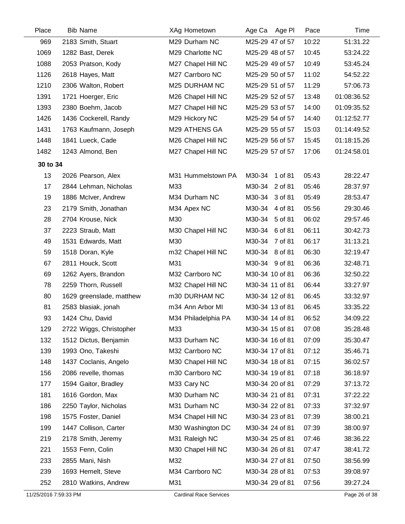| Place    | <b>Bib Name</b>          | XAg Hometown        | Age Ca Age PI     | Pace  | Time        |
|----------|--------------------------|---------------------|-------------------|-------|-------------|
| 969      | 2183 Smith, Stuart       | M29 Durham NC       | M25-29 47 of 57   | 10:22 | 51:31.22    |
| 1069     | 1282 Bast, Derek         | M29 Charlotte NC    | M25-29 48 of 57   | 10:45 | 53:24.22    |
| 1088     | 2053 Pratson, Kody       | M27 Chapel Hill NC  | M25-29 49 of 57   | 10:49 | 53:45.24    |
| 1126     | 2618 Hayes, Matt         | M27 Carrboro NC     | M25-29 50 of 57   | 11:02 | 54:52.22    |
| 1210     | 2306 Walton, Robert      | M25 DURHAM NC       | M25-29 51 of 57   | 11:29 | 57:06.73    |
| 1391     | 1721 Hoerger, Eric       | M26 Chapel Hill NC  | M25-29 52 of 57   | 13:48 | 01:08:36.52 |
| 1393     | 2380 Boehm, Jacob        | M27 Chapel Hill NC  | M25-29 53 of 57   | 14:00 | 01:09:35.52 |
| 1426     | 1436 Cockerell, Randy    | M29 Hickory NC      | M25-29 54 of 57   | 14:40 | 01:12:52.77 |
| 1431     | 1763 Kaufmann, Joseph    | M29 ATHENS GA       | M25-29 55 of 57   | 15:03 | 01:14:49.52 |
| 1448     | 1841 Lueck, Cade         | M26 Chapel Hill NC  | M25-29 56 of 57   | 15:45 | 01:18:15.26 |
| 1482     | 1243 Almond, Ben         | M27 Chapel Hill NC  | M25-29 57 of 57   | 17:06 | 01:24:58.01 |
| 30 to 34 |                          |                     |                   |       |             |
| 13       | 2026 Pearson, Alex       | M31 Hummelstown PA  | M30-34 1 of 81    | 05:43 | 28:22.47    |
| 17       | 2844 Lehman, Nicholas    | M33                 | M30-34<br>2 of 81 | 05:46 | 28:37.97    |
| 19       | 1886 McIver, Andrew      | M34 Durham NC       | M30-34 3 of 81    | 05:49 | 28:53.47    |
| 23       | 2179 Smith, Jonathan     | M34 Apex NC         | M30-34<br>4 of 81 | 05:56 | 29:30.46    |
| 28       | 2704 Krouse, Nick        | M30                 | M30-34<br>5 of 81 | 06:02 | 29:57.46    |
| 37       | 2223 Straub, Matt        | M30 Chapel Hill NC  | M30-34 6 of 81    | 06:11 | 30:42.73    |
| 49       | 1531 Edwards, Matt       | M30                 | M30-34 7 of 81    | 06:17 | 31:13.21    |
| 59       | 1518 Doran, Kyle         | m32 Chapel Hill NC  | M30-34 8 of 81    | 06:30 | 32:19.47    |
| 67       | 2811 Houck, Scott        | M31                 | M30-34 9 of 81    | 06:36 | 32:48.71    |
| 69       | 1262 Ayers, Brandon      | M32 Carrboro NC     | M30-34 10 of 81   | 06:36 | 32:50.22    |
| 78       | 2259 Thorn, Russell      | M32 Chapel Hill NC  | M30-34 11 of 81   | 06:44 | 33:27.97    |
| 80       | 1629 greenslade, matthew | m30 DURHAM NC       | M30-34 12 of 81   | 06:45 | 33:32.97    |
| 81       | 2583 blasiak, jonah      | m34 Ann Arbor MI    | M30-34 13 of 81   | 06:45 | 33:35.22    |
| 93       | 1424 Chu, David          | M34 Philadelphia PA | M30-34 14 of 81   | 06:52 | 34:09.22    |
| 129      | 2722 Wiggs, Christopher  | M33                 | M30-34 15 of 81   | 07:08 | 35:28.48    |
| 132      | 1512 Dictus, Benjamin    | M33 Durham NC       | M30-34 16 of 81   | 07:09 | 35:30.47    |
| 139      | 1993 Ono, Takeshi        | M32 Carrboro NC     | M30-34 17 of 81   | 07:12 | 35:46.71    |
| 148      | 1437 Coclanis, Angelo    | M30 Chapel Hill NC  | M30-34 18 of 81   | 07:15 | 36:02.57    |
| 156      | 2086 revelle, thomas     | m30 Carrboro NC     | M30-34 19 of 81   | 07:18 | 36:18.97    |
| 177      | 1594 Gaitor, Bradley     | M33 Cary NC         | M30-34 20 of 81   | 07:29 | 37:13.72    |
| 181      | 1616 Gordon, Max         | M30 Durham NC       | M30-34 21 of 81   | 07:31 | 37:22.22    |
| 186      | 2250 Taylor, Nicholas    | M31 Durham NC       | M30-34 22 of 81   | 07:33 | 37:32.97    |
| 198      | 1575 Foster, Daniel      | M34 Chapel Hill NC  | M30-34 23 of 81   | 07:39 | 38:00.21    |
| 199      | 1447 Collison, Carter    | M30 Washington DC   | M30-34 24 of 81   | 07:39 | 38:00.97    |
| 219      | 2178 Smith, Jeremy       | M31 Raleigh NC      | M30-34 25 of 81   | 07:46 | 38:36.22    |
| 221      | 1553 Fenn, Colin         | M30 Chapel Hill NC  | M30-34 26 of 81   | 07:47 | 38:41.72    |
| 233      | 2855 Mani, Nish          | M32                 | M30-34 27 of 81   | 07:50 | 38:56.99    |
| 239      | 1693 Hemelt, Steve       | M34 Carrboro NC     | M30-34 28 of 81   | 07:53 | 39:08.97    |
| 252      | 2810 Watkins, Andrew     | M31                 | M30-34 29 of 81   | 07:56 | 39:27.24    |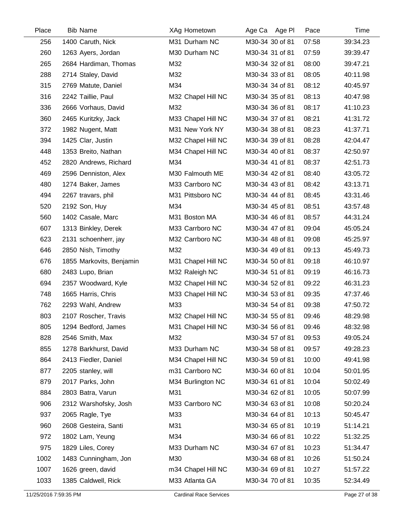| Place | <b>Bib Name</b>          | XAg Hometown       | Age Ca Age PI   | Pace  | Time     |
|-------|--------------------------|--------------------|-----------------|-------|----------|
| 256   | 1400 Caruth, Nick        | M31 Durham NC      | M30-34 30 of 81 | 07:58 | 39:34.23 |
| 260   | 1263 Ayers, Jordan       | M30 Durham NC      | M30-34 31 of 81 | 07:59 | 39:39.47 |
| 265   | 2684 Hardiman, Thomas    | M32                | M30-34 32 of 81 | 08:00 | 39:47.21 |
| 288   | 2714 Staley, David       | M32                | M30-34 33 of 81 | 08:05 | 40:11.98 |
| 315   | 2769 Matute, Daniel      | M34                | M30-34 34 of 81 | 08:12 | 40:45.97 |
| 316   | 2242 Taillie, Paul       | M32 Chapel Hill NC | M30-34 35 of 81 | 08:13 | 40:47.98 |
| 336   | 2666 Vorhaus, David      | M32                | M30-34 36 of 81 | 08:17 | 41:10.23 |
| 360   | 2465 Kuritzky, Jack      | M33 Chapel Hill NC | M30-34 37 of 81 | 08:21 | 41:31.72 |
| 372   | 1982 Nugent, Matt        | M31 New York NY    | M30-34 38 of 81 | 08:23 | 41:37.71 |
| 394   | 1425 Clar, Justin        | M32 Chapel Hill NC | M30-34 39 of 81 | 08:28 | 42:04.47 |
| 448   | 1353 Breito, Nathan      | M34 Chapel Hill NC | M30-34 40 of 81 | 08:37 | 42:50.97 |
| 452   | 2820 Andrews, Richard    | M34                | M30-34 41 of 81 | 08:37 | 42:51.73 |
| 469   | 2596 Denniston, Alex     | M30 Falmouth ME    | M30-34 42 of 81 | 08:40 | 43:05.72 |
| 480   | 1274 Baker, James        | M33 Carrboro NC    | M30-34 43 of 81 | 08:42 | 43:13.71 |
| 494   | 2267 travars, phil       | M31 Pittsboro NC   | M30-34 44 of 81 | 08:45 | 43:31.46 |
| 520   | 2192 Son, Huy            | M34                | M30-34 45 of 81 | 08:51 | 43:57.48 |
| 560   | 1402 Casale, Marc        | M31 Boston MA      | M30-34 46 of 81 | 08:57 | 44:31.24 |
| 607   | 1313 Binkley, Derek      | M33 Carrboro NC    | M30-34 47 of 81 | 09:04 | 45:05.24 |
| 623   | 2131 schoenherr, jay     | M32 Carrboro NC    | M30-34 48 of 81 | 09:08 | 45:25.97 |
| 646   | 2850 Nish, Timothy       | M32                | M30-34 49 of 81 | 09:13 | 45:49.73 |
| 676   | 1855 Markovits, Benjamin | M31 Chapel Hill NC | M30-34 50 of 81 | 09:18 | 46:10.97 |
| 680   | 2483 Lupo, Brian         | M32 Raleigh NC     | M30-34 51 of 81 | 09:19 | 46:16.73 |
| 694   | 2357 Woodward, Kyle      | M32 Chapel Hill NC | M30-34 52 of 81 | 09:22 | 46:31.23 |
| 748   | 1665 Harris, Chris       | M33 Chapel Hill NC | M30-34 53 of 81 | 09:35 | 47:37.46 |
| 762   | 2293 Wahl, Andrew        | M33                | M30-34 54 of 81 | 09:38 | 47:50.72 |
| 803   | 2107 Roscher, Travis     | M32 Chapel Hill NC | M30-34 55 of 81 | 09:46 | 48:29.98 |
| 805   | 1294 Bedford, James      | M31 Chapel Hill NC | M30-34 56 of 81 | 09:46 | 48:32.98 |
| 828   | 2546 Smith, Max          | M32                | M30-34 57 of 81 | 09:53 | 49:05.24 |
| 855   | 1278 Barkhurst, David    | M33 Durham NC      | M30-34 58 of 81 | 09:57 | 49:28.23 |
| 864   | 2413 Fiedler, Daniel     | M34 Chapel Hill NC | M30-34 59 of 81 | 10:00 | 49:41.98 |
| 877   | 2205 stanley, will       | m31 Carrboro NC    | M30-34 60 of 81 | 10:04 | 50:01.95 |
| 879   | 2017 Parks, John         | M34 Burlington NC  | M30-34 61 of 81 | 10:04 | 50:02.49 |
| 884   | 2803 Batra, Varun        | M31                | M30-34 62 of 81 | 10:05 | 50:07.99 |
| 906   | 2312 Warshofsky, Josh    | M33 Carrboro NC    | M30-34 63 of 81 | 10:08 | 50:20.24 |
| 937   | 2065 Ragle, Tye          | M33                | M30-34 64 of 81 | 10:13 | 50:45.47 |
| 960   | 2608 Gesteira, Santi     | M31                | M30-34 65 of 81 | 10:19 | 51:14.21 |
| 972   | 1802 Lam, Yeung          | M34                | M30-34 66 of 81 | 10:22 | 51:32.25 |
| 975   | 1829 Liles, Corey        | M33 Durham NC      | M30-34 67 of 81 | 10:23 | 51:34.47 |
| 1002  | 1483 Cunningham, Jon     | M30                | M30-34 68 of 81 | 10:26 | 51:50.24 |
| 1007  | 1626 green, david        | m34 Chapel Hill NC | M30-34 69 of 81 | 10:27 | 51:57.22 |
| 1033  | 1385 Caldwell, Rick      | M33 Atlanta GA     | M30-34 70 of 81 | 10:35 | 52:34.49 |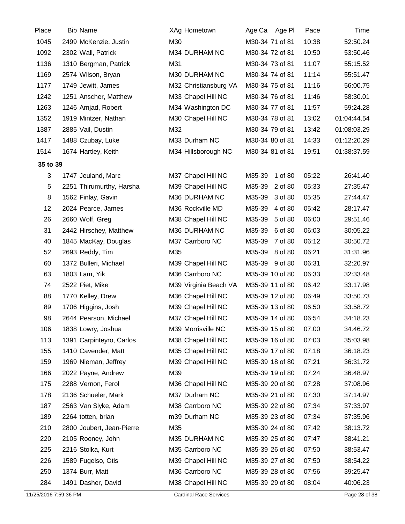| Place    | <b>Bib Name</b>           | XAg Hometown          | Age Ca<br>Age Pl  | Pace  | Time        |
|----------|---------------------------|-----------------------|-------------------|-------|-------------|
| 1045     | 2499 McKenzie, Justin     | M30                   | M30-34 71 of 81   | 10:38 | 52:50.24    |
| 1092     | 2302 Wall, Patrick        | M34 DURHAM NC         | M30-34 72 of 81   | 10:50 | 53:50.46    |
| 1136     | 1310 Bergman, Patrick     | M31                   | M30-34 73 of 81   | 11:07 | 55:15.52    |
| 1169     | 2574 Wilson, Bryan        | M30 DURHAM NC         | M30-34 74 of 81   | 11:14 | 55:51.47    |
| 1177     | 1749 Jewitt, James        | M32 Christiansburg VA | M30-34 75 of 81   | 11:16 | 56:00.75    |
| 1242     | 1251 Anscher, Matthew     | M33 Chapel Hill NC    | M30-34 76 of 81   | 11:46 | 58:30.01    |
| 1263     | 1246 Amjad, Robert        | M34 Washington DC     | M30-34 77 of 81   | 11:57 | 59:24.28    |
| 1352     | 1919 Mintzer, Nathan      | M30 Chapel Hill NC    | M30-34 78 of 81   | 13:02 | 01:04:44.54 |
| 1387     | 2885 Vail, Dustin         | M32                   | M30-34 79 of 81   | 13:42 | 01:08:03.29 |
| 1417     | 1488 Czubay, Luke         | M33 Durham NC         | M30-34 80 of 81   | 14:33 | 01:12:20.29 |
| 1514     | 1674 Hartley, Keith       | M34 Hillsborough NC   | M30-34 81 of 81   | 19:51 | 01:38:37.59 |
| 35 to 39 |                           |                       |                   |       |             |
| 3        | 1747 Jeuland, Marc        | M37 Chapel Hill NC    | M35-39<br>1 of 80 | 05:22 | 26:41.40    |
| 5        | 2251 Thirumurthy, Harsha  | M39 Chapel Hill NC    | M35-39<br>2 of 80 | 05:33 | 27:35.47    |
| 8        | 1562 Finlay, Gavin        | M36 DURHAM NC         | M35-39<br>3 of 80 | 05:35 | 27:44.47    |
| 12       | 2024 Pearce, James        | M36 Rockville MD      | M35-39<br>4 of 80 | 05:42 | 28:17.47    |
| 26       | 2660 Wolf, Greg           | M38 Chapel Hill NC    | M35-39<br>5 of 80 | 06:00 | 29:51.46    |
| 31       | 2442 Hirschey, Matthew    | M36 DURHAM NC         | M35-39<br>6 of 80 | 06:03 | 30:05.22    |
| 40       | 1845 MacKay, Douglas      | M37 Carrboro NC       | M35-39<br>7 of 80 | 06:12 | 30:50.72    |
| 52       | 2693 Reddy, Tim           | M35                   | M35-39<br>8 of 80 | 06:21 | 31:31.96    |
| 60       | 1372 Bulleri, Michael     | M39 Chapel Hill NC    | M35-39 9 of 80    | 06:31 | 32:20.97    |
| 63       | 1803 Lam, Yik             | M36 Carrboro NC       | M35-39 10 of 80   | 06:33 | 32:33.48    |
| 74       | 2522 Piet, Mike           | M39 Virginia Beach VA | M35-39 11 of 80   | 06:42 | 33:17.98    |
| 88       | 1770 Kelley, Drew         | M36 Chapel Hill NC    | M35-39 12 of 80   | 06:49 | 33:50.73    |
| 89       | 1706 Higgins, Josh        | M39 Chapel Hill NC    | M35-39 13 of 80   | 06:50 | 33:58.72    |
| 98       | 2644 Pearson, Michael     | M37 Chapel Hill NC    | M35-39 14 of 80   | 06:54 | 34:18.23    |
| 106      | 1838 Lowry, Joshua        | M39 Morrisville NC    | M35-39 15 of 80   | 07:00 | 34:46.72    |
| 113      | 1391 Carpinteyro, Carlos  | M38 Chapel Hill NC    | M35-39 16 of 80   | 07:03 | 35:03.98    |
| 155      | 1410 Cavender, Matt       | M35 Chapel Hill NC    | M35-39 17 of 80   | 07:18 | 36:18.23    |
| 159      | 1969 Nieman, Jeffrey      | M39 Chapel Hill NC    | M35-39 18 of 80   | 07:21 | 36:31.72    |
| 166      | 2022 Payne, Andrew        | M39                   | M35-39 19 of 80   | 07:24 | 36:48.97    |
| 175      | 2288 Vernon, Ferol        | M36 Chapel Hill NC    | M35-39 20 of 80   | 07:28 | 37:08.96    |
| 178      | 2136 Schueler, Mark       | M37 Durham NC         | M35-39 21 of 80   | 07:30 | 37:14.97    |
| 187      | 2563 Van Slyke, Adam      | M38 Carrboro NC       | M35-39 22 of 80   | 07:34 | 37:33.97    |
| 189      | 2264 totten, brian        | m39 Durham NC         | M35-39 23 of 80   | 07:34 | 37:35.96    |
| 210      | 2800 Joubert, Jean-Pierre | M35                   | M35-39 24 of 80   | 07:42 | 38:13.72    |
| 220      | 2105 Rooney, John         | M35 DURHAM NC         | M35-39 25 of 80   | 07:47 | 38:41.21    |
| 225      | 2216 Stolka, Kurt         | M35 Carrboro NC       | M35-39 26 of 80   | 07:50 | 38:53.47    |
| 226      | 1589 Fugelso, Otis        | M39 Chapel Hill NC    | M35-39 27 of 80   | 07:50 | 38:54.22    |
| 250      | 1374 Burr, Matt           | M36 Carrboro NC       | M35-39 28 of 80   | 07:56 | 39:25.47    |
| 284      | 1491 Dasher, David        | M38 Chapel Hill NC    | M35-39 29 of 80   | 08:04 | 40:06.23    |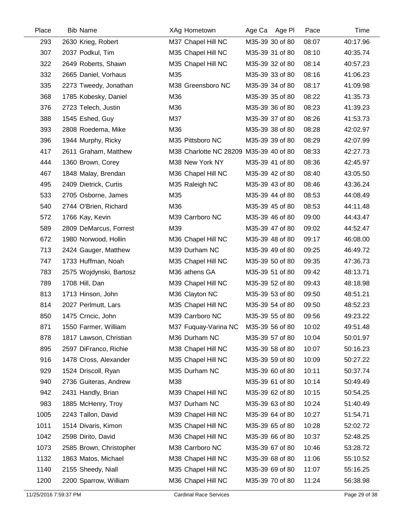| Place | <b>Bib Name</b>         | XAg Hometown                           | Age Ca Age PI   | Pace  | Time     |
|-------|-------------------------|----------------------------------------|-----------------|-------|----------|
| 293   | 2630 Krieg, Robert      | M37 Chapel Hill NC                     | M35-39 30 of 80 | 08:07 | 40:17.96 |
| 307   | 2037 Podkul, Tim        | M35 Chapel Hill NC                     | M35-39 31 of 80 | 08:10 | 40:35.74 |
| 322   | 2649 Roberts, Shawn     | M35 Chapel Hill NC                     | M35-39 32 of 80 | 08:14 | 40:57.23 |
| 332   | 2665 Daniel, Vorhaus    | M35                                    | M35-39 33 of 80 | 08:16 | 41:06.23 |
| 335   | 2273 Tweedy, Jonathan   | M38 Greensboro NC                      | M35-39 34 of 80 | 08:17 | 41:09.98 |
| 368   | 1785 Kobesky, Daniel    | M36                                    | M35-39 35 of 80 | 08:22 | 41:35.73 |
| 376   | 2723 Telech, Justin     | M36                                    | M35-39 36 of 80 | 08:23 | 41:39.23 |
| 388   | 1545 Eshed, Guy         | M37                                    | M35-39 37 of 80 | 08:26 | 41:53.73 |
| 393   | 2808 Roedema, Mike      | M36                                    | M35-39 38 of 80 | 08:28 | 42:02.97 |
| 396   | 1944 Murphy, Ricky      | M35 Pittsboro NC                       | M35-39 39 of 80 | 08:29 | 42:07.99 |
| 417   | 2611 Graham, Matthew    | M38 Charlotte NC 28209 M35-39 40 of 80 |                 | 08:33 | 42:27.73 |
| 444   | 1360 Brown, Corey       | M38 New York NY                        | M35-39 41 of 80 | 08:36 | 42:45.97 |
| 467   | 1848 Malay, Brendan     | M36 Chapel Hill NC                     | M35-39 42 of 80 | 08:40 | 43:05.50 |
| 495   | 2409 Dietrick, Curtis   | M35 Raleigh NC                         | M35-39 43 of 80 | 08:46 | 43:36.24 |
| 533   | 2705 Osborne, James     | M35                                    | M35-39 44 of 80 | 08:53 | 44:08.49 |
| 540   | 2744 O'Brien, Richard   | M36                                    | M35-39 45 of 80 | 08:53 | 44:11.48 |
| 572   | 1766 Kay, Kevin         | M39 Carrboro NC                        | M35-39 46 of 80 | 09:00 | 44:43.47 |
| 589   | 2809 DeMarcus, Forrest  | M39                                    | M35-39 47 of 80 | 09:02 | 44:52.47 |
| 672   | 1980 Norwood, Hollin    | M36 Chapel Hill NC                     | M35-39 48 of 80 | 09:17 | 46:08.00 |
| 713   | 2424 Gauger, Matthew    | M39 Durham NC                          | M35-39 49 of 80 | 09:25 | 46:49.72 |
| 747   | 1733 Huffman, Noah      | M35 Chapel Hill NC                     | M35-39 50 of 80 | 09:35 | 47:36.73 |
| 783   | 2575 Wojdynski, Bartosz | M36 athens GA                          | M35-39 51 of 80 | 09:42 | 48:13.71 |
| 789   | 1708 Hill, Dan          | M39 Chapel Hill NC                     | M35-39 52 of 80 | 09:43 | 48:18.98 |
| 813   | 1713 Hinson, John       | M36 Clayton NC                         | M35-39 53 of 80 | 09:50 | 48:51.21 |
| 814   | 2027 Perlmutt, Lars     | M35 Chapel Hill NC                     | M35-39 54 of 80 | 09:50 | 48:52.23 |
| 850   | 1475 Crncic, John       | M39 Carrboro NC                        | M35-39 55 of 80 | 09:56 | 49:23.22 |
| 871   | 1550 Farmer, William    | M37 Fuquay-Varina NC                   | M35-39 56 of 80 | 10:02 | 49:51.48 |
| 878   | 1817 Lawson, Christian  | M36 Durham NC                          | M35-39 57 of 80 | 10:04 | 50:01.97 |
| 895   | 2597 DiFranco, Richie   | M38 Chapel Hill NC                     | M35-39 58 of 80 | 10:07 | 50:16.23 |
| 916   | 1478 Cross, Alexander   | M35 Chapel Hill NC                     | M35-39 59 of 80 | 10:09 | 50:27.22 |
| 929   | 1524 Driscoll, Ryan     | M35 Durham NC                          | M35-39 60 of 80 | 10:11 | 50:37.74 |
| 940   | 2736 Guiteras, Andrew   | M38                                    | M35-39 61 of 80 | 10:14 | 50:49.49 |
| 942   | 2431 Handly, Brian      | M39 Chapel Hill NC                     | M35-39 62 of 80 | 10:15 | 50:54.25 |
| 983   | 1885 McHenry, Troy      | M37 Durham NC                          | M35-39 63 of 80 | 10:24 | 51:40.49 |
| 1005  | 2243 Tallon, David      | M39 Chapel Hill NC                     | M35-39 64 of 80 | 10:27 | 51:54.71 |
| 1011  | 1514 Divaris, Kimon     | M35 Chapel Hill NC                     | M35-39 65 of 80 | 10:28 | 52:02.72 |
| 1042  | 2598 Dirito, David      | M36 Chapel Hill NC                     | M35-39 66 of 80 | 10:37 | 52:48.25 |
| 1073  | 2585 Brown, Christopher | M38 Carrboro NC                        | M35-39 67 of 80 | 10:46 | 53:28.72 |
| 1132  | 1863 Matos, Michael     | M38 Chapel Hill NC                     | M35-39 68 of 80 | 11:06 | 55:10.52 |
| 1140  | 2155 Sheedy, Niall      | M35 Chapel Hill NC                     | M35-39 69 of 80 | 11:07 | 55:16.25 |
| 1200  | 2200 Sparrow, William   | M36 Chapel Hill NC                     | M35-39 70 of 80 | 11:24 | 56:38.98 |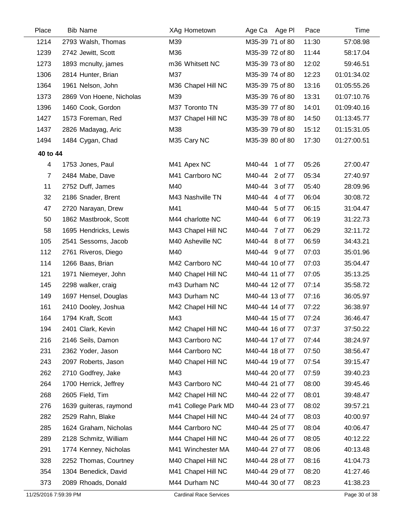| Place          | <b>Bib Name</b>          | XAg Hometown        | Age Ca Age PI     | Pace  | Time        |
|----------------|--------------------------|---------------------|-------------------|-------|-------------|
| 1214           | 2793 Walsh, Thomas       | M39                 | M35-39 71 of 80   | 11:30 | 57:08.98    |
| 1239           | 2742 Jewitt, Scott       | M36                 | M35-39 72 of 80   | 11:44 | 58:17.04    |
| 1273           | 1893 mcnulty, james      | m36 Whitsett NC     | M35-39 73 of 80   | 12:02 | 59:46.51    |
| 1306           | 2814 Hunter, Brian       | M37                 | M35-39 74 of 80   | 12:23 | 01:01:34.02 |
| 1364           | 1961 Nelson, John        | M36 Chapel Hill NC  | M35-39 75 of 80   | 13:16 | 01:05:55.26 |
| 1373           | 2869 Von Hoene, Nicholas | M39                 | M35-39 76 of 80   | 13:31 | 01:07:10.76 |
| 1396           | 1460 Cook, Gordon        | M37 Toronto TN      | M35-39 77 of 80   | 14:01 | 01:09:40.16 |
| 1427           | 1573 Foreman, Red        | M37 Chapel Hill NC  | M35-39 78 of 80   | 14:50 | 01:13:45.77 |
| 1437           | 2826 Madayag, Aric       | M38                 | M35-39 79 of 80   | 15:12 | 01:15:31.05 |
| 1494           | 1484 Cygan, Chad         | M35 Cary NC         | M35-39 80 of 80   | 17:30 | 01:27:00.51 |
| 40 to 44       |                          |                     |                   |       |             |
| $\overline{4}$ | 1753 Jones, Paul         | M41 Apex NC         | 1 of 77<br>M40-44 | 05:26 | 27:00.47    |
| $\overline{7}$ | 2484 Mabe, Dave          | M41 Carrboro NC     | M40-44 2 of 77    | 05:34 | 27:40.97    |
| 11             | 2752 Duff, James         | M40                 | M40-44 3 of 77    | 05:40 | 28:09.96    |
| 32             | 2186 Snader, Brent       | M43 Nashville TN    | M40-44 4 of 77    | 06:04 | 30:08.72    |
| 47             | 2720 Narayan, Drew       | M41                 | M40-44 5 of 77    | 06:15 | 31:04.47    |
| 50             | 1862 Mastbrook, Scott    | M44 charlotte NC    | M40-44 6 of 77    | 06:19 | 31:22.73    |
| 58             | 1695 Hendricks, Lewis    | M43 Chapel Hill NC  | M40-44 7 of 77    | 06:29 | 32:11.72    |
| 105            | 2541 Sessoms, Jacob      | M40 Asheville NC    | M40-44 8 of 77    | 06:59 | 34:43.21    |
| 112            | 2761 Riveros, Diego      | M40                 | M40-44 9 of 77    | 07:03 | 35:01.96    |
| 114            | 1266 Baas, Brian         | M42 Carrboro NC     | M40-44 10 of 77   | 07:03 | 35:04.47    |
| 121            | 1971 Niemeyer, John      | M40 Chapel Hill NC  | M40-44 11 of 77   | 07:05 | 35:13.25    |
| 145            | 2298 walker, craig       | m43 Durham NC       | M40-44 12 of 77   | 07:14 | 35:58.72    |
| 149            | 1697 Hensel, Douglas     | M43 Durham NC       | M40-44 13 of 77   | 07:16 | 36:05.97    |
| 161            | 2410 Dooley, Joshua      | M42 Chapel Hill NC  | M40-44 14 of 77   | 07:22 | 36:38.97    |
| 164            | 1794 Kraft, Scott        | M43                 | M40-44 15 of 77   | 07:24 | 36:46.47    |
| 194            | 2401 Clark, Kevin        | M42 Chapel Hill NC  | M40-44 16 of 77   | 07:37 | 37:50.22    |
| 216            | 2146 Seils, Damon        | M43 Carrboro NC     | M40-44 17 of 77   | 07:44 | 38:24.97    |
| 231            | 2362 Yoder, Jason        | M44 Carrboro NC     | M40-44 18 of 77   | 07:50 | 38:56.47    |
| 243            | 2097 Roberts, Jason      | M40 Chapel Hill NC  | M40-44 19 of 77   | 07:54 | 39:15.47    |
| 262            | 2710 Godfrey, Jake       | M43                 | M40-44 20 of 77   | 07:59 | 39:40.23    |
| 264            | 1700 Herrick, Jeffrey    | M43 Carrboro NC     | M40-44 21 of 77   | 08:00 | 39:45.46    |
| 268            | 2605 Field, Tim          | M42 Chapel Hill NC  | M40-44 22 of 77   | 08:01 | 39:48.47    |
| 276            | 1639 guiteras, raymond   | m41 College Park MD | M40-44 23 of 77   | 08:02 | 39:57.21    |
| 282            | 2529 Rahn, Blake         | M44 Chapel Hill NC  | M40-44 24 of 77   | 08:03 | 40:00.97    |
| 285            | 1624 Graham, Nicholas    | M44 Carrboro NC     | M40-44 25 of 77   | 08:04 | 40:06.47    |
| 289            | 2128 Schmitz, William    | M44 Chapel Hill NC  | M40-44 26 of 77   | 08:05 | 40:12.22    |
| 291            | 1774 Kenney, Nicholas    | M41 Winchester MA   | M40-44 27 of 77   | 08:06 | 40:13.48    |
| 328            | 2252 Thomas, Courtney    | M40 Chapel Hill NC  | M40-44 28 of 77   | 08:16 | 41:04.73    |
| 354            | 1304 Benedick, David     | M41 Chapel Hill NC  | M40-44 29 of 77   | 08:20 | 41:27.46    |
| 373            | 2089 Rhoads, Donald      | M44 Durham NC       | M40-44 30 of 77   | 08:23 | 41:38.23    |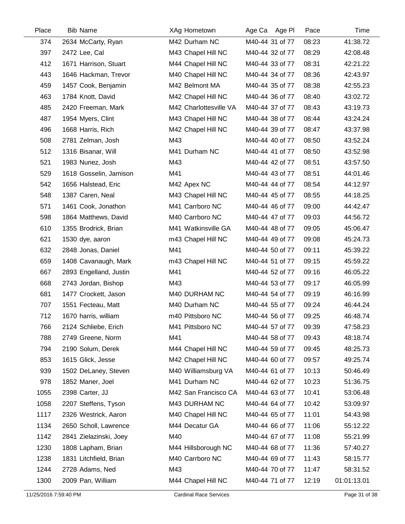| Place | <b>Bib Name</b>        | XAg Hometown           | Age Ca Age PI   | Pace  | Time        |
|-------|------------------------|------------------------|-----------------|-------|-------------|
| 374   | 2634 McCarty, Ryan     | M42 Durham NC          | M40-44 31 of 77 | 08:23 | 41:38.72    |
| 397   | 2472 Lee, Cal          | M43 Chapel Hill NC     | M40-44 32 of 77 | 08:29 | 42:08.48    |
| 412   | 1671 Harrison, Stuart  | M44 Chapel Hill NC     | M40-44 33 of 77 | 08:31 | 42:21.22    |
| 443   | 1646 Hackman, Trevor   | M40 Chapel Hill NC     | M40-44 34 of 77 | 08:36 | 42:43.97    |
| 459   | 1457 Cook, Benjamin    | M42 Belmont MA         | M40-44 35 of 77 | 08:38 | 42:55.23    |
| 463   | 1784 Knott, David      | M42 Chapel Hill NC     | M40-44 36 of 77 | 08:40 | 43:02.72    |
| 485   | 2420 Freeman, Mark     | M42 Charlottesville VA | M40-44 37 of 77 | 08:43 | 43:19.73    |
| 487   | 1954 Myers, Clint      | M43 Chapel Hill NC     | M40-44 38 of 77 | 08:44 | 43:24.24    |
| 496   | 1668 Harris, Rich      | M42 Chapel Hill NC     | M40-44 39 of 77 | 08:47 | 43:37.98    |
| 508   | 2781 Zelman, Josh      | M43                    | M40-44 40 of 77 | 08:50 | 43:52.24    |
| 512   | 1316 Bisanar, Will     | M41 Durham NC          | M40-44 41 of 77 | 08:50 | 43:52.98    |
| 521   | 1983 Nunez, Josh       | M43                    | M40-44 42 of 77 | 08:51 | 43:57.50    |
| 529   | 1618 Gosselin, Jamison | M41                    | M40-44 43 of 77 | 08:51 | 44:01.46    |
| 542   | 1656 Halstead, Eric    | M42 Apex NC            | M40-44 44 of 77 | 08:54 | 44:12.97    |
| 548   | 1387 Caren, Neal       | M43 Chapel Hill NC     | M40-44 45 of 77 | 08:55 | 44:18.25    |
| 571   | 1461 Cook, Jonathon    | M41 Carrboro NC        | M40-44 46 of 77 | 09:00 | 44:42.47    |
| 598   | 1864 Matthews, David   | M40 Carrboro NC        | M40-44 47 of 77 | 09:03 | 44:56.72    |
| 610   | 1355 Brodrick, Brian   | M41 Watkinsville GA    | M40-44 48 of 77 | 09:05 | 45:06.47    |
| 621   | 1530 dye, aaron        | m43 Chapel Hill NC     | M40-44 49 of 77 | 09:08 | 45:24.73    |
| 632   | 2848 Jonas, Daniel     | M41                    | M40-44 50 of 77 | 09:11 | 45:39.22    |
| 659   | 1408 Cavanaugh, Mark   | m43 Chapel Hill NC     | M40-44 51 of 77 | 09:15 | 45:59.22    |
| 667   | 2893 Engelland, Justin | M41                    | M40-44 52 of 77 | 09:16 | 46:05.22    |
| 668   | 2743 Jordan, Bishop    | M43                    | M40-44 53 of 77 | 09:17 | 46:05.99    |
| 681   | 1477 Crockett, Jason   | M40 DURHAM NC          | M40-44 54 of 77 | 09:19 | 46:16.99    |
| 707   | 1551 Fecteau, Matt     | M40 Durham NC          | M40-44 55 of 77 | 09:24 | 46:44.24    |
| 712   | 1670 harris, william   | m40 Pittsboro NC       | M40-44 56 of 77 | 09:25 | 46:48.74    |
| 766   | 2124 Schliebe, Erich   | M41 Pittsboro NC       | M40-44 57 of 77 | 09:39 | 47:58.23    |
| 788   | 2749 Greene, Norm      | M41                    | M40-44 58 of 77 | 09:43 | 48:18.74    |
| 794   | 2190 Solum, Derek      | M44 Chapel Hill NC     | M40-44 59 of 77 | 09:45 | 48:25.73    |
| 853   | 1615 Glick, Jesse      | M42 Chapel Hill NC     | M40-44 60 of 77 | 09:57 | 49:25.74    |
| 939   | 1502 DeLaney, Steven   | M40 Williamsburg VA    | M40-44 61 of 77 | 10:13 | 50:46.49    |
| 978   | 1852 Maner, Joel       | M41 Durham NC          | M40-44 62 of 77 | 10:23 | 51:36.75    |
| 1055  | 2398 Carter, JJ        | M42 San Francisco CA   | M40-44 63 of 77 | 10:41 | 53:06.48    |
| 1058  | 2207 Steffens, Tyson   | M43 DURHAM NC          | M40-44 64 of 77 | 10:42 | 53:09.97    |
| 1117  | 2326 Westrick, Aaron   | M40 Chapel Hill NC     | M40-44 65 of 77 | 11:01 | 54:43.98    |
| 1134  | 2650 Scholl, Lawrence  | M44 Decatur GA         | M40-44 66 of 77 | 11:06 | 55:12.22    |
| 1142  | 2841 Zielazinski, Joey | M40                    | M40-44 67 of 77 | 11:08 | 55:21.99    |
| 1230  | 1808 Lapham, Brian     | M44 Hillsborough NC    | M40-44 68 of 77 | 11:36 | 57:40.27    |
| 1238  | 1831 Litchfield, Brian | M40 Carrboro NC        | M40-44 69 of 77 | 11:43 | 58:15.77    |
| 1244  | 2728 Adams, Ned        | M43                    | M40-44 70 of 77 | 11:47 | 58:31.52    |
| 1300  | 2009 Pan, William      | M44 Chapel Hill NC     | M40-44 71 of 77 | 12:19 | 01:01:13.01 |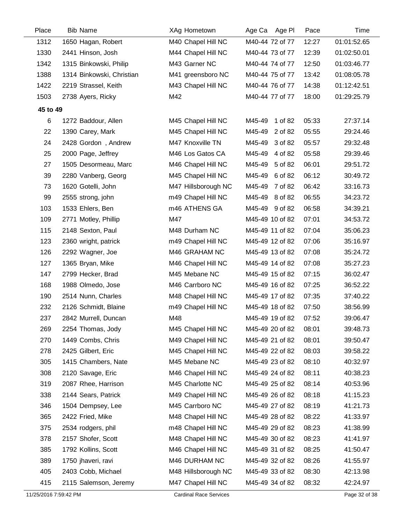| Place    | <b>Bib Name</b>           | XAg Hometown        | Age Ca Age PI     | Pace  | Time        |
|----------|---------------------------|---------------------|-------------------|-------|-------------|
| 1312     | 1650 Hagan, Robert        | M40 Chapel Hill NC  | M40-44 72 of 77   | 12:27 | 01:01:52.65 |
| 1330     | 2441 Hinson, Josh         | M44 Chapel Hill NC  | M40-44 73 of 77   | 12:39 | 01:02:50.01 |
| 1342     | 1315 Binkowski, Philip    | M43 Garner NC       | M40-44 74 of 77   | 12:50 | 01:03:46.77 |
| 1388     | 1314 Binkowski, Christian | M41 greensboro NC   | M40-44 75 of 77   | 13:42 | 01:08:05.78 |
| 1422     | 2219 Strassel, Keith      | M43 Chapel Hill NC  | M40-44 76 of 77   | 14:38 | 01:12:42.51 |
| 1503     | 2738 Ayers, Ricky         | M42                 | M40-44 77 of 77   | 18:00 | 01:29:25.79 |
| 45 to 49 |                           |                     |                   |       |             |
| 6        | 1272 Baddour, Allen       | M45 Chapel Hill NC  | M45-49<br>1 of 82 | 05:33 | 27:37.14    |
| 22       | 1390 Carey, Mark          | M45 Chapel Hill NC  | M45-49<br>2 of 82 | 05:55 | 29:24.46    |
| 24       | 2428 Gordon, Andrew       | M47 Knoxville TN    | M45-49<br>3 of 82 | 05:57 | 29:32.48    |
| 25       | 2000 Page, Jeffrey        | M46 Los Gatos CA    | M45-49<br>4 of 82 | 05:58 | 29:39.46    |
| 27       | 1505 Desormeau, Marc      | M46 Chapel Hill NC  | M45-49<br>5 of 82 | 06:01 | 29:51.72    |
| 39       | 2280 Vanberg, Georg       | M45 Chapel Hill NC  | M45-49<br>6 of 82 | 06:12 | 30:49.72    |
| 73       | 1620 Gotelli, John        | M47 Hillsborough NC | M45-49<br>7 of 82 | 06:42 | 33:16.73    |
| 99       | 2555 strong, john         | m49 Chapel Hill NC  | M45-49<br>8 of 82 | 06:55 | 34:23.72    |
| 103      | 1533 Ehlers, Ben          | m46 ATHENS GA       | M45-49 9 of 82    | 06:58 | 34:39.21    |
| 109      | 2771 Motley, Phillip      | M47                 | M45-49 10 of 82   | 07:01 | 34:53.72    |
| 115      | 2148 Sexton, Paul         | M48 Durham NC       | M45-49 11 of 82   | 07:04 | 35:06.23    |
| 123      | 2360 wright, patrick      | m49 Chapel Hill NC  | M45-49 12 of 82   | 07:06 | 35:16.97    |
| 126      | 2292 Wagner, Joe          | M46 GRAHAM NC       | M45-49 13 of 82   | 07:08 | 35:24.72    |
| 127      | 1365 Bryan, Mike          | M46 Chapel Hill NC  | M45-49 14 of 82   | 07:08 | 35:27.23    |
| 147      | 2799 Hecker, Brad         | M45 Mebane NC       | M45-49 15 of 82   | 07:15 | 36:02.47    |
| 168      | 1988 Olmedo, Jose         | M46 Carrboro NC     | M45-49 16 of 82   | 07:25 | 36:52.22    |
| 190      | 2514 Nunn, Charles        | M48 Chapel Hill NC  | M45-49 17 of 82   | 07:35 | 37:40.22    |
| 232      | 2126 Schmidt, Blaine      | m49 Chapel Hill NC  | M45-49 18 of 82   | 07:50 | 38:56.99    |
| 237      | 2842 Murrell, Duncan      | M48                 | M45-49 19 of 82   | 07:52 | 39:06.47    |
| 269      | 2254 Thomas, Jody         | M45 Chapel Hill NC  | M45-49 20 of 82   | 08:01 | 39:48.73    |
| 270      | 1449 Combs, Chris         | M49 Chapel Hill NC  | M45-49 21 of 82   | 08:01 | 39:50.47    |
| 278      | 2425 Gilbert, Eric        | M45 Chapel Hill NC  | M45-49 22 of 82   | 08:03 | 39:58.22    |
| 305      | 1415 Chambers, Nate       | M45 Mebane NC       | M45-49 23 of 82   | 08:10 | 40:32.97    |
| 308      | 2120 Savage, Eric         | M46 Chapel Hill NC  | M45-49 24 of 82   | 08:11 | 40:38.23    |
| 319      | 2087 Rhee, Harrison       | M45 Charlotte NC    | M45-49 25 of 82   | 08:14 | 40:53.96    |
| 338      | 2144 Sears, Patrick       | M49 Chapel Hill NC  | M45-49 26 of 82   | 08:18 | 41:15.23    |
| 346      | 1504 Dempsey, Lee         | M45 Carrboro NC     | M45-49 27 of 82   | 08:19 | 41:21.73    |
| 365      | 2422 Fried, Mike          | M48 Chapel Hill NC  | M45-49 28 of 82   | 08:22 | 41:33.97    |
| 375      | 2534 rodgers, phil        | m48 Chapel Hill NC  | M45-49 29 of 82   | 08:23 | 41:38.99    |
| 378      | 2157 Shofer, Scott        | M48 Chapel Hill NC  | M45-49 30 of 82   | 08:23 | 41:41.97    |
| 385      | 1792 Kollins, Scott       | M46 Chapel Hill NC  | M45-49 31 of 82   | 08:25 | 41:50.47    |
| 389      | 1750 jhaveri, ravi        | M46 DURHAM NC       | M45-49 32 of 82   | 08:26 | 41:55.97    |
| 405      | 2403 Cobb, Michael        | M48 Hillsborough NC | M45-49 33 of 82   | 08:30 | 42:13.98    |
| 415      | 2115 Salemson, Jeremy     | M47 Chapel Hill NC  | M45-49 34 of 82   | 08:32 | 42:24.97    |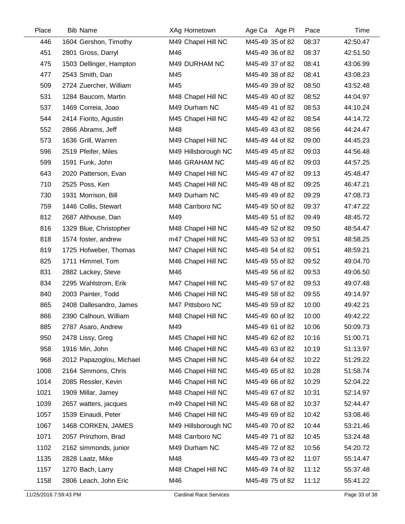| Place | <b>Bib Name</b>          | XAg Hometown        | Age Ca Age PI   | Pace  | Time     |
|-------|--------------------------|---------------------|-----------------|-------|----------|
| 446   | 1604 Gershon, Timothy    | M49 Chapel Hill NC  | M45-49 35 of 82 | 08:37 | 42:50.47 |
| 451   | 2801 Gross, Darryl       | M46                 | M45-49 36 of 82 | 08:37 | 42:51.50 |
| 475   | 1503 Dellinger, Hampton  | M49 DURHAM NC       | M45-49 37 of 82 | 08:41 | 43:06.99 |
| 477   | 2543 Smith, Dan          | M45                 | M45-49 38 of 82 | 08:41 | 43:08.23 |
| 509   | 2724 Zuercher, William   | M45                 | M45-49 39 of 82 | 08:50 | 43:52.48 |
| 531   | 1284 Baucom, Martin      | M48 Chapel Hill NC  | M45-49 40 of 82 | 08:52 | 44:04.97 |
| 537   | 1469 Correia, Joao       | M49 Durham NC       | M45-49 41 of 82 | 08:53 | 44:10.24 |
| 544   | 2414 Fiorito, Agustin    | M45 Chapel Hill NC  | M45-49 42 of 82 | 08:54 | 44:14.72 |
| 552   | 2866 Abrams, Jeff        | M48                 | M45-49 43 of 82 | 08:56 | 44:24.47 |
| 573   | 1636 Grill, Warren       | M49 Chapel Hill NC  | M45-49 44 of 82 | 09:00 | 44:45.23 |
| 596   | 2519 Pfeifer, Miles      | M49 Hillsborough NC | M45-49 45 of 82 | 09:03 | 44:56.48 |
| 599   | 1591 Funk, John          | M46 GRAHAM NC       | M45-49 46 of 82 | 09:03 | 44:57.25 |
| 643   | 2020 Patterson, Evan     | M49 Chapel Hill NC  | M45-49 47 of 82 | 09:13 | 45:48.47 |
| 710   | 2525 Poss, Ken           | M45 Chapel Hill NC  | M45-49 48 of 82 | 09:25 | 46:47.21 |
| 730   | 1931 Morrison, Bill      | M49 Durham NC       | M45-49 49 of 82 | 09:29 | 47:08.73 |
| 759   | 1446 Collis, Stewart     | M48 Carrboro NC     | M45-49 50 of 82 | 09:37 | 47:47.22 |
| 812   | 2687 Althouse, Dan       | M49                 | M45-49 51 of 82 | 09:49 | 48:45.72 |
| 816   | 1329 Blue, Christopher   | M48 Chapel Hill NC  | M45-49 52 of 82 | 09:50 | 48:54.47 |
| 818   | 1574 foster, andrew      | m47 Chapel Hill NC  | M45-49 53 of 82 | 09:51 | 48:58.25 |
| 819   | 1725 Hofweber, Thomas    | M47 Chapel Hill NC  | M45-49 54 of 82 | 09:51 | 48:59.21 |
| 825   | 1711 Himmel, Tom         | M46 Chapel Hill NC  | M45-49 55 of 82 | 09:52 | 49:04.70 |
| 831   | 2882 Lackey, Steve       | M46                 | M45-49 56 of 82 | 09:53 | 49:06.50 |
| 834   | 2295 Wahlstrom, Erik     | M47 Chapel Hill NC  | M45-49 57 of 82 | 09:53 | 49:07.48 |
| 840   | 2003 Painter, Todd       | M46 Chapel Hill NC  | M45-49 58 of 82 | 09:55 | 49:14.97 |
| 865   | 2408 Dallesandro, James  | M47 Pittsboro NC    | M45-49 59 of 82 | 10:00 | 49:42.21 |
| 866   | 2390 Calhoun, William    | M48 Chapel Hill NC  | M45-49 60 of 82 | 10:00 | 49:42.22 |
| 885   | 2787 Asaro, Andrew       | M49                 | M45-49 61 of 82 | 10:06 | 50:09.73 |
| 950   | 2478 Lissy, Greg         | M45 Chapel Hill NC  | M45-49 62 of 82 | 10:16 | 51:00.71 |
| 958   | 1916 Min, John           | M46 Chapel Hill NC  | M45-49 63 of 82 | 10:19 | 51:13.97 |
| 968   | 2012 Papazoglou, Michael | M45 Chapel Hill NC  | M45-49 64 of 82 | 10:22 | 51:29.22 |
| 1008  | 2164 Simmons, Chris      | M46 Chapel Hill NC  | M45-49 65 of 82 | 10:28 | 51:58.74 |
| 1014  | 2085 Ressler, Kevin      | M46 Chapel Hill NC  | M45-49 66 of 82 | 10:29 | 52:04.22 |
| 1021  | 1909 Millar, Jamey       | M48 Chapel Hill NC  | M45-49 67 of 82 | 10:31 | 52:14.97 |
| 1039  | 2657 watters, jacques    | m49 Chapel Hill NC  | M45-49 68 of 82 | 10:37 | 52:44.47 |
| 1057  | 1539 Einaudi, Peter      | M46 Chapel Hill NC  | M45-49 69 of 82 | 10:42 | 53:08.46 |
| 1067  | 1468 CORKEN, JAMES       | M49 Hillsborough NC | M45-49 70 of 82 | 10:44 | 53:21.46 |
| 1071  | 2057 Prinzhorn, Brad     | M48 Carrboro NC     | M45-49 71 of 82 | 10:45 | 53:24.48 |
| 1102  | 2162 simmonds, junior    | M49 Durham NC       | M45-49 72 of 82 | 10:56 | 54:20.72 |
| 1135  | 2828 Laatz, Mike         | M48                 | M45-49 73 of 82 | 11:07 | 55:14.47 |
| 1157  | 1270 Bach, Larry         | M48 Chapel Hill NC  | M45-49 74 of 82 | 11:12 | 55:37.48 |
| 1158  | 2806 Leach, John Eric    | M46                 | M45-49 75 of 82 | 11:12 | 55:41.22 |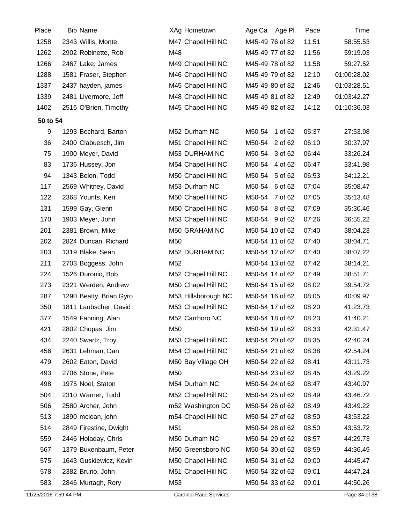| Place    | <b>Bib Name</b>         | XAg Hometown        | Age Ca Age Pl     | Pace  | Time        |
|----------|-------------------------|---------------------|-------------------|-------|-------------|
| 1258     | 2343 Willis, Monte      | M47 Chapel Hill NC  | M45-49 76 of 82   | 11:51 | 58:55.53    |
| 1262     | 2902 Robinette, Rob     | M48                 | M45-49 77 of 82   | 11:56 | 59:19.03    |
| 1266     | 2467 Lake, James        | M49 Chapel Hill NC  | M45-49 78 of 82   | 11:58 | 59:27.52    |
| 1288     | 1581 Fraser, Stephen    | M46 Chapel Hill NC  | M45-49 79 of 82   | 12:10 | 01:00:28.02 |
| 1337     | 2437 hayden, james      | M45 Chapel Hill NC  | M45-49 80 of 82   | 12:46 | 01:03:28.51 |
| 1339     | 2481 Livermore, Jeff    | M48 Chapel Hill NC  | M45-49 81 of 82   | 12:49 | 01:03:42.27 |
| 1402     | 2516 O'Brien, Timothy   | M45 Chapel Hill NC  | M45-49 82 of 82   | 14:12 | 01:10:36.03 |
| 50 to 54 |                         |                     |                   |       |             |
| 9        | 1293 Bechard, Barton    | M52 Durham NC       | M50-54<br>1 of 62 | 05:37 | 27:53.98    |
| 36       | 2400 Clabuesch, Jim     | M51 Chapel Hill NC  | M50-54<br>2 of 62 | 06:10 | 30:37.97    |
| 75       | 1900 Meyer, David       | M53 DURHAM NC       | M50-54 3 of 62    | 06:44 | 33:26.24    |
| 83       | 1736 Hussey, Jon        | M54 Chapel Hill NC  | M50-54 4 of 62    | 06:47 | 33:41.98    |
| 94       | 1343 Bolon, Todd        | M50 Chapel Hill NC  | M50-54 5 of 62    | 06:53 | 34:12.21    |
| 117      | 2569 Whitney, David     | M53 Durham NC       | M50-54<br>6 of 62 | 07:04 | 35:08.47    |
| 122      | 2368 Younts, Ken        | M50 Chapel Hill NC  | M50-54 7 of 62    | 07:05 | 35:13.48    |
| 131      | 1599 Gay, Glenn         | M50 Chapel Hill NC  | M50-54 8 of 62    | 07:09 | 35:30.46    |
| 170      | 1903 Meyer, John        | M53 Chapel Hill NC  | M50-54 9 of 62    | 07:26 | 36:55.22    |
| 201      | 2381 Brown, Mike        | M50 GRAHAM NC       | M50-54 10 of 62   | 07:40 | 38:04.23    |
| 202      | 2824 Duncan, Richard    | M50                 | M50-54 11 of 62   | 07:40 | 38:04.71    |
| 203      | 1319 Blake, Sean        | M52 DURHAM NC       | M50-54 12 of 62   | 07:40 | 38:07.22    |
| 211      | 2703 Boggess, John      | M52                 | M50-54 13 of 62   | 07:42 | 38:14.21    |
| 224      | 1526 Duronio, Bob       | M52 Chapel Hill NC  | M50-54 14 of 62   | 07:49 | 38:51.71    |
| 273      | 2321 Werden, Andrew     | M50 Chapel Hill NC  | M50-54 15 of 62   | 08:02 | 39:54.72    |
| 287      | 1290 Beatty, Brian Gyro | M53 Hillsborough NC | M50-54 16 of 62   | 08:05 | 40:09.97    |
| 350      | 1811 Laubscher, David   | M53 Chapel Hill NC  | M50-54 17 of 62   | 08:20 | 41:23.73    |
| 377      | 1549 Fanning, Alan      | M52 Carrboro NC     | M50-54 18 of 62   | 08:23 | 41:40.21    |
| 421      | 2802 Chopas, Jim        | M50                 | M50-54 19 of 62   | 08:33 | 42:31.47    |
| 434      | 2240 Swartz, Troy       | M53 Chapel Hill NC  | M50-54 20 of 62   | 08:35 | 42:40.24    |
| 456      | 2631 Lehman, Dan        | M54 Chapel Hill NC  | M50-54 21 of 62   | 08:38 | 42:54.24    |
| 479      | 2602 Eaton, David       | M50 Bay Village OH  | M50-54 22 of 62   | 08:41 | 43:11.73    |
| 493      | 2706 Stone, Pete        | M50                 | M50-54 23 of 62   | 08:45 | 43:29.22    |
| 498      | 1975 Noel, Staton       | M54 Durham NC       | M50-54 24 of 62   | 08:47 | 43:40.97    |
| 504      | 2310 Warner, Todd       | M52 Chapel Hill NC  | M50-54 25 of 62   | 08:49 | 43:46.72    |
| 506      | 2580 Archer, John       | m52 Washington DC   | M50-54 26 of 62   | 08:49 | 43:49.22    |
| 513      | 1890 mclean, john       | m54 Chapel Hill NC  | M50-54 27 of 62   | 08:50 | 43:53.22    |
| 514      | 2849 Firestine, Dwight  | M51                 | M50-54 28 of 62   | 08:50 | 43:53.72    |
| 559      | 2446 Holaday, Chris     | M50 Durham NC       | M50-54 29 of 62   | 08:57 | 44:29.73    |
| 567      | 1379 Buxenbaum, Peter   | M50 Greensboro NC   | M50-54 30 of 62   | 08:59 | 44:36.49    |
| 575      | 1643 Guskiewicz, Kevin  | M50 Chapel Hill NC  | M50-54 31 of 62   | 09:00 | 44:45.47    |
| 578      | 2382 Bruno, John        | M51 Chapel Hill NC  | M50-54 32 of 62   | 09:01 | 44:47.24    |
| 583      | 2846 Murtagh, Rory      | M53                 | M50-54 33 of 62   | 09:01 | 44:50.26    |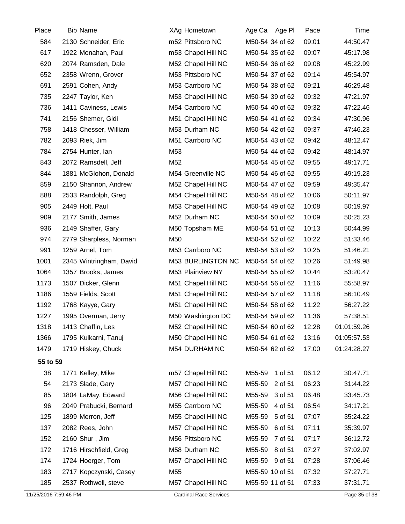| Place    | <b>Bib Name</b>         | XAg Hometown       | Age Ca Age PI     | Pace  | Time        |
|----------|-------------------------|--------------------|-------------------|-------|-------------|
| 584      | 2130 Schneider, Eric    | m52 Pittsboro NC   | M50-54 34 of 62   | 09:01 | 44:50.47    |
| 617      | 1922 Monahan, Paul      | m53 Chapel Hill NC | M50-54 35 of 62   | 09:07 | 45:17.98    |
| 620      | 2074 Ramsden, Dale      | M52 Chapel Hill NC | M50-54 36 of 62   | 09:08 | 45:22.99    |
| 652      | 2358 Wrenn, Grover      | M53 Pittsboro NC   | M50-54 37 of 62   | 09:14 | 45:54.97    |
| 691      | 2591 Cohen, Andy        | M53 Carrboro NC    | M50-54 38 of 62   | 09:21 | 46:29.48    |
| 735      | 2247 Taylor, Ken        | M53 Chapel Hill NC | M50-54 39 of 62   | 09:32 | 47:21.97    |
| 736      | 1411 Caviness, Lewis    | M54 Carrboro NC    | M50-54 40 of 62   | 09:32 | 47:22.46    |
| 741      | 2156 Shemer, Gidi       | M51 Chapel Hill NC | M50-54 41 of 62   | 09:34 | 47:30.96    |
| 758      | 1418 Chesser, William   | M53 Durham NC      | M50-54 42 of 62   | 09:37 | 47:46.23    |
| 782      | 2093 Riek, Jim          | M51 Carrboro NC    | M50-54 43 of 62   | 09:42 | 48:12.47    |
| 784      | 2754 Hunter, Ian        | M53                | M50-54 44 of 62   | 09:42 | 48:14.97    |
| 843      | 2072 Ramsdell, Jeff     | M52                | M50-54 45 of 62   | 09:55 | 49:17.71    |
| 844      | 1881 McGlohon, Donald   | M54 Greenville NC  | M50-54 46 of 62   | 09:55 | 49:19.23    |
| 859      | 2150 Shannon, Andrew    | M52 Chapel Hill NC | M50-54 47 of 62   | 09:59 | 49:35.47    |
| 888      | 2533 Randolph, Greg     | M54 Chapel Hill NC | M50-54 48 of 62   | 10:06 | 50:11.97    |
| 905      | 2449 Holt, Paul         | M53 Chapel Hill NC | M50-54 49 of 62   | 10:08 | 50:19.97    |
| 909      | 2177 Smith, James       | M52 Durham NC      | M50-54 50 of 62   | 10:09 | 50:25.23    |
| 936      | 2149 Shaffer, Gary      | M50 Topsham ME     | M50-54 51 of 62   | 10:13 | 50:44.99    |
| 974      | 2779 Sharpless, Norman  | M50                | M50-54 52 of 62   | 10:22 | 51:33.46    |
| 991      | 1259 Arnel, Tom         | M53 Carrboro NC    | M50-54 53 of 62   | 10:25 | 51:46.21    |
| 1001     | 2345 Wintringham, David | M53 BURLINGTON NC  | M50-54 54 of 62   | 10:26 | 51:49.98    |
| 1064     | 1357 Brooks, James      | M53 Plainview NY   | M50-54 55 of 62   | 10:44 | 53:20.47    |
| 1173     | 1507 Dicker, Glenn      | M51 Chapel Hill NC | M50-54 56 of 62   | 11:16 | 55:58.97    |
| 1186     | 1559 Fields, Scott      | M51 Chapel Hill NC | M50-54 57 of 62   | 11:18 | 56:10.49    |
| 1192     | 1768 Kayye, Gary        | M51 Chapel Hill NC | M50-54 58 of 62   | 11:22 | 56:27.22    |
| 1227     | 1995 Overman, Jerry     | M50 Washington DC  | M50-54 59 of 62   | 11:36 | 57:38.51    |
| 1318     | 1413 Chaffin, Les       | M52 Chapel Hill NC | M50-54 60 of 62   | 12:28 | 01:01:59.26 |
| 1366     | 1795 Kulkarni, Tanuj    | M50 Chapel Hill NC | M50-54 61 of 62   | 13:16 | 01:05:57.53 |
| 1479     | 1719 Hiskey, Chuck      | M54 DURHAM NC      | M50-54 62 of 62   | 17:00 | 01:24:28.27 |
| 55 to 59 |                         |                    |                   |       |             |
| 38       | 1771 Kelley, Mike       | m57 Chapel Hill NC | M55-59<br>1 of 51 | 06:12 | 30:47.71    |
| 54       | 2173 Slade, Gary        | M57 Chapel Hill NC | M55-59<br>2 of 51 | 06:23 | 31:44.22    |
| 85       | 1804 LaMay, Edward      | M56 Chapel Hill NC | M55-59<br>3 of 51 | 06:48 | 33:45.73    |
| 96       | 2049 Prabucki, Bernard  | M55 Carrboro NC    | M55-59<br>4 of 51 | 06:54 | 34:17.21    |
| 125      | 1899 Merron, Jeff       | M55 Chapel Hill NC | M55-59<br>5 of 51 | 07:07 | 35:24.22    |
| 137      | 2082 Rees, John         | M57 Chapel Hill NC | M55-59<br>6 of 51 | 07:11 | 35:39.97    |
| 152      | 2160 Shur, Jim          | M56 Pittsboro NC   | M55-59<br>7 of 51 | 07:17 | 36:12.72    |
| 172      | 1716 Hirschfield, Greg  | M58 Durham NC      | M55-59 8 of 51    | 07:27 | 37:02.97    |
| 174      | 1724 Hoerger, Tom       | M57 Chapel Hill NC | M55-59 9 of 51    | 07:28 | 37:06.46    |
| 183      | 2717 Kopczynski, Casey  | M55                | M55-59 10 of 51   | 07:32 | 37:27.71    |
| 185      | 2537 Rothwell, steve    | M57 Chapel Hill NC | M55-59 11 of 51   | 07:33 | 37:31.71    |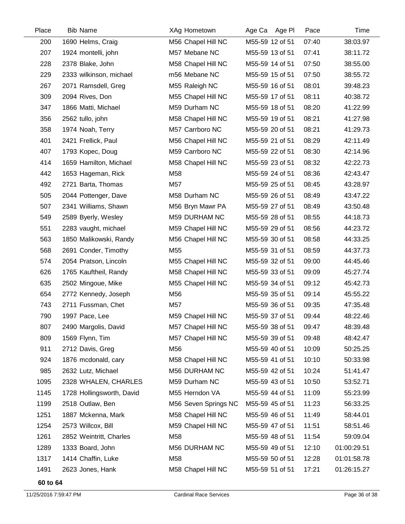| Place | <b>Bib Name</b>           | XAg Hometown         | Age Ca Age Pl   | Pace  | Time        |
|-------|---------------------------|----------------------|-----------------|-------|-------------|
| 200   | 1690 Helms, Craig         | M56 Chapel Hill NC   | M55-59 12 of 51 | 07:40 | 38:03.97    |
| 207   | 1924 montelli, john       | M57 Mebane NC        | M55-59 13 of 51 | 07:41 | 38:11.72    |
| 228   | 2378 Blake, John          | M58 Chapel Hill NC   | M55-59 14 of 51 | 07:50 | 38:55.00    |
| 229   | 2333 wilkinson, michael   | m56 Mebane NC        | M55-59 15 of 51 | 07:50 | 38:55.72    |
| 267   | 2071 Ramsdell, Greg       | M55 Raleigh NC       | M55-59 16 of 51 | 08:01 | 39:48.23    |
| 309   | 2094 Rives, Don           | M55 Chapel Hill NC   | M55-59 17 of 51 | 08:11 | 40:38.72    |
| 347   | 1866 Matti, Michael       | M59 Durham NC        | M55-59 18 of 51 | 08:20 | 41:22.99    |
| 356   | 2562 tullo, john          | M58 Chapel Hill NC   | M55-59 19 of 51 | 08:21 | 41:27.98    |
| 358   | 1974 Noah, Terry          | M57 Carrboro NC      | M55-59 20 of 51 | 08:21 | 41:29.73    |
| 401   | 2421 Frellick, Paul       | M56 Chapel Hill NC   | M55-59 21 of 51 | 08:29 | 42:11.49    |
| 407   | 1793 Kopec, Doug          | M59 Carrboro NC      | M55-59 22 of 51 | 08:30 | 42:14.96    |
| 414   | 1659 Hamilton, Michael    | M58 Chapel Hill NC   | M55-59 23 of 51 | 08:32 | 42:22.73    |
| 442   | 1653 Hageman, Rick        | M58                  | M55-59 24 of 51 | 08:36 | 42:43.47    |
| 492   | 2721 Barta, Thomas        | M57                  | M55-59 25 of 51 | 08:45 | 43:28.97    |
| 505   | 2044 Pottenger, Dave      | M58 Durham NC        | M55-59 26 of 51 | 08:49 | 43:47.22    |
| 507   | 2341 Williams, Shawn      | M56 Bryn Mawr PA     | M55-59 27 of 51 | 08:49 | 43:50.48    |
| 549   | 2589 Byerly, Wesley       | M59 DURHAM NC        | M55-59 28 of 51 | 08:55 | 44:18.73    |
| 551   | 2283 vaught, michael      | M59 Chapel Hill NC   | M55-59 29 of 51 | 08:56 | 44:23.72    |
| 563   | 1850 Malikowski, Randy    | M56 Chapel Hill NC   | M55-59 30 of 51 | 08:58 | 44:33.25    |
| 568   | 2691 Conder, Timothy      | M55                  | M55-59 31 of 51 | 08:59 | 44:37.73    |
| 574   | 2054 Pratson, Lincoln     | M55 Chapel Hill NC   | M55-59 32 of 51 | 09:00 | 44:45.46    |
| 626   | 1765 Kauftheil, Randy     | M58 Chapel Hill NC   | M55-59 33 of 51 | 09:09 | 45:27.74    |
| 635   | 2502 Mingoue, Mike        | M55 Chapel Hill NC   | M55-59 34 of 51 | 09:12 | 45:42.73    |
| 654   | 2772 Kennedy, Joseph      | M56                  | M55-59 35 of 51 | 09:14 | 45:55.22    |
| 743   | 2711 Fussman, Chet        | M57                  | M55-59 36 of 51 | 09:35 | 47:35.48    |
| 790   | 1997 Pace, Lee            | M59 Chapel Hill NC   | M55-59 37 of 51 | 09:44 | 48:22.46    |
| 807   | 2490 Margolis, David      | M57 Chapel Hill NC   | M55-59 38 of 51 | 09:47 | 48:39.48    |
| 809   | 1569 Flynn, Tim           | M57 Chapel Hill NC   | M55-59 39 of 51 | 09:48 | 48:42.47    |
| 911   | 2712 Davis, Greg          | M56                  | M55-59 40 of 51 | 10:09 | 50:25.25    |
| 924   | 1876 mcdonald, cary       | M58 Chapel Hill NC   | M55-59 41 of 51 | 10:10 | 50:33.98    |
| 985   | 2632 Lutz, Michael        | M56 DURHAM NC        | M55-59 42 of 51 | 10:24 | 51:41.47    |
| 1095  | 2328 WHALEN, CHARLES      | M59 Durham NC        | M55-59 43 of 51 | 10:50 | 53:52.71    |
| 1145  | 1728 Hollingsworth, David | M55 Herndon VA       | M55-59 44 of 51 | 11:09 | 55:23.99    |
| 1199  | 2518 Outlaw, Ben          | M56 Seven Springs NC | M55-59 45 of 51 | 11:23 | 56:33.25    |
| 1251  | 1887 Mckenna, Mark        | M58 Chapel Hill NC   | M55-59 46 of 51 | 11:49 | 58:44.01    |
| 1254  | 2573 Willcox, Bill        | M59 Chapel Hill NC   | M55-59 47 of 51 | 11:51 | 58:51.46    |
| 1261  | 2852 Weintritt, Charles   | M58                  | M55-59 48 of 51 | 11:54 | 59:09.04    |
| 1289  | 1333 Board, John          | M56 DURHAM NC        | M55-59 49 of 51 | 12:10 | 01:00:29.51 |
| 1317  | 1414 Chaffin, Luke        | M58                  | M55-59 50 of 51 | 12:28 | 01:01:58.78 |
| 1491  | 2623 Jones, Hank          | M58 Chapel Hill NC   | M55-59 51 of 51 | 17:21 | 01:26:15.27 |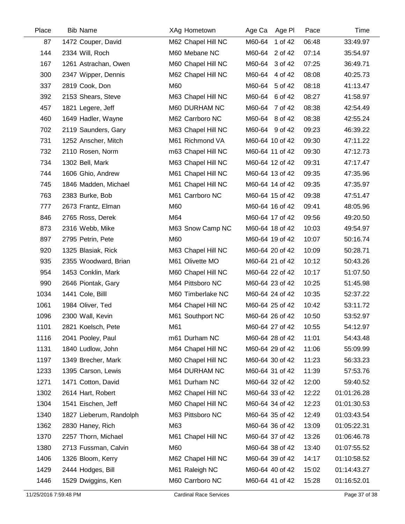| Place | <b>Bib Name</b>         | XAg Hometown       | Age PI<br>Age Ca  | Pace  | Time        |
|-------|-------------------------|--------------------|-------------------|-------|-------------|
| 87    | 1472 Couper, David      | M62 Chapel Hill NC | 1 of 42<br>M60-64 | 06:48 | 33:49.97    |
| 144   | 2334 Will, Roch         | M60 Mebane NC      | M60-64 2 of 42    | 07:14 | 35:54.97    |
| 167   | 1261 Astrachan, Owen    | M60 Chapel Hill NC | M60-64 3 of 42    | 07:25 | 36:49.71    |
| 300   | 2347 Wipper, Dennis     | M62 Chapel Hill NC | 4 of 42<br>M60-64 | 08:08 | 40:25.73    |
| 337   | 2819 Cook, Don          | M60                | M60-64 5 of 42    | 08:18 | 41:13.47    |
| 392   | 2153 Shears, Steve      | M63 Chapel Hill NC | M60-64 6 of 42    | 08:27 | 41:58.97    |
| 457   | 1821 Legere, Jeff       | M60 DURHAM NC      | M60-64 7 of 42    | 08:38 | 42:54.49    |
| 460   | 1649 Hadler, Wayne      | M62 Carrboro NC    | M60-64 8 of 42    | 08:38 | 42:55.24    |
| 702   | 2119 Saunders, Gary     | M63 Chapel Hill NC | M60-64 9 of 42    | 09:23 | 46:39.22    |
| 731   | 1252 Anscher, Mitch     | M61 Richmond VA    | M60-64 10 of 42   | 09:30 | 47:11.22    |
| 732   | 2110 Rosen, Norm        | m63 Chapel Hill NC | M60-64 11 of 42   | 09:30 | 47:12.73    |
| 734   | 1302 Bell, Mark         | M63 Chapel Hill NC | M60-64 12 of 42   | 09:31 | 47:17.47    |
| 744   | 1606 Ghio, Andrew       | M61 Chapel Hill NC | M60-64 13 of 42   | 09:35 | 47:35.96    |
| 745   | 1846 Madden, Michael    | M61 Chapel Hill NC | M60-64 14 of 42   | 09:35 | 47:35.97    |
| 763   | 2383 Burke, Bob         | M61 Carrboro NC    | M60-64 15 of 42   | 09:38 | 47:51.47    |
| 777   | 2673 Frantz, Elman      | M60                | M60-64 16 of 42   | 09:41 | 48:05.96    |
| 846   | 2765 Ross, Derek        | M64                | M60-64 17 of 42   | 09:56 | 49:20.50    |
| 873   | 2316 Webb, Mike         | M63 Snow Camp NC   | M60-64 18 of 42   | 10:03 | 49:54.97    |
| 897   | 2795 Petrin, Pete       | M60                | M60-64 19 of 42   | 10:07 | 50:16.74    |
| 920   | 1325 Blasiak, Rick      | M63 Chapel Hill NC | M60-64 20 of 42   | 10:09 | 50:28.71    |
| 935   | 2355 Woodward, Brian    | M61 Olivette MO    | M60-64 21 of 42   | 10:12 | 50:43.26    |
| 954   | 1453 Conklin, Mark      | M60 Chapel Hill NC | M60-64 22 of 42   | 10:17 | 51:07.50    |
| 990   | 2646 Piontak, Gary      | M64 Pittsboro NC   | M60-64 23 of 42   | 10:25 | 51:45.98    |
| 1034  | 1441 Cole, Billl        | M60 Timberlake NC  | M60-64 24 of 42   | 10:35 | 52:37.22    |
| 1061  | 1984 Oliver, Ted        | M64 Chapel Hill NC | M60-64 25 of 42   | 10:42 | 53:11.72    |
| 1096  | 2300 Wall, Kevin        | M61 Southport NC   | M60-64 26 of 42   | 10:50 | 53:52.97    |
| 1101  | 2821 Koelsch, Pete      | M61                | M60-64 27 of 42   | 10:55 | 54:12.97    |
| 1116  | 2041 Pooley, Paul       | m61 Durham NC      | M60-64 28 of 42   | 11:01 | 54:43.48    |
| 1131  | 1840 Ludlow, John       | M64 Chapel Hill NC | M60-64 29 of 42   | 11:06 | 55:09.99    |
| 1197  | 1349 Brecher, Mark      | M60 Chapel Hill NC | M60-64 30 of 42   | 11:23 | 56:33.23    |
| 1233  | 1395 Carson, Lewis      | M64 DURHAM NC      | M60-64 31 of 42   | 11:39 | 57:53.76    |
| 1271  | 1471 Cotton, David      | M61 Durham NC      | M60-64 32 of 42   | 12:00 | 59:40.52    |
| 1302  | 2614 Hart, Robert       | M62 Chapel Hill NC | M60-64 33 of 42   | 12:22 | 01:01:26.28 |
| 1304  | 1541 Eischen, Jeff      | M60 Chapel Hill NC | M60-64 34 of 42   | 12:23 | 01:01:30.53 |
| 1340  | 1827 Lieberum, Randolph | M63 Pittsboro NC   | M60-64 35 of 42   | 12:49 | 01:03:43.54 |
| 1362  | 2830 Haney, Rich        | M63                | M60-64 36 of 42   | 13:09 | 01:05:22.31 |
| 1370  | 2257 Thorn, Michael     | M61 Chapel Hill NC | M60-64 37 of 42   | 13:26 | 01:06:46.78 |
| 1380  | 2713 Fussman, Calvin    | M60                | M60-64 38 of 42   | 13:40 | 01:07:55.52 |
| 1406  | 1326 Bloom, Kerry       | M62 Chapel Hill NC | M60-64 39 of 42   | 14:17 | 01:10:58.52 |
| 1429  | 2444 Hodges, Bill       | M61 Raleigh NC     | M60-64 40 of 42   | 15:02 | 01:14:43.27 |
| 1446  | 1529 Dwiggins, Ken      | M60 Carrboro NC    | M60-64 41 of 42   | 15:28 | 01:16:52.01 |